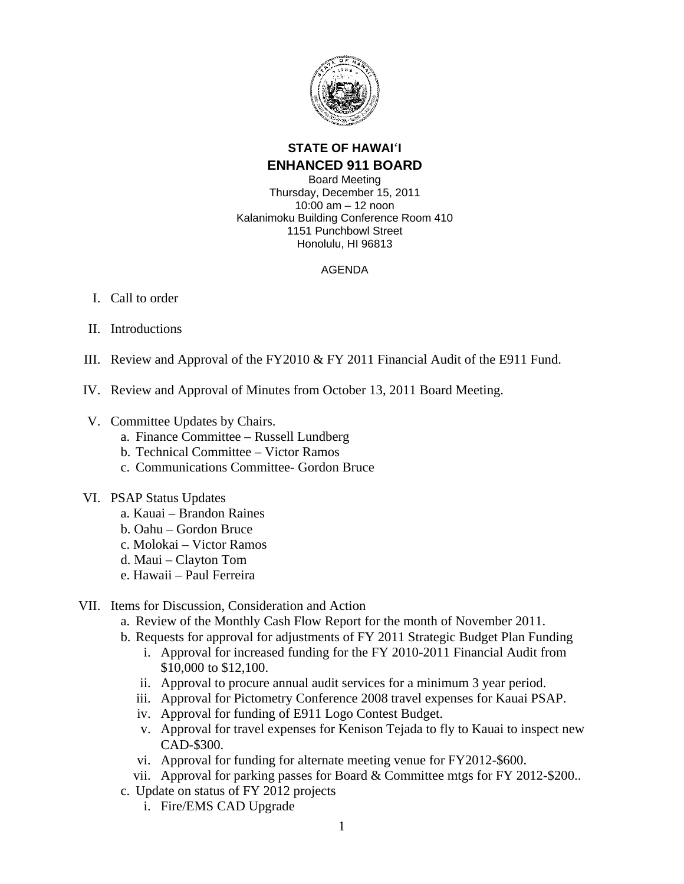

# **STATE OF HAWAI**'**I ENHANCED 911 BOARD**

Board Meeting Thursday, December 15, 2011 10:00 am – 12 noon Kalanimoku Building Conference Room 410 1151 Punchbowl Street Honolulu, HI 96813

### AGENDA

## I. Call to order

- II. Introductions
- III. Review and Approval of the FY2010 & FY 2011 Financial Audit of the E911 Fund.
- IV. Review and Approval of Minutes from October 13, 2011 Board Meeting.
- V. Committee Updates by Chairs.
	- a. Finance Committee Russell Lundberg
	- b. Technical Committee Victor Ramos
	- c. Communications Committee- Gordon Bruce
- VI. PSAP Status Updates
	- a. Kauai Brandon Raines
	- b. Oahu Gordon Bruce
	- c. Molokai Victor Ramos
	- d. Maui Clayton Tom
	- e. Hawaii Paul Ferreira

### VII. Items for Discussion, Consideration and Action

- a. Review of the Monthly Cash Flow Report for the month of November 2011.
- b. Requests for approval for adjustments of FY 2011 Strategic Budget Plan Funding
	- i. Approval for increased funding for the FY 2010-2011 Financial Audit from \$10,000 to \$12,100.
	- ii. Approval to procure annual audit services for a minimum 3 year period.
	- iii. Approval for Pictometry Conference 2008 travel expenses for Kauai PSAP.
	- iv. Approval for funding of E911 Logo Contest Budget.
	- v. Approval for travel expenses for Kenison Tejada to fly to Kauai to inspect new CAD-\$300.
	- vi. Approval for funding for alternate meeting venue for FY2012-\$600.
	- vii. Approval for parking passes for Board & Committee mtgs for FY 2012-\$200..
- c. Update on status of FY 2012 projects
	- i. Fire/EMS CAD Upgrade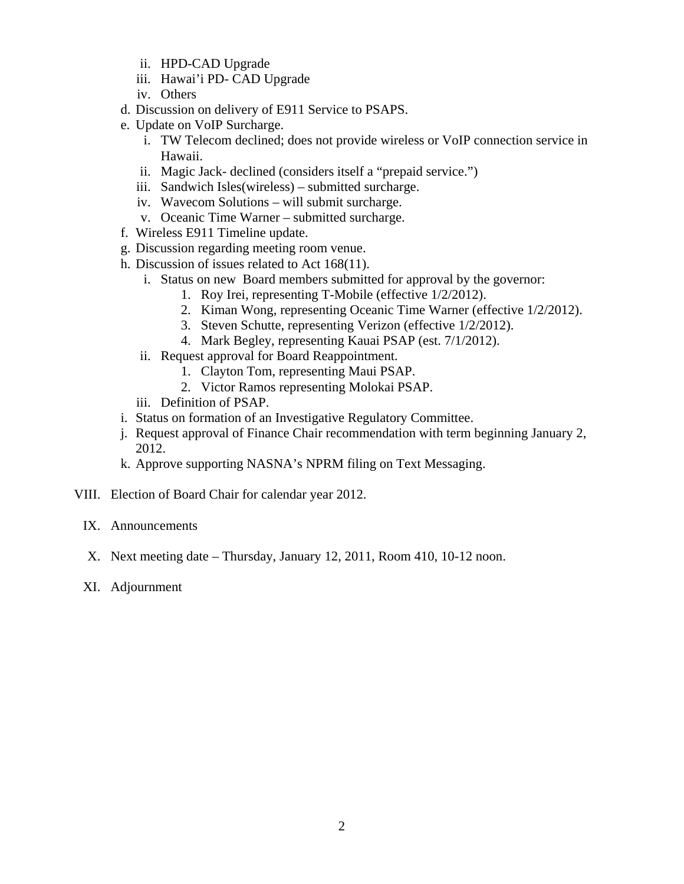- ii. HPD-CAD Upgrade
- iii. Hawai'i PD- CAD Upgrade
- iv. Others
- d. Discussion on delivery of E911 Service to PSAPS.
- e. Update on VoIP Surcharge.
	- i. TW Telecom declined; does not provide wireless or VoIP connection service in Hawaii.
	- ii. Magic Jack- declined (considers itself a "prepaid service.")
	- iii. Sandwich Isles(wireless) submitted surcharge.
	- iv. Wavecom Solutions will submit surcharge.
	- v. Oceanic Time Warner submitted surcharge.
- f. Wireless E911 Timeline update.
- g. Discussion regarding meeting room venue.
- h. Discussion of issues related to Act 168(11).
	- i. Status on new Board members submitted for approval by the governor:
		- 1. Roy Irei, representing T-Mobile (effective 1/2/2012).
		- 2. Kiman Wong, representing Oceanic Time Warner (effective 1/2/2012).
		- 3. Steven Schutte, representing Verizon (effective 1/2/2012).
		- 4. Mark Begley, representing Kauai PSAP (est. 7/1/2012).
	- ii. Request approval for Board Reappointment.
		- 1. Clayton Tom, representing Maui PSAP.
		- 2. Victor Ramos representing Molokai PSAP.
	- iii. Definition of PSAP.
- i. Status on formation of an Investigative Regulatory Committee.
- j. Request approval of Finance Chair recommendation with term beginning January 2, 2012.
- k. Approve supporting NASNA's NPRM filing on Text Messaging.
- VIII. Election of Board Chair for calendar year 2012.
	- IX. Announcements
	- X. Next meeting date Thursday, January 12, 2011, Room 410, 10-12 noon.
	- XI. Adjournment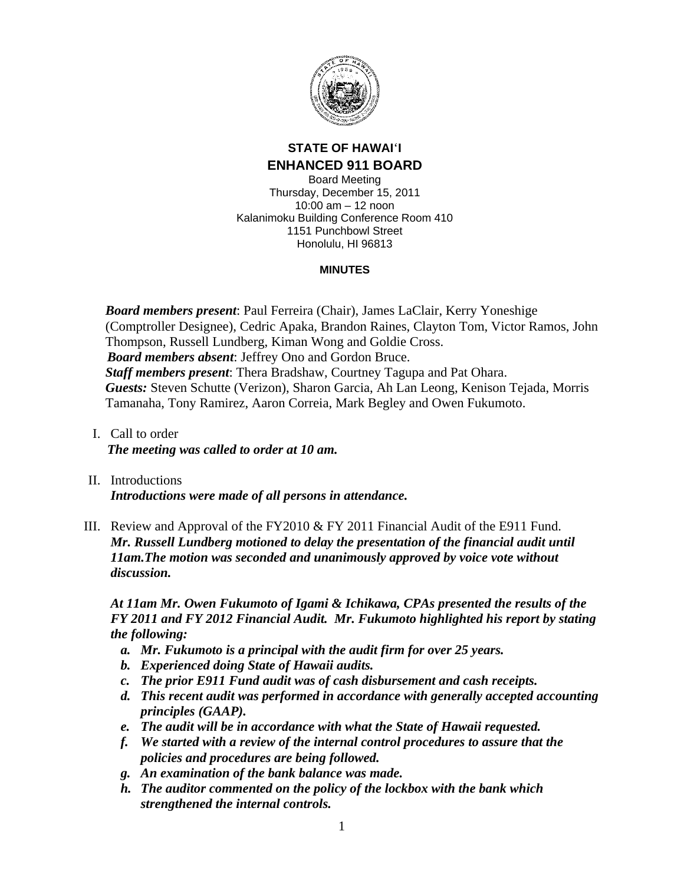

# **STATE OF HAWAI**'**I ENHANCED 911 BOARD**

Board Meeting Thursday, December 15, 2011 10:00 am – 12 noon Kalanimoku Building Conference Room 410 1151 Punchbowl Street Honolulu, HI 96813

### **MINUTES**

*Board members present*: Paul Ferreira (Chair), James LaClair, Kerry Yoneshige (Comptroller Designee), Cedric Apaka, Brandon Raines, Clayton Tom, Victor Ramos, John Thompson, Russell Lundberg, Kiman Wong and Goldie Cross. *Board members absent*: Jeffrey Ono and Gordon Bruce. *Staff members present*: Thera Bradshaw, Courtney Tagupa and Pat Ohara. *Guests:* Steven Schutte (Verizon), Sharon Garcia, Ah Lan Leong, Kenison Tejada, Morris Tamanaha, Tony Ramirez, Aaron Correia, Mark Begley and Owen Fukumoto.

- I. Call to order *The meeting was called to order at 10 am.*
- II. Introductions *Introductions were made of all persons in attendance.*
- III. Review and Approval of the FY2010 & FY 2011 Financial Audit of the E911 Fund. *Mr. Russell Lundberg motioned to delay the presentation of the financial audit until 11am.The motion was seconded and unanimously approved by voice vote without discussion.*

*At 11am Mr. Owen Fukumoto of Igami & Ichikawa, CPAs presented the results of the FY 2011 and FY 2012 Financial Audit. Mr. Fukumoto highlighted his report by stating the following:* 

- *a. Mr. Fukumoto is a principal with the audit firm for over 25 years.*
- *b. Experienced doing State of Hawaii audits.*
- *c. The prior E911 Fund audit was of cash disbursement and cash receipts.*
- *d. This recent audit was performed in accordance with generally accepted accounting principles (GAAP).*
- *e. The audit will be in accordance with what the State of Hawaii requested.*
- *f. We started with a review of the internal control procedures to assure that the policies and procedures are being followed.*
- *g. An examination of the bank balance was made.*
- *h. The auditor commented on the policy of the lockbox with the bank which strengthened the internal controls.*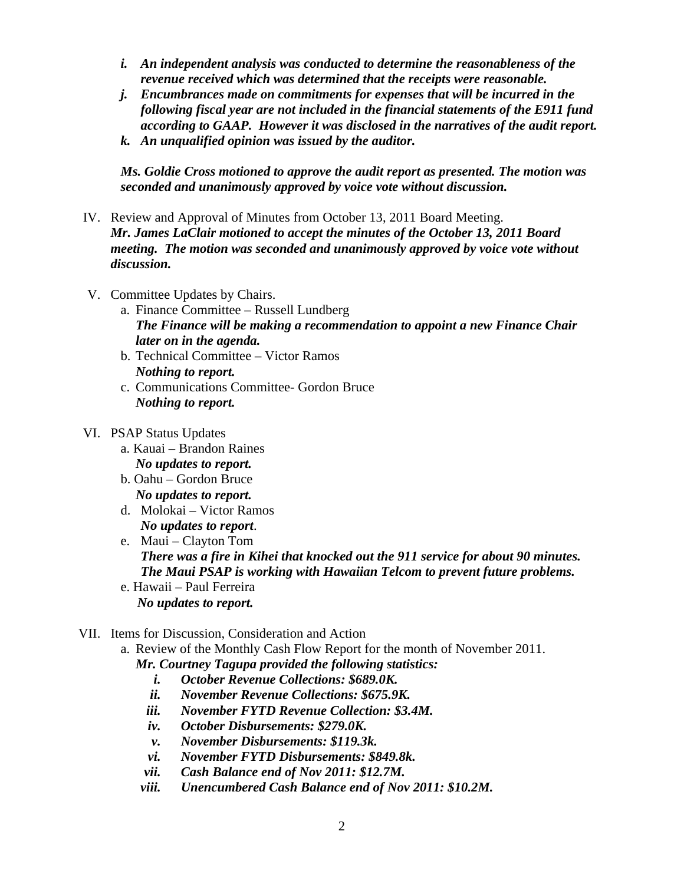- *i. An independent analysis was conducted to determine the reasonableness of the revenue received which was determined that the receipts were reasonable.*
- *j. Encumbrances made on commitments for expenses that will be incurred in the following fiscal year are not included in the financial statements of the E911 fund according to GAAP. However it was disclosed in the narratives of the audit report.*
- *k. An unqualified opinion was issued by the auditor.*

*Ms. Goldie Cross motioned to approve the audit report as presented. The motion was seconded and unanimously approved by voice vote without discussion.* 

- IV. Review and Approval of Minutes from October 13, 2011 Board Meeting. *Mr. James LaClair motioned to accept the minutes of the October 13, 2011 Board meeting. The motion was seconded and unanimously approved by voice vote without discussion.*
- V. Committee Updates by Chairs.
	- a. Finance Committee Russell Lundberg *The Finance will be making a recommendation to appoint a new Finance Chair later on in the agenda.*
	- b. Technical Committee Victor Ramos *Nothing to report.*
	- c. Communications Committee- Gordon Bruce *Nothing to report.*

### VI. PSAP Status Updates

- a. Kauai Brandon Raines *No updates to report.*
- b. Oahu Gordon Bruce *No updates to report.*
- d. Molokai Victor Ramos *No updates to report*.
- e. Maui Clayton Tom *There was a fire in Kihei that knocked out the 911 service for about 90 minutes. The Maui PSAP is working with Hawaiian Telcom to prevent future problems.*
- e. Hawaii Paul Ferreira  *No updates to report.*

### VII. Items for Discussion, Consideration and Action

a. Review of the Monthly Cash Flow Report for the month of November 2011.

*Mr. Courtney Tagupa provided the following statistics:* 

- *i. October Revenue Collections: \$689.0K.*
- *ii. November Revenue Collections: \$675.9K.*
- *iii. November FYTD Revenue Collection: \$3.4M.*
- *iv. October Disbursements: \$279.0K.*
- *v. November Disbursements: \$119.3k.*
- *vi. November FYTD Disbursements: \$849.8k.*
- *vii. Cash Balance end of Nov 2011: \$12.7M.*
- *viii. Unencumbered Cash Balance end of Nov 2011: \$10.2M.*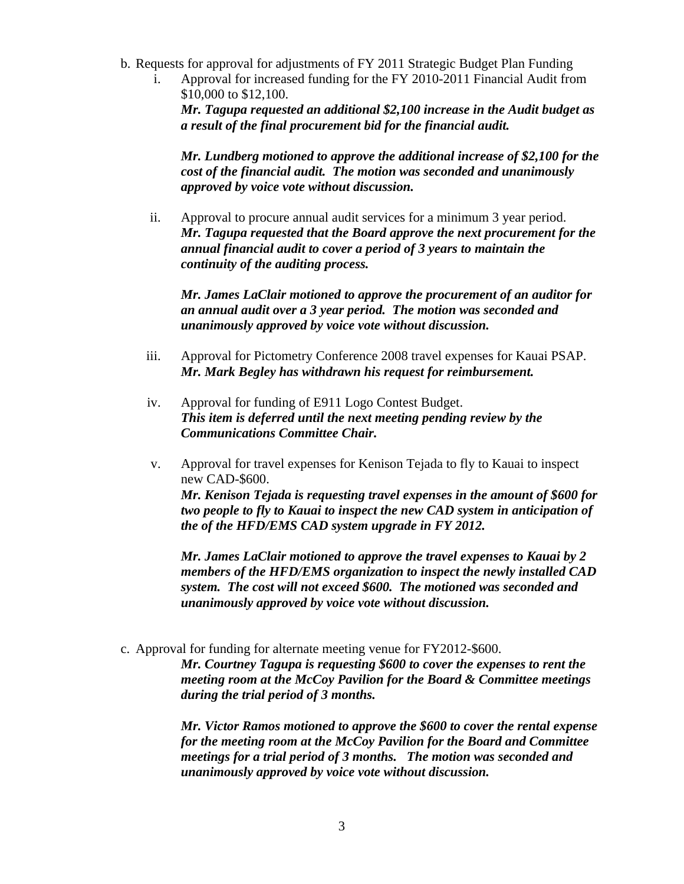- b. Requests for approval for adjustments of FY 2011 Strategic Budget Plan Funding
	- i. Approval for increased funding for the FY 2010-2011 Financial Audit from \$10,000 to \$12,100.

*Mr. Tagupa requested an additional \$2,100 increase in the Audit budget as a result of the final procurement bid for the financial audit.* 

*Mr. Lundberg motioned to approve the additional increase of \$2,100 for the cost of the financial audit. The motion was seconded and unanimously approved by voice vote without discussion.* 

ii. Approval to procure annual audit services for a minimum 3 year period. *Mr. Tagupa requested that the Board approve the next procurement for the annual financial audit to cover a period of 3 years to maintain the continuity of the auditing process.* 

*Mr. James LaClair motioned to approve the procurement of an auditor for an annual audit over a 3 year period. The motion was seconded and unanimously approved by voice vote without discussion.* 

- iii. Approval for Pictometry Conference 2008 travel expenses for Kauai PSAP. *Mr. Mark Begley has withdrawn his request for reimbursement.*
- iv. Approval for funding of E911 Logo Contest Budget. *This item is deferred until the next meeting pending review by the Communications Committee Chair.*
- v. Approval for travel expenses for Kenison Tejada to fly to Kauai to inspect new CAD-\$600. *Mr. Kenison Tejada is requesting travel expenses in the amount of \$600 for*

*two people to fly to Kauai to inspect the new CAD system in anticipation of the of the HFD/EMS CAD system upgrade in FY 2012.* 

*Mr. James LaClair motioned to approve the travel expenses to Kauai by 2 members of the HFD/EMS organization to inspect the newly installed CAD system. The cost will not exceed \$600. The motioned was seconded and unanimously approved by voice vote without discussion.* 

c. Approval for funding for alternate meeting venue for FY2012-\$600.

*Mr. Courtney Tagupa is requesting \$600 to cover the expenses to rent the meeting room at the McCoy Pavilion for the Board & Committee meetings during the trial period of 3 months.* 

*Mr. Victor Ramos motioned to approve the \$600 to cover the rental expense for the meeting room at the McCoy Pavilion for the Board and Committee meetings for a trial period of 3 months. The motion was seconded and unanimously approved by voice vote without discussion.*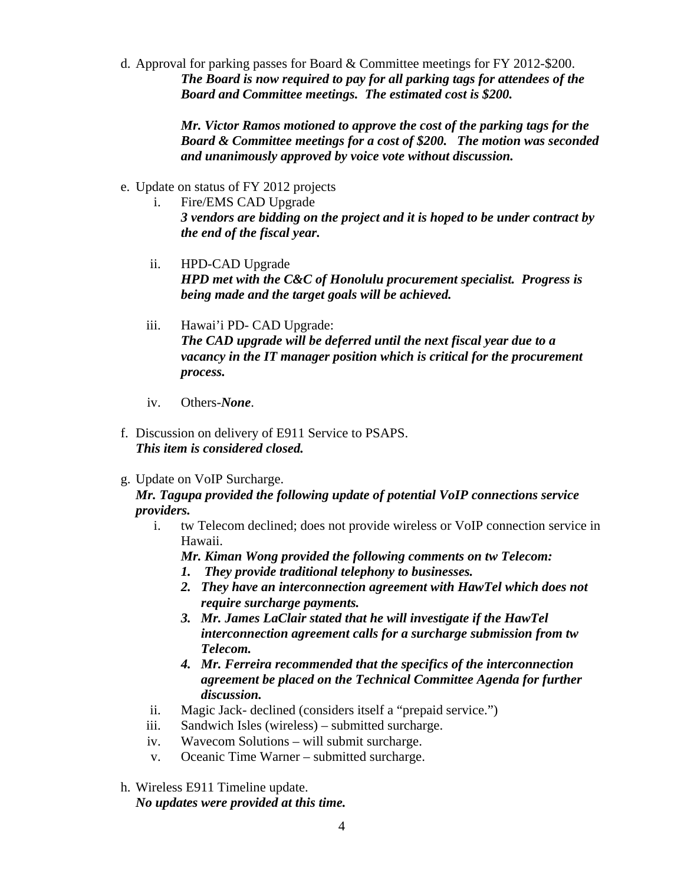d. Approval for parking passes for Board & Committee meetings for FY 2012-\$200. *The Board is now required to pay for all parking tags for attendees of the Board and Committee meetings. The estimated cost is \$200.* 

> *Mr. Victor Ramos motioned to approve the cost of the parking tags for the Board & Committee meetings for a cost of \$200. The motion was seconded and unanimously approved by voice vote without discussion.*

- e. Update on status of FY 2012 projects
	- i. Fire/EMS CAD Upgrade *3 vendors are bidding on the project and it is hoped to be under contract by the end of the fiscal year.*
	- ii. HPD-CAD Upgrade *HPD met with the C&C of Honolulu procurement specialist. Progress is being made and the target goals will be achieved.*
	- iii. Hawai'i PD- CAD Upgrade: *The CAD upgrade will be deferred until the next fiscal year due to a vacancy in the IT manager position which is critical for the procurement process.*
	- iv. Others-*None*.
- f. Discussion on delivery of E911 Service to PSAPS. *This item is considered closed.*
- g. Update on VoIP Surcharge.

*Mr. Tagupa provided the following update of potential VoIP connections service providers.* 

i. tw Telecom declined; does not provide wireless or VoIP connection service in Hawaii.

*Mr. Kiman Wong provided the following comments on tw Telecom:* 

- *1. They provide traditional telephony to businesses.*
- *2. They have an interconnection agreement with HawTel which does not require surcharge payments.*
- *3. Mr. James LaClair stated that he will investigate if the HawTel interconnection agreement calls for a surcharge submission from tw Telecom.*
- *4. Mr. Ferreira recommended that the specifics of the interconnection agreement be placed on the Technical Committee Agenda for further discussion.*
- ii. Magic Jack- declined (considers itself a "prepaid service.")
- iii. Sandwich Isles (wireless) submitted surcharge.
- iv. Wavecom Solutions will submit surcharge.
- v. Oceanic Time Warner submitted surcharge.
- h. Wireless E911 Timeline update. *No updates were provided at this time.*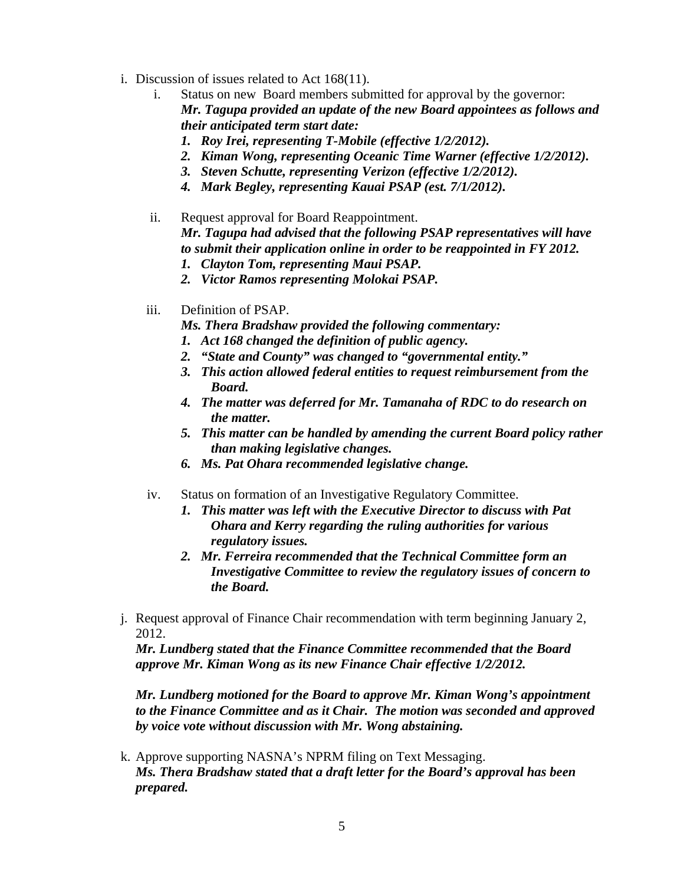- i. Discussion of issues related to Act 168(11).
	- i. Status on new Board members submitted for approval by the governor: *Mr. Tagupa provided an update of the new Board appointees as follows and their anticipated term start date:* 
		- *1. Roy Irei, representing T-Mobile (effective 1/2/2012).*
		- *2. Kiman Wong, representing Oceanic Time Warner (effective 1/2/2012).*
		- *3. Steven Schutte, representing Verizon (effective 1/2/2012).*
		- *4. Mark Begley, representing Kauai PSAP (est. 7/1/2012).*
	- ii. Request approval for Board Reappointment. *Mr. Tagupa had advised that the following PSAP representatives will have to submit their application online in order to be reappointed in FY 2012.* 
		- *1. Clayton Tom, representing Maui PSAP.*
		- *2. Victor Ramos representing Molokai PSAP.*
	- iii. Definition of PSAP.
		- *Ms. Thera Bradshaw provided the following commentary:*
		- *1. Act 168 changed the definition of public agency.*
		- *2. "State and County" was changed to "governmental entity."*
		- *3. This action allowed federal entities to request reimbursement from the Board.*
		- *4. The matter was deferred for Mr. Tamanaha of RDC to do research on the matter.*
		- *5. This matter can be handled by amending the current Board policy rather than making legislative changes.*
		- *6. Ms. Pat Ohara recommended legislative change.*
	- iv. Status on formation of an Investigative Regulatory Committee.
		- *1. This matter was left with the Executive Director to discuss with Pat Ohara and Kerry regarding the ruling authorities for various regulatory issues.*
		- *2. Mr. Ferreira recommended that the Technical Committee form an Investigative Committee to review the regulatory issues of concern to the Board.*
- j. Request approval of Finance Chair recommendation with term beginning January 2, 2012.

*Mr. Lundberg stated that the Finance Committee recommended that the Board approve Mr. Kiman Wong as its new Finance Chair effective 1/2/2012.* 

*Mr. Lundberg motioned for the Board to approve Mr. Kiman Wong's appointment to the Finance Committee and as it Chair. The motion was seconded and approved by voice vote without discussion with Mr. Wong abstaining.* 

k. Approve supporting NASNA's NPRM filing on Text Messaging. *Ms. Thera Bradshaw stated that a draft letter for the Board's approval has been prepared.*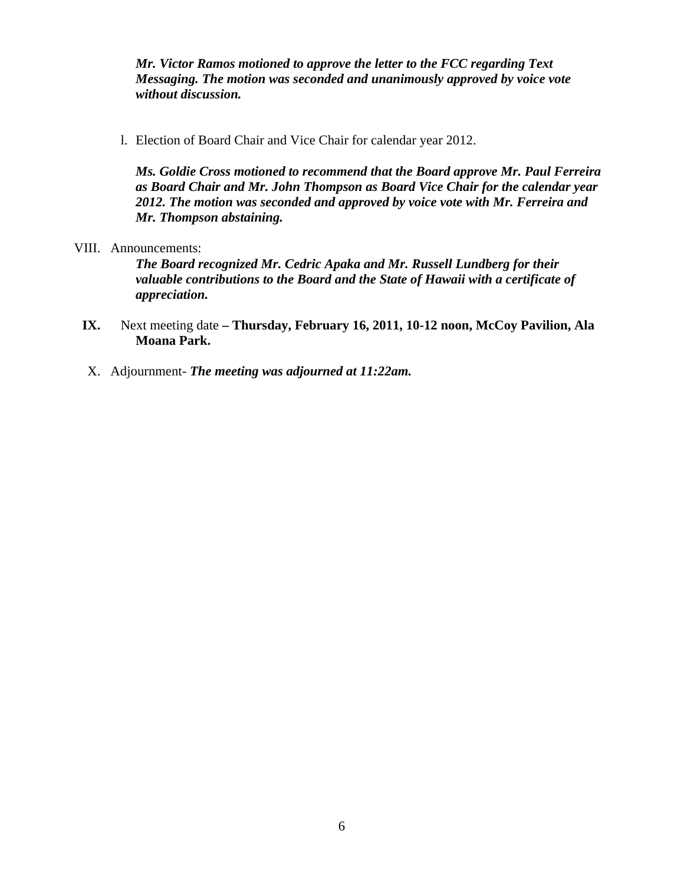*Mr. Victor Ramos motioned to approve the letter to the FCC regarding Text Messaging. The motion was seconded and unanimously approved by voice vote without discussion.* 

l. Election of Board Chair and Vice Chair for calendar year 2012.

*Ms. Goldie Cross motioned to recommend that the Board approve Mr. Paul Ferreira as Board Chair and Mr. John Thompson as Board Vice Chair for the calendar year 2012. The motion was seconded and approved by voice vote with Mr. Ferreira and Mr. Thompson abstaining.* 

VIII. Announcements:

*The Board recognized Mr. Cedric Apaka and Mr. Russell Lundberg for their valuable contributions to the Board and the State of Hawaii with a certificate of appreciation.* 

- **IX.** Next meeting date Thursday, February 16, 2011, 10-12 noon, McCoy Pavilion, Ala **Moana Park.**
- X. Adjournment- *The meeting was adjourned at 11:22am.*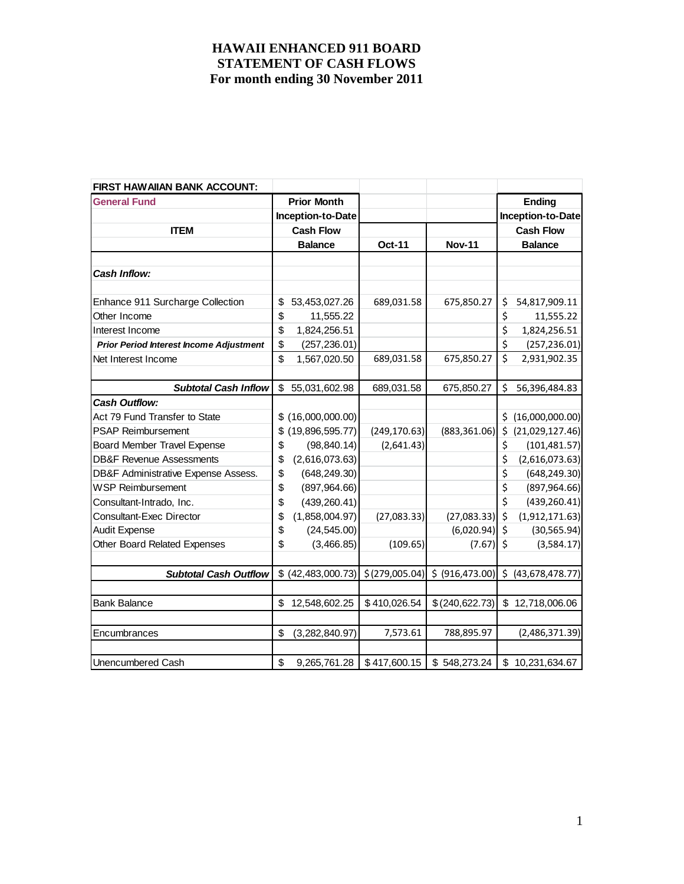| FIRST HAWAIIAN BANK ACCOUNT:                   |                       |                |                  |     |                   |
|------------------------------------------------|-----------------------|----------------|------------------|-----|-------------------|
| <b>General Fund</b>                            | <b>Prior Month</b>    |                |                  |     | <b>Ending</b>     |
|                                                | Inception-to-Date     |                |                  |     | Inception-to-Date |
| <b>ITEM</b>                                    | <b>Cash Flow</b>      |                |                  |     | <b>Cash Flow</b>  |
|                                                | <b>Balance</b>        | <b>Oct-11</b>  | <b>Nov-11</b>    |     | <b>Balance</b>    |
|                                                |                       |                |                  |     |                   |
| <b>Cash Inflow:</b>                            |                       |                |                  |     |                   |
|                                                |                       |                |                  |     |                   |
| Enhance 911 Surcharge Collection               | \$<br>53,453,027.26   | 689,031.58     | 675,850.27       | \$  | 54,817,909.11     |
| Other Income                                   | \$<br>11,555.22       |                |                  | \$  | 11,555.22         |
| Interest Income                                | \$<br>1,824,256.51    |                |                  | \$  | 1,824,256.51      |
| <b>Prior Period Interest Income Adjustment</b> | \$<br>(257, 236.01)   |                |                  | \$  | (257, 236.01)     |
| Net Interest Income                            | \$<br>1,567,020.50    | 689,031.58     | 675,850.27       | \$  | 2,931,902.35      |
|                                                |                       |                |                  |     |                   |
| <b>Subtotal Cash Inflow</b>                    | \$<br>55,031,602.98   | 689,031.58     | 675,850.27       | Ś.  | 56,396,484.83     |
| <b>Cash Outflow:</b>                           |                       |                |                  |     |                   |
| Act 79 Fund Transfer to State                  | \$(16,000,000.00)     |                |                  | Ś.  | (16,000,000.00)   |
| <b>PSAP Reimbursement</b>                      | \$<br>(19,896,595.77) | (249, 170.63)  | (883, 361.06)    | \$. | (21,029,127.46)   |
| <b>Board Member Travel Expense</b>             | \$<br>(98, 840.14)    | (2,641.43)     |                  | \$  | (101, 481.57)     |
| <b>DB&amp;F Revenue Assessments</b>            | \$<br>(2,616,073.63)  |                |                  | \$  | (2,616,073.63)    |
| DB&F Administrative Expense Assess.            | \$<br>(648, 249.30)   |                |                  | \$  | (648, 249.30)     |
| <b>WSP Reimbursement</b>                       | \$<br>(897, 964.66)   |                |                  | \$  | (897, 964.66)     |
| Consultant-Intrado, Inc.                       | \$<br>(439, 260.41)   |                |                  | \$  | (439, 260.41)     |
| <b>Consultant-Exec Director</b>                | \$<br>(1,858,004.97)  | (27,083.33)    | (27,083.33)      | \$  | (1,912,171.63)    |
| <b>Audit Expense</b>                           | \$<br>(24, 545.00)    |                | (6,020.94)       | \$  | (30, 565.94)      |
| Other Board Related Expenses                   | \$<br>(3,466.85)      | (109.65)       | (7.67)           | \$  | (3,584.17)        |
|                                                |                       |                |                  |     |                   |
| <b>Subtotal Cash Outflow</b>                   | \$ (42, 483, 000.73)  | \$(279,005.04) | \$ (916, 473.00) | \$  | (43,678,478.77)   |
|                                                |                       |                |                  |     |                   |
| <b>Bank Balance</b>                            | \$<br>12,548,602.25   | \$410,026.54   | \$ (240, 622.73) |     | \$12,718,006.06   |
|                                                |                       |                |                  |     |                   |
| Encumbrances                                   | \$<br>(3,282,840.97)  | 7,573.61       | 788,895.97       |     | (2,486,371.39)    |
|                                                |                       |                |                  |     |                   |
| <b>Unencumbered Cash</b>                       | \$<br>9,265,761.28    | \$417,600.15   | \$548,273.24     |     | \$10,231,634.67   |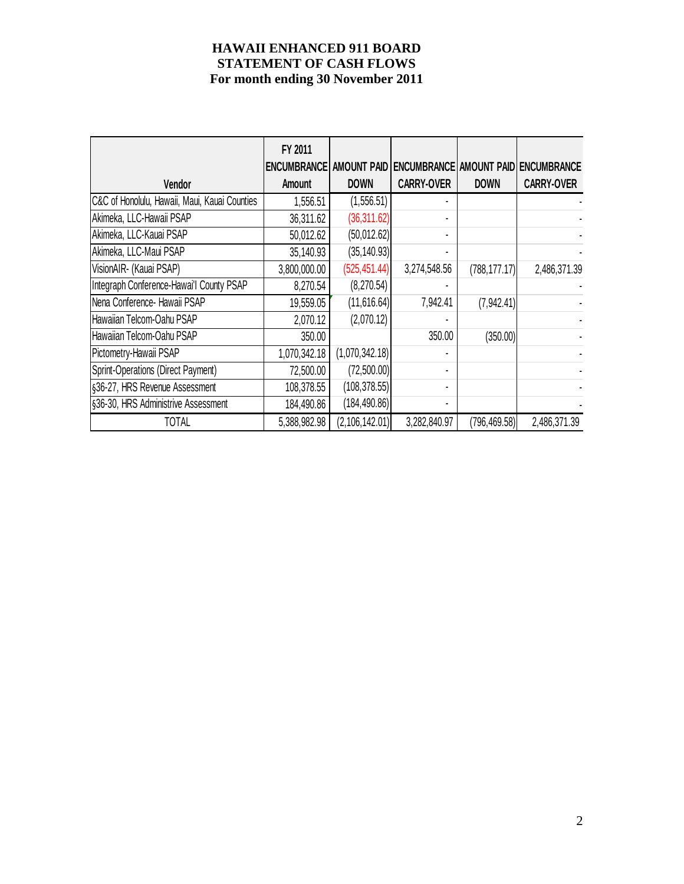| Vendor                                        | FY 2011<br><b>ENCUMBRANCE</b><br><b>Amount</b> | <b>DOWN</b>      | <b>CARRY-OVER</b> | <b>DOWN</b>   | AMOUNT PAID ENCUMBRANCE AMOUNT PAID ENCUMBRANCE<br><b>CARRY-OVER</b> |
|-----------------------------------------------|------------------------------------------------|------------------|-------------------|---------------|----------------------------------------------------------------------|
| C&C of Honolulu, Hawaii, Maui, Kauai Counties | 1,556.51                                       | (1,556.51)       |                   |               |                                                                      |
| Akimeka, LLC-Hawaii PSAP                      | 36,311.62                                      | (36, 311.62)     |                   |               |                                                                      |
| Akimeka, LLC-Kauai PSAP                       | 50,012.62                                      | (50,012.62)      |                   |               |                                                                      |
| Akimeka, LLC-Maui PSAP                        | 35,140.93                                      | (35, 140.93)     |                   |               |                                                                      |
| VisionAIR- (Kauai PSAP)                       | 3,800,000.00                                   | (525, 451.44)    | 3,274,548.56      | (788, 177.17) | 2,486,371.39                                                         |
| Integraph Conference-Hawai'l County PSAP      | 8,270.54                                       | (8,270.54)       |                   |               |                                                                      |
| Nena Conference- Hawaii PSAP                  | 19,559.05                                      | (11, 616.64)     | 7,942.41          | (7,942.41)    |                                                                      |
| Hawaiian Telcom-Oahu PSAP                     | 2,070.12                                       | (2,070.12)       |                   |               |                                                                      |
| Hawaiian Telcom-Oahu PSAP                     | 350.00                                         |                  | 350.00            | (350.00)      |                                                                      |
| Pictometry-Hawaii PSAP                        | 1,070,342.18                                   | (1,070,342.18)   |                   |               |                                                                      |
| Sprint-Operations (Direct Payment)            | 72,500.00                                      | (72,500.00)      |                   |               |                                                                      |
| §36-27, HRS Revenue Assessment                | 108,378.55                                     | (108, 378.55)    |                   |               |                                                                      |
| §36-30, HRS Administrive Assessment           | 184,490.86                                     | (184, 490.86)    |                   |               |                                                                      |
| <b>TOTAL</b>                                  | 5,388,982.98                                   | (2, 106, 142.01) | 3,282,840.97      | (796, 469.58) | 2,486,371.39                                                         |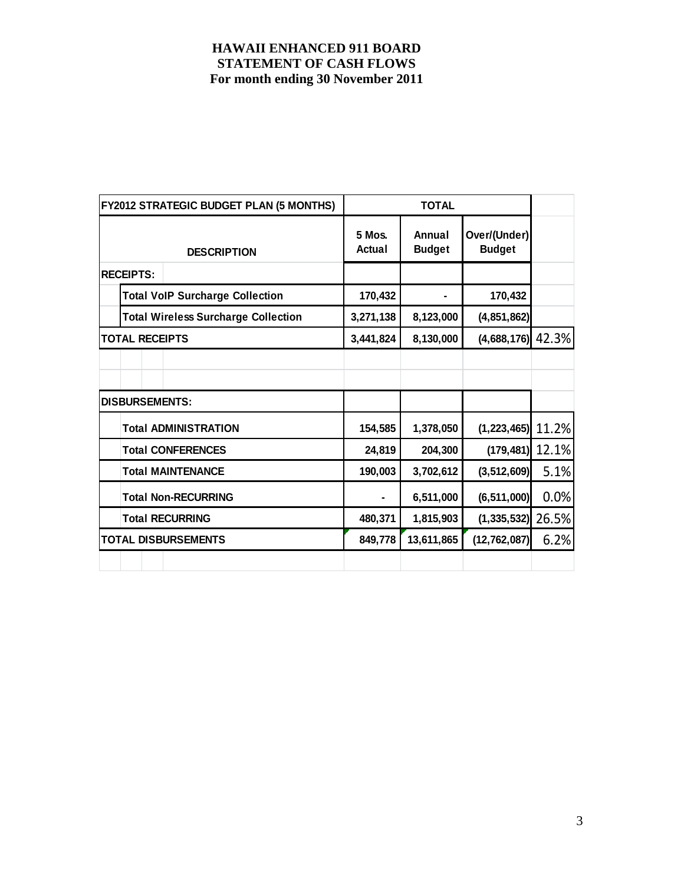|                       | <b>FY2012 STRATEGIC BUDGET PLAN (5 MONTHS)</b> |                  |                         |                               |       |
|-----------------------|------------------------------------------------|------------------|-------------------------|-------------------------------|-------|
|                       | <b>DESCRIPTION</b>                             | 5 Mos.<br>Actual | Annual<br><b>Budget</b> | Over/(Under)<br><b>Budget</b> |       |
| <b>RECEIPTS:</b>      |                                                |                  |                         |                               |       |
|                       | <b>Total VoIP Surcharge Collection</b>         | 170,432          |                         | 170,432                       |       |
|                       | <b>Total Wireless Surcharge Collection</b>     | 3,271,138        | 8,123,000               | (4,851,862)                   |       |
| <b>TOTAL RECEIPTS</b> |                                                | 3,441,824        | 8,130,000               | $(4,688,176)$ 42.3%           |       |
|                       |                                                |                  |                         |                               |       |
|                       |                                                |                  |                         |                               |       |
| <b>DISBURSEMENTS:</b> |                                                |                  |                         |                               |       |
|                       | <b>Total ADMINISTRATION</b>                    | 154,585          | 1,378,050               | $(1,223,465)$ 11.2%           |       |
|                       | <b>Total CONFERENCES</b>                       | 24,819           | 204,300                 | $(179, 481)$ 12.1%            |       |
|                       | <b>Total MAINTENANCE</b>                       | 190,003          | 3,702,612               | (3, 512, 609)                 | 5.1%  |
|                       | <b>Total Non-RECURRING</b>                     |                  | 6,511,000               | (6, 511, 000)                 | 0.0%  |
|                       | <b>Total RECURRING</b>                         | 480,371          | 1,815,903               | (1, 335, 532)                 | 26.5% |
|                       | <b>TOTAL DISBURSEMENTS</b>                     | 849,778          | 13,611,865              | (12, 762, 087)                | 6.2%  |
|                       |                                                |                  |                         |                               |       |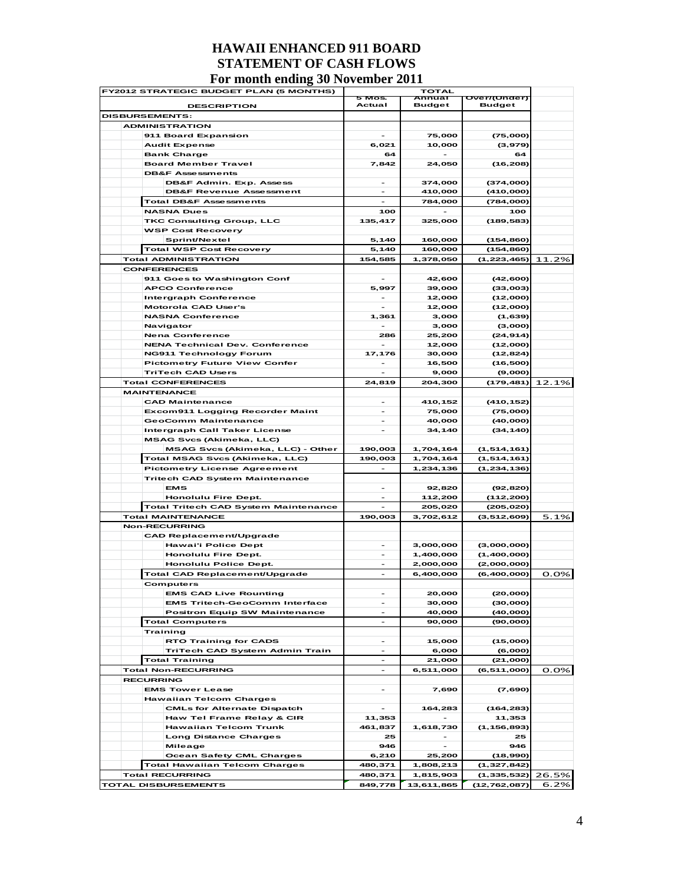|  | FY2012 STRATEGIC BUDGET PLAN (5 MONTHS)                            | <b>TOTAL</b>             |                          |                                 |         |
|--|--------------------------------------------------------------------|--------------------------|--------------------------|---------------------------------|---------|
|  | <b>DESCRIPTION</b>                                                 | 5 Mos.<br>Actual         | Annual<br><b>Budget</b>  | Over/(Under)<br><b>Budget</b>   |         |
|  | <b>DISBURSEMENTS:</b>                                              |                          |                          |                                 |         |
|  | <b>ADMINISTRATION</b>                                              |                          |                          |                                 |         |
|  | 911 Board Expansion                                                | $\overline{\phantom{0}}$ | 75,000                   | (75,000)                        |         |
|  | <b>Audit Expense</b>                                               | 6,021                    | 10,000                   | (3,979)                         |         |
|  | <b>Bank Charge</b>                                                 | 64                       |                          | 64                              |         |
|  | <b>Board Member Travel</b>                                         | 7,842                    | 24,050                   | (16, 208)                       |         |
|  | <b>DB&amp;F Assessments</b>                                        | $\overline{\phantom{a}}$ |                          |                                 |         |
|  | DB&F Admin. Exp. Assess<br><b>DB&amp;F Revenue Assessment</b>      |                          | 374,000<br>410,000       | (374,000)<br>(410,000)          |         |
|  | <b>Total DB&amp;F Assessments</b>                                  |                          | 784,000                  | (784,000)                       |         |
|  | <b>NASNA Dues</b>                                                  | 100                      |                          | 100                             |         |
|  | <b>TKC Consulting Group, LLC</b>                                   | 135,417                  | 325,000                  | (189, 583)                      |         |
|  | <b>WSP Cost Recovery</b>                                           |                          |                          |                                 |         |
|  | Sprint/Nextel                                                      | 5,140                    | 160,000                  | (154, 860)                      |         |
|  | <b>Total WSP Cost Recovery</b>                                     | 5,140                    | 160,000                  | (154, 860)                      |         |
|  | <b>Total ADMINISTRATION</b>                                        | 154,585                  | 1,378,050                | (1, 223, 465)                   | 11.2%   |
|  | <b>CONFERENCES</b>                                                 |                          |                          |                                 |         |
|  | 911 Goes to Washington Conf                                        |                          | 42,600                   | (42, 600)                       |         |
|  | <b>APCO Conference</b>                                             | 5,997                    | 39,000                   | (33,003)                        |         |
|  | <b>Intergraph Conference</b>                                       | $\overline{\phantom{0}}$ | 12,000                   | (12,000)                        |         |
|  | <b>Motorola CAD User's</b><br><b>NASNA Conference</b>              | 1,361                    | 12,000<br>3,000          | (12,000)<br>(1,639)             |         |
|  | Navigator                                                          |                          | 3,000                    | (3,000)                         |         |
|  | <b>Nena Conference</b>                                             | 286                      | 25,200                   | (24, 914)                       |         |
|  | <b>NENA Technical Dev. Conference</b>                              |                          | 12,000                   | (12,000)                        |         |
|  | <b>NG911 Technology Forum</b>                                      | 17,176                   | 30,000                   | (12, 824)                       |         |
|  | <b>Pictometry Future View Confer</b>                               | $\overline{\phantom{0}}$ | 16.500                   | (16, 500)                       |         |
|  | <b>TriTech CAD Users</b>                                           |                          | 9,000                    | (9,000)                         |         |
|  | <b>Total CONFERENCES</b>                                           | 24,819                   | 204,300                  | (179,481) 12.1%                 |         |
|  | <b>MAINTENANCE</b>                                                 |                          |                          |                                 |         |
|  | <b>CAD Maintenance</b>                                             |                          | 410,152                  | (410, 152)                      |         |
|  | <b>Excom911 Logging Recorder Maint</b>                             |                          | 75,000                   | (75,000)                        |         |
|  | <b>GeoComm Maintenance</b><br><b>Intergraph Call Taker License</b> | $\overline{\phantom{a}}$ | 40,000<br>34,140         | (40,000)<br>(34, 140)           |         |
|  | <b>MSAG Svcs (Akimeka, LLC)</b>                                    |                          |                          |                                 |         |
|  | MSAG Svcs (Akimeka, LLC) - Other                                   | 190,003                  | 1,704,164                | (1, 514, 161)                   |         |
|  | Total MSAG Svcs (Akimeka, LLC)                                     | 190,003                  | 1,704,164                | (1, 514, 161)                   |         |
|  | <b>Pictometry License Agreement</b>                                |                          | 1,234,136                | (1, 234, 136)                   |         |
|  | <b>Tritech CAD System Maintenance</b>                              |                          |                          |                                 |         |
|  | <b>EMS</b>                                                         | $\overline{\phantom{0}}$ | 92,820                   | (92, 820)                       |         |
|  | <b>Honolulu Fire Dept.</b>                                         | $\overline{\phantom{a}}$ | 112,200                  | (112, 200)                      |         |
|  | Total Tritech CAD System Maintenance                               |                          | 205,020                  | (205, 020)                      |         |
|  | <b>Total MAINTENANCE</b>                                           | 190.003                  | 3,702,612                | (3,512,609)                     | 5.1%    |
|  | <b>Non-RECURRING</b>                                               |                          |                          |                                 |         |
|  | <b>CAD Replacement/Upgrade</b>                                     |                          |                          |                                 |         |
|  | <b>Hawai'i Police Dept</b><br><b>Honolulu Fire Dept.</b>           |                          | 3,000,000<br>1,400,000   | (3,000,000)<br>(1,400,000)      |         |
|  | <b>Honolulu Police Dept.</b>                                       | $\overline{\phantom{0}}$ | 2,000,000                | (2,000,000)                     |         |
|  | Total CAD Replacement/Upgrade                                      |                          | 6,400,000                | (6,400,000)                     | 0.0%    |
|  | Computers                                                          |                          |                          |                                 |         |
|  | <b>EMS CAD Live Rounting</b>                                       |                          | 20,000                   | (20,000)                        |         |
|  | <b>EMS Tritech-GeoComm Interface</b>                               |                          | 30,000                   | (30,000)                        |         |
|  | <b>Positron Equip SW Maintenance</b>                               |                          | 40,000                   | (40,000)                        |         |
|  | <b>Total Computers</b>                                             |                          | 90,000                   | (90,000)                        |         |
|  | <b>Training</b>                                                    |                          |                          |                                 |         |
|  | <b>RTO Training for CADS</b>                                       | $\overline{\phantom{a}}$ | 15,000                   | (15,000)                        |         |
|  | TriTech CAD System Admin Train                                     |                          | 6,000                    | (6,000)                         |         |
|  | <b>Total Training</b><br><b>Total Non-RECURRING</b>                | $\overline{\phantom{0}}$ | 21,000<br>6,511,000      | (21,000)<br>(6, 511, 000)       | $0.0\%$ |
|  | <b>RECURRING</b>                                                   |                          |                          |                                 |         |
|  | <b>EMS Tower Lease</b>                                             | $\overline{\phantom{a}}$ | 7,690                    | (7,690)                         |         |
|  | <b>Hawaiian Telcom Charges</b>                                     |                          |                          |                                 |         |
|  | <b>CMLs for Alternate Dispatch</b>                                 | $\overline{\phantom{a}}$ | 164,283                  | (164, 283)                      |         |
|  | Haw Tel Frame Relay & CIR                                          | 11,353                   |                          | 11,353                          |         |
|  | <b>Hawaiian Telcom Trunk</b>                                       | 461,837                  | 1,618,730                | (1, 156, 893)                   |         |
|  | <b>Long Distance Charges</b>                                       | 25                       |                          | 25                              |         |
|  | <b>Mileage</b>                                                     | 946                      | $\overline{\phantom{a}}$ | 946                             |         |
|  | <b>Ocean Safety CML Charges</b>                                    | 6,210                    | 25,200                   | (18,990)                        |         |
|  | <b>Total Hawaiian Telcom Charges</b><br><b>Total RECURRING</b>     | 480,371<br>480,371       | 1,808,213                | (1, 327, 842)                   |         |
|  | <b>TOTAL DISBURSEMENTS</b>                                         | 849,778                  | 1,815,903<br>13,611,865  | (1, 335, 532)<br>(12, 762, 087) | 26.5%   |
|  |                                                                    |                          |                          |                                 | 6.2%    |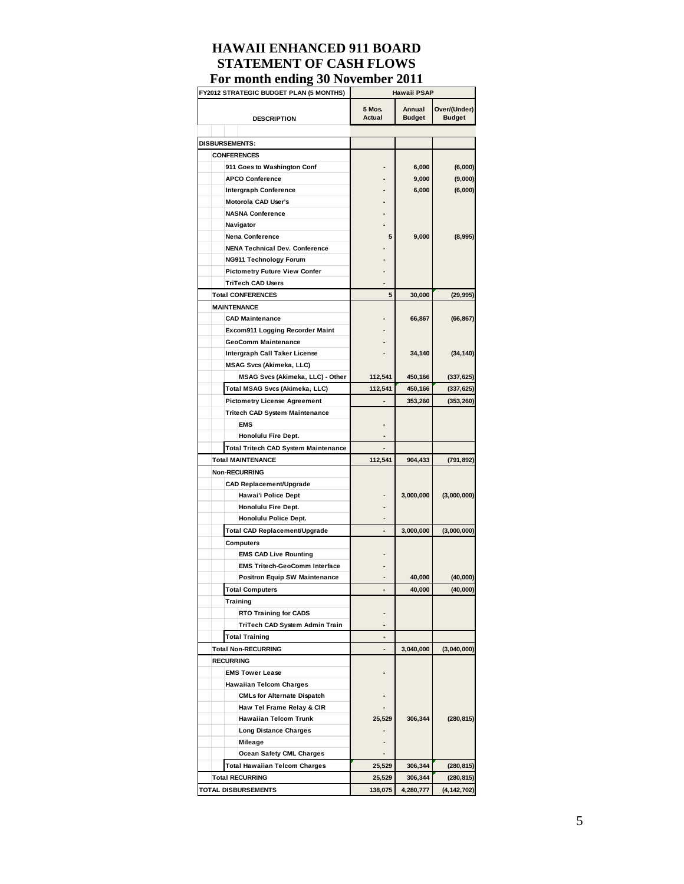| FY2012 STRATEGIC BUDGET PLAN (5 MONTHS)     | <b>Hawaii PSAP</b>      |                         |                               |  |
|---------------------------------------------|-------------------------|-------------------------|-------------------------------|--|
| <b>DESCRIPTION</b>                          | 5 Mos.<br><b>Actual</b> | Annual<br><b>Budget</b> | Over/(Under)<br><b>Budget</b> |  |
|                                             |                         |                         |                               |  |
| <b>DISBURSEMENTS:</b>                       |                         |                         |                               |  |
| <b>CONFERENCES</b>                          |                         |                         |                               |  |
| 911 Goes to Washington Conf                 |                         | 6,000                   | (6,000)                       |  |
| <b>APCO Conference</b>                      |                         | 9,000                   | (9,000)                       |  |
| <b>Intergraph Conference</b>                |                         | 6,000                   | (6,000)                       |  |
| Motorola CAD User's                         |                         |                         |                               |  |
| <b>NASNA Conference</b>                     |                         |                         |                               |  |
| Navigator                                   |                         |                         |                               |  |
| Nena Conference                             | 5                       | 9,000                   | (8,995)                       |  |
| <b>NENA Technical Dev. Conference</b>       |                         |                         |                               |  |
| NG911 Technology Forum                      |                         |                         |                               |  |
| <b>Pictometry Future View Confer</b>        |                         |                         |                               |  |
| <b>TriTech CAD Users</b>                    |                         |                         |                               |  |
| <b>Total CONFERENCES</b>                    | 5                       | 30,000                  | (29, 995)                     |  |
| <b>MAINTENANCE</b>                          |                         |                         |                               |  |
|                                             |                         |                         |                               |  |
| <b>CAD Maintenance</b>                      |                         | 66,867                  | (66, 867)                     |  |
| Excom911 Logging Recorder Maint             |                         |                         |                               |  |
| <b>GeoComm Maintenance</b>                  |                         |                         |                               |  |
| Intergraph Call Taker License               |                         | 34,140                  | (34, 140)                     |  |
| <b>MSAG Svcs (Akimeka, LLC)</b>             |                         |                         |                               |  |
| MSAG Svcs (Akimeka, LLC) - Other            | 112,541                 | 450,166                 | (337, 625)                    |  |
| Total MSAG Svcs (Akimeka, LLC)              | 112,541                 | 450,166                 | (337, 625)                    |  |
| <b>Pictometry License Agreement</b>         |                         | 353,260                 | (353, 260)                    |  |
| Tritech CAD System Maintenance              |                         |                         |                               |  |
| <b>EMS</b>                                  |                         |                         |                               |  |
| Honolulu Fire Dept.                         |                         |                         |                               |  |
| <b>Total Tritech CAD System Maintenance</b> |                         |                         |                               |  |
| <b>Total MAINTENANCE</b>                    | 112,541                 | 904,433                 | (791, 892)                    |  |
| <b>Non-RECURRING</b>                        |                         |                         |                               |  |
| <b>CAD Replacement/Upgrade</b>              |                         |                         |                               |  |
| Hawai'i Police Dept                         |                         | 3,000,000               | (3,000,000)                   |  |
| Honolulu Fire Dept.                         |                         |                         |                               |  |
| Honolulu Police Dept.                       |                         |                         |                               |  |
| Total CAD Replacement/Upgrade               |                         | 3,000,000               | (3,000,000)                   |  |
| <b>Computers</b>                            |                         |                         |                               |  |
| <b>EMS CAD Live Rounting</b>                |                         |                         |                               |  |
|                                             |                         |                         |                               |  |
| <b>EMS Tritech-GeoComm Interface</b>        |                         |                         |                               |  |
| <b>Positron Equip SW Maintenance</b>        |                         | 40,000                  | (40,000)                      |  |
| <b>Total Computers</b>                      |                         | 40,000                  | (40,000)                      |  |
| Training                                    |                         |                         |                               |  |
| <b>RTO Training for CADS</b>                |                         |                         |                               |  |
| TriTech CAD System Admin Train              |                         |                         |                               |  |
| <b>Total Training</b>                       |                         |                         |                               |  |
| <b>Total Non-RECURRING</b>                  |                         | 3,040,000               | (3,040,000)                   |  |
| <b>RECURRING</b>                            |                         |                         |                               |  |
| <b>EMS Tower Lease</b>                      |                         |                         |                               |  |
| <b>Hawaiian Telcom Charges</b>              |                         |                         |                               |  |
| <b>CMLs for Alternate Dispatch</b>          |                         |                         |                               |  |
| Haw Tel Frame Relay & CIR                   |                         |                         |                               |  |
| <b>Hawaiian Telcom Trunk</b>                | 25,529                  | 306,344                 | (280, 815)                    |  |
| <b>Long Distance Charges</b>                |                         |                         |                               |  |
| Mileage                                     |                         |                         |                               |  |
| <b>Ocean Safety CML Charges</b>             |                         |                         |                               |  |
| <b>Total Hawaiian Telcom Charges</b>        | 25,529                  | 306,344                 | (280, 815)                    |  |
| <b>Total RECURRING</b>                      | 25,529                  | 306,344                 | (280, 815)                    |  |
|                                             |                         |                         |                               |  |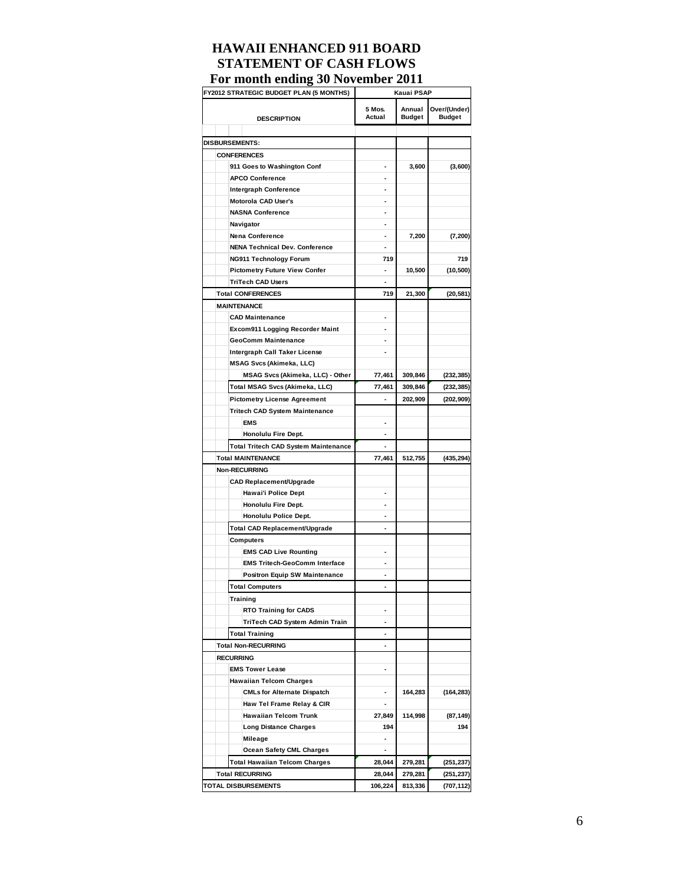| FY2012 STRATEGIC BUDGET PLAN (5 MONTHS) | Kauai PSAP               |                         |                               |  |
|-----------------------------------------|--------------------------|-------------------------|-------------------------------|--|
| <b>DESCRIPTION</b>                      | 5 Mos.<br>Actual         | Annual<br><b>Budget</b> | Over/(Under)<br><b>Budget</b> |  |
|                                         |                          |                         |                               |  |
| <b>DISBURSEMENTS:</b>                   |                          |                         |                               |  |
| <b>CONFERENCES</b>                      |                          |                         |                               |  |
| 911 Goes to Washington Conf             |                          | 3,600                   | (3,600)                       |  |
| <b>APCO Conference</b>                  |                          |                         |                               |  |
| <b>Intergraph Conference</b>            | ٠                        |                         |                               |  |
| Motorola CAD User's                     |                          |                         |                               |  |
| <b>NASNA Conference</b>                 | ۰                        |                         |                               |  |
| Navigator                               |                          |                         |                               |  |
| <b>Nena Conference</b>                  | ۰                        | 7,200                   | (7, 200)                      |  |
| <b>NENA Technical Dev. Conference</b>   |                          |                         |                               |  |
| NG911 Technology Forum                  | 719                      |                         | 719                           |  |
| <b>Pictometry Future View Confer</b>    | ٠                        | 10,500                  | (10, 500)                     |  |
| <b>TriTech CAD Users</b>                |                          |                         |                               |  |
| <b>Total CONFERENCES</b>                | 719                      | 21,300                  | (20, 581)                     |  |
| <b>MAINTENANCE</b>                      |                          |                         |                               |  |
| <b>CAD Maintenance</b>                  |                          |                         |                               |  |
| Excom911 Logging Recorder Maint         |                          |                         |                               |  |
| <b>GeoComm Maintenance</b>              | ٠                        |                         |                               |  |
| Intergraph Call Taker License           |                          |                         |                               |  |
| <b>MSAG Svcs (Akimeka, LLC)</b>         |                          |                         |                               |  |
| MSAG Svcs (Akimeka, LLC) - Other        | 77,461                   | 309,846                 | (232, 385)                    |  |
| Total MSAG Svcs (Akimeka, LLC)          | 77,461                   | 309,846                 | (232, 385)                    |  |
| <b>Pictometry License Agreement</b>     |                          | 202,909                 | (202, 909)                    |  |
| Tritech CAD System Maintenance          |                          |                         |                               |  |
| <b>EMS</b>                              |                          |                         |                               |  |
| Honolulu Fire Dept.                     | ٠                        |                         |                               |  |
| Total Tritech CAD System Maintenance    |                          |                         |                               |  |
| <b>Total MAINTENANCE</b>                | 77,461                   | 512,755                 | (435, 294)                    |  |
| <b>Non-RECURRING</b>                    |                          |                         |                               |  |
| <b>CAD Replacement/Upgrade</b>          |                          |                         |                               |  |
| Hawai'i Police Dept                     |                          |                         |                               |  |
| Honolulu Fire Dept.                     | ٠                        |                         |                               |  |
| Honolulu Police Dept.                   |                          |                         |                               |  |
| Total CAD Replacement/Upgrade           |                          |                         |                               |  |
| Computers                               |                          |                         |                               |  |
| <b>EMS CAD Live Rounting</b>            |                          |                         |                               |  |
| <b>EMS Tritech-GeoComm Interface</b>    |                          |                         |                               |  |
|                                         | ٠                        |                         |                               |  |
| <b>Positron Equip SW Maintenance</b>    |                          |                         |                               |  |
| Total Computers                         |                          |                         |                               |  |
| Training                                |                          |                         |                               |  |
| <b>RTO Training for CADS</b>            |                          |                         |                               |  |
| TriTech CAD System Admin Train          | ٠                        |                         |                               |  |
| <b>Total Training</b>                   |                          |                         |                               |  |
| <b>Total Non-RECURRING</b>              |                          |                         |                               |  |
| <b>RECURRING</b>                        |                          |                         |                               |  |
| <b>EMS Tower Lease</b>                  | ٠                        |                         |                               |  |
| <b>Hawaiian Telcom Charges</b>          |                          |                         |                               |  |
| <b>CMLs for Alternate Dispatch</b>      |                          | 164,283                 | (164, 283)                    |  |
| Haw Tel Frame Relay & CIR               | $\overline{\phantom{0}}$ |                         |                               |  |
| <b>Hawaiian Telcom Trunk</b>            | 27,849                   | 114,998                 | (87, 149)                     |  |
| <b>Long Distance Charges</b>            | 194                      |                         | 194                           |  |
| Mileage                                 | $\overline{\phantom{0}}$ |                         |                               |  |
| <b>Ocean Safety CML Charges</b>         | $\overline{\phantom{0}}$ |                         |                               |  |
| <b>Total Hawaiian Telcom Charges</b>    | 28,044                   | 279,281                 | (251, 237)                    |  |
| <b>Total RECURRING</b>                  | 28,044                   | 279,281                 | (251, 237)                    |  |
| <b>TOTAL DISBURSEMENTS</b>              | 106,224                  | 813,336                 | (707, 112)                    |  |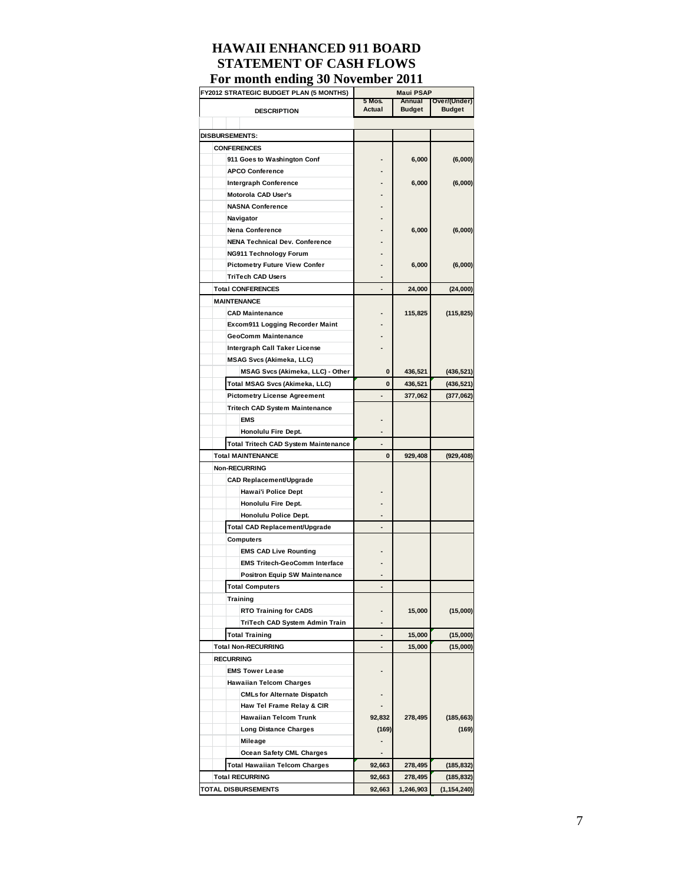| <b>FY2012 STRATEGIC BUDGET PLAN (5 MONTHS)</b>       | Maui PSAP        |                         |                               |  |
|------------------------------------------------------|------------------|-------------------------|-------------------------------|--|
|                                                      | 5 Mos.<br>Actual | Annual<br><b>Budget</b> | Over/(Under)<br><b>Budget</b> |  |
| <b>DESCRIPTION</b>                                   |                  |                         |                               |  |
|                                                      |                  |                         |                               |  |
| DISBURSEMENTS:                                       |                  |                         |                               |  |
| <b>CONFERENCES</b>                                   |                  |                         |                               |  |
| 911 Goes to Washington Conf                          |                  | 6,000                   | (6,000)                       |  |
| <b>APCO Conference</b>                               |                  |                         |                               |  |
| <b>Intergraph Conference</b>                         |                  | 6,000                   | (6,000)                       |  |
| Motorola CAD User's                                  |                  |                         |                               |  |
| <b>NASNA Conference</b>                              |                  |                         |                               |  |
| Navigator                                            |                  |                         |                               |  |
| Nena Conference                                      |                  | 6,000                   | (6,000)                       |  |
| <b>NENA Technical Dev. Conference</b>                |                  |                         |                               |  |
| NG911 Technology Forum                               |                  |                         |                               |  |
| <b>Pictometry Future View Confer</b>                 |                  | 6,000                   | (6,000)                       |  |
| <b>TriTech CAD Users</b><br><b>Total CONFERENCES</b> |                  |                         |                               |  |
|                                                      |                  | 24,000                  | (24,000)                      |  |
| <b>MAINTENANCE</b><br><b>CAD Maintenance</b>         |                  |                         |                               |  |
|                                                      |                  | 115,825                 | (115, 825)                    |  |
| Excom911 Logging Recorder Maint                      |                  |                         |                               |  |
| GeoComm Maintenance                                  |                  |                         |                               |  |
| Intergraph Call Taker License                        |                  |                         |                               |  |
| <b>MSAG Svcs (Akimeka, LLC)</b>                      | 0                |                         |                               |  |
| MSAG Svcs (Akimeka, LLC) - Other                     |                  | 436,521                 | (436, 521)                    |  |
| Total MSAG Svcs (Akimeka, LLC)                       | 0                | 436,521                 | (436, 521)                    |  |
| <b>Pictometry License Agreement</b>                  |                  | 377,062                 | (377,062)                     |  |
| Tritech CAD System Maintenance                       |                  |                         |                               |  |
| <b>EMS</b>                                           |                  |                         |                               |  |
| Honolulu Fire Dept.                                  |                  |                         |                               |  |
| <b>Total Tritech CAD System Maintenance</b>          |                  |                         |                               |  |
| <b>Total MAINTENANCE</b>                             | 0                | 929,408                 | (929, 408)                    |  |
| Non-RECURRING                                        |                  |                         |                               |  |
| <b>CAD Replacement/Upgrade</b>                       |                  |                         |                               |  |
| Hawai'i Police Dept                                  |                  |                         |                               |  |
| Honolulu Fire Dept.                                  |                  |                         |                               |  |
| Honolulu Police Dept.                                |                  |                         |                               |  |
| <b>Total CAD Replacement/Upgrade</b>                 |                  |                         |                               |  |
| Computers                                            |                  |                         |                               |  |
| <b>EMS CAD Live Rounting</b>                         |                  |                         |                               |  |
| <b>EMS Tritech-GeoComm Interface</b>                 |                  |                         |                               |  |
| <b>Positron Equip SW Maintenance</b>                 |                  |                         |                               |  |
| Total Computers                                      |                  |                         |                               |  |
| Training                                             |                  |                         |                               |  |
| <b>RTO Training for CADS</b>                         |                  | 15,000                  | (15,000)                      |  |
| TriTech CAD System Admin Train                       |                  |                         |                               |  |
| <b>Total Training</b>                                |                  | 15,000                  | (15,000)                      |  |
| <b>Total Non-RECURRING</b>                           |                  | 15,000                  | (15,000)                      |  |
| <b>RECURRING</b>                                     |                  |                         |                               |  |
| <b>EMS Tower Lease</b>                               |                  |                         |                               |  |
| <b>Hawaiian Telcom Charges</b>                       |                  |                         |                               |  |
| <b>CMLs for Alternate Dispatch</b>                   |                  |                         |                               |  |
| Haw Tel Frame Relay & CIR                            |                  |                         |                               |  |
| <b>Hawaiian Telcom Trunk</b>                         | 92,832           | 278,495                 | (185, 663)                    |  |
| <b>Long Distance Charges</b>                         | (169)            |                         | (169)                         |  |
| Mileage                                              |                  |                         |                               |  |
| <b>Ocean Safety CML Charges</b>                      |                  |                         |                               |  |
| <b>Total Hawaiian Telcom Charges</b>                 | 92,663           | 278,495                 | (185, 832)                    |  |
| <b>Total RECURRING</b>                               | 92,663           | 278,495                 | (185,832)                     |  |
| <b>TOTAL DISBURSEMENTS</b>                           | 92,663           | 1,246,903               | (1, 154, 240)                 |  |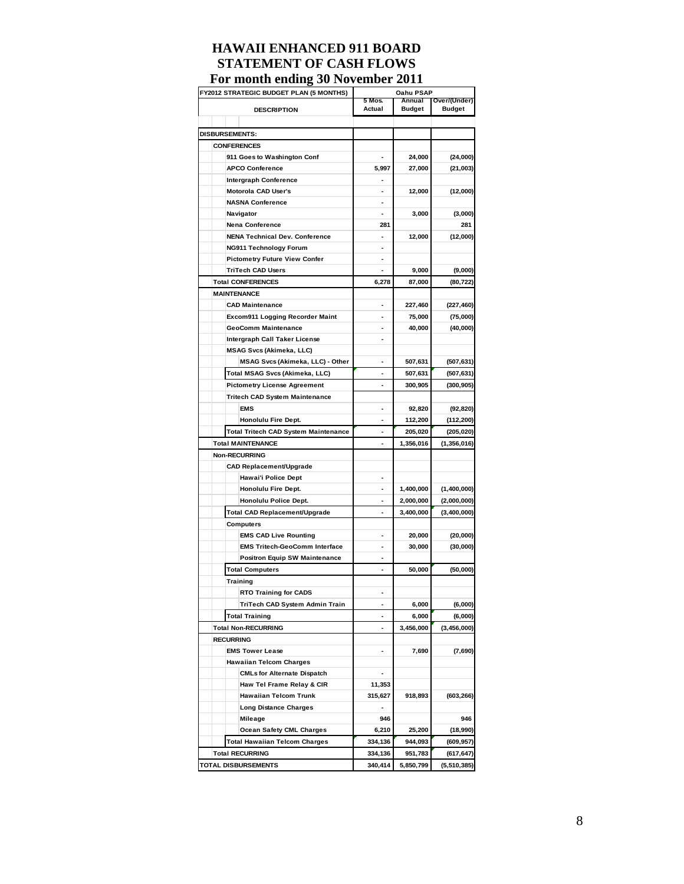| FY2012 STRATEGIC BUDGET PLAN (5 MONTHS) | Oahu PSAP |               |                         |  |
|-----------------------------------------|-----------|---------------|-------------------------|--|
|                                         | 5 Mos.    | Annual        | Over/(Under)            |  |
| <b>DESCRIPTION</b>                      | Actual    | <b>Budget</b> | <b>Budget</b>           |  |
|                                         |           |               |                         |  |
| DISBURSEMENTS:                          |           |               |                         |  |
| <b>CONFERENCES</b>                      |           |               |                         |  |
| 911 Goes to Washington Conf             |           | 24,000        | (24,000)                |  |
| <b>APCO Conference</b>                  | 5,997     | 27,000        | (21,003)                |  |
| Intergraph Conference                   | ٠         |               |                         |  |
| Motorola CAD User's                     |           | 12,000        | (12,000)                |  |
| <b>NASNA Conference</b>                 | ٠         |               |                         |  |
| Navigator                               | ä,        | 3,000         | (3,000)                 |  |
| Nena Conference                         | 281       |               | 281                     |  |
| <b>NENA Technical Dev. Conference</b>   | ٠         | 12,000        | (12,000)                |  |
| NG911 Technology Forum                  |           |               |                         |  |
| <b>Pictometry Future View Confer</b>    |           |               |                         |  |
| <b>TriTech CAD Users</b>                |           | 9,000         | (9,000)                 |  |
| <b>Total CONFERENCES</b>                | 6,278     | 87,000        | (80, 722)               |  |
| <b>MAINTENANCE</b>                      |           |               |                         |  |
| <b>CAD Maintenance</b>                  |           | 227,460       | (227, 460)              |  |
| Excom911 Logging Recorder Maint         | ٠         | 75,000        | (75,000)                |  |
| <b>GeoComm Maintenance</b>              |           | 40,000        | (40,000)                |  |
| Intergraph Call Taker License           |           |               |                         |  |
| <b>MSAG Svcs (Akimeka, LLC)</b>         |           |               |                         |  |
| MSAG Svcs (Akimeka, LLC) - Other        |           | 507,631       | (507, 631)              |  |
| Total MSAG Svcs (Akimeka, LLC)          |           | 507,631       | (507, 631)              |  |
| <b>Pictometry License Agreement</b>     |           | 300,905       | (300, 905)              |  |
| Tritech CAD System Maintenance          |           |               |                         |  |
| <b>EMS</b>                              |           | 92,820        |                         |  |
| Honolulu Fire Dept.                     |           | 112,200       | (92, 820)<br>(112, 200) |  |
|                                         |           |               |                         |  |
| Total Tritech CAD System Maintenance    |           | 205,020       | (205, 020)              |  |
| <b>Total MAINTENANCE</b>                | ä,        | 1,356,016     | (1,356,016)             |  |
| <b>Non-RECURRING</b>                    |           |               |                         |  |
| <b>CAD Replacement/Upgrade</b>          |           |               |                         |  |
| Hawai'i Police Dept                     | ٠         |               |                         |  |
| Honolulu Fire Dept.                     |           | 1,400,000     | (1,400,000)             |  |
| Honolulu Police Dept.                   |           | 2,000,000     | (2,000,000)             |  |
| Total CAD Replacement/Upgrade           | ÷.        | 3,400,000     | (3,400,000)             |  |
| Computers                               |           |               |                         |  |
| <b>EMS CAD Live Rounting</b>            |           | 20,000        | (20,000)                |  |
| <b>EMS Tritech-GeoComm Interface</b>    |           | 30,000        | (30,000)                |  |
| <b>Positron Equip SW Maintenance</b>    | ÷         |               |                         |  |
| <b>Total Computers</b>                  |           | 50,000        | (50,000)                |  |
| Training                                |           |               |                         |  |
| <b>RTO Training for CADS</b>            |           |               |                         |  |
| TriTech CAD System Admin Train          |           | 6,000         | (6,000)                 |  |
| <b>Total Training</b>                   |           | 6,000         | (6,000)                 |  |
| <b>Total Non-RECURRING</b>              |           | 3,456,000     | (3, 456, 000)           |  |
| <b>RECURRING</b>                        |           |               |                         |  |
| <b>EMS Tower Lease</b>                  | ٠         | 7,690         | (7,690)                 |  |
| <b>Hawaiian Telcom Charges</b>          |           |               |                         |  |
| <b>CMLs for Alternate Dispatch</b>      |           |               |                         |  |
| Haw Tel Frame Relay & CIR               | 11,353    |               |                         |  |
| <b>Hawaiian Telcom Trunk</b>            | 315,627   | 918,893       | (603, 266)              |  |
| <b>Long Distance Charges</b>            |           |               |                         |  |
| Mileage                                 | 946       |               | 946                     |  |
| Ocean Safety CML Charges                | 6,210     | 25,200        | (18,990)                |  |
| <b>Total Hawaiian Telcom Charges</b>    | 334,136   | 944,093       | (609, 957)              |  |
| <b>Total RECURRING</b>                  | 334,136   | 951,783       | (617, 647)              |  |
| <b>TOTAL DISBURSEMENTS</b>              | 340,414   | 5,850,799     | (5,510,385)             |  |
|                                         |           |               |                         |  |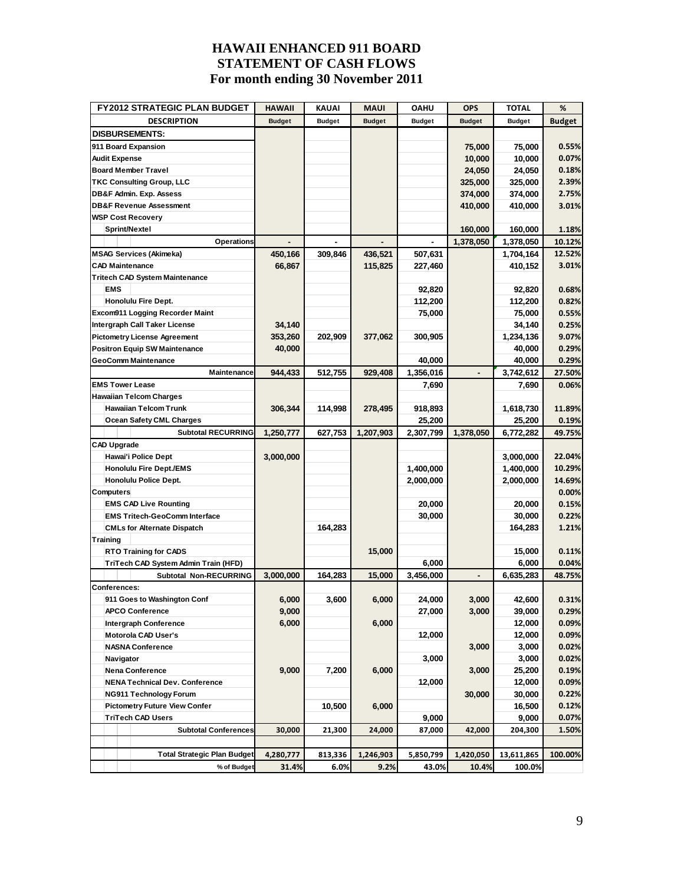| <b>FY2012 STRATEGIC PLAN BUDGET</b>    | <b>HAWAII</b> | <b>KAUAI</b>  | <b>MAUI</b>   | <b>OAHU</b>   | <b>OPS</b>    | <b>TOTAL</b>  | %             |
|----------------------------------------|---------------|---------------|---------------|---------------|---------------|---------------|---------------|
| <b>DESCRIPTION</b>                     | <b>Budget</b> | <b>Budget</b> | <b>Budget</b> | <b>Budget</b> | <b>Budget</b> | <b>Budget</b> | <b>Budget</b> |
| <b>DISBURSEMENTS:</b>                  |               |               |               |               |               |               |               |
| 911 Board Expansion                    |               |               |               |               | 75,000        | 75,000        | 0.55%         |
| <b>Audit Expense</b>                   |               |               |               |               | 10,000        | 10,000        | 0.07%         |
| <b>Board Member Travel</b>             |               |               |               |               | 24,050        | 24,050        | 0.18%         |
| <b>TKC Consulting Group, LLC</b>       |               |               |               |               | 325,000       | 325,000       | 2.39%         |
| DB&F Admin. Exp. Assess                |               |               |               |               | 374,000       | 374,000       | 2.75%         |
| <b>DB&amp;F Revenue Assessment</b>     |               |               |               |               | 410,000       | 410,000       | 3.01%         |
| <b>WSP Cost Recovery</b>               |               |               |               |               |               |               |               |
| <b>Sprint/Nextel</b>                   |               |               |               |               | 160,000       | 160,000       | 1.18%         |
| Operations                             |               |               |               |               | 1,378,050     | 1,378,050     | 10.12%        |
| <b>MSAG Services (Akimeka)</b>         | 450,166       | 309,846       | 436,521       | 507,631       |               | 1,704,164     | 12.52%        |
| <b>CAD Maintenance</b>                 | 66,867        |               | 115,825       | 227,460       |               | 410,152       | 3.01%         |
| <b>Tritech CAD System Maintenance</b>  |               |               |               |               |               |               |               |
| <b>EMS</b>                             |               |               |               | 92,820        |               | 92,820        | 0.68%         |
| Honolulu Fire Dept.                    |               |               |               | 112,200       |               | 112,200       | 0.82%         |
| <b>Excom911 Logging Recorder Maint</b> |               |               |               | 75,000        |               | 75,000        | 0.55%         |
| Intergraph Call Taker License          | 34,140        |               |               |               |               | 34,140        | 0.25%         |
| <b>Pictometry License Agreement</b>    | 353,260       | 202,909       | 377,062       | 300,905       |               | 1,234,136     | 9.07%         |
| <b>Positron Equip SW Maintenance</b>   | 40,000        |               |               |               |               | 40,000        | 0.29%         |
| <b>GeoComm Maintenance</b>             |               |               |               | 40,000        |               | 40,000        | 0.29%         |
| Maintenance                            | 944,433       | 512,755       | 929,408       | 1,356,016     | ٠             | 3,742,612     | 27.50%        |
| <b>EMS Tower Lease</b>                 |               |               |               | 7,690         |               | 7,690         | 0.06%         |
| <b>Hawaiian Telcom Charges</b>         |               |               |               |               |               |               |               |
| <b>Hawaiian Telcom Trunk</b>           | 306.344       | 114,998       | 278,495       | 918,893       |               | 1,618,730     | 11.89%        |
| Ocean Safety CML Charges               |               |               |               | 25,200        |               | 25,200        | 0.19%         |
| <b>Subtotal RECURRING</b>              | 1,250,777     | 627,753       | 1,207,903     | 2,307,799     | 1,378,050     | 6,772,282     | 49.75%        |
| <b>CAD Upgrade</b>                     |               |               |               |               |               |               |               |
| Hawai'i Police Dept                    | 3,000,000     |               |               |               |               | 3,000,000     | 22.04%        |
| <b>Honolulu Fire Dept./EMS</b>         |               |               |               | 1,400,000     |               | 1,400,000     | 10.29%        |
| Honolulu Police Dept.                  |               |               |               | 2,000,000     |               | 2,000,000     | 14.69%        |
| <b>Computers</b>                       |               |               |               |               |               |               | 0.00%         |
| <b>EMS CAD Live Rounting</b>           |               |               |               | 20,000        |               | 20,000        | 0.15%         |
| <b>EMS Tritech-GeoComm Interface</b>   |               |               |               | 30,000        |               | 30,000        | 0.22%         |
| <b>CMLs for Alternate Dispatch</b>     |               | 164,283       |               |               |               | 164,283       | 1.21%         |
| <b>Training</b>                        |               |               |               |               |               |               |               |
| <b>RTO Training for CADS</b>           |               |               | 15,000        |               |               | 15,000        | 0.11%         |
| TriTech CAD System Admin Train (HFD)   |               |               |               | 6,000         |               | 6,000         | 0.04%         |
| Subtotal Non-RECURRING                 | 3,000,000     | 164.283       | 15,000        | 3,456,000     |               | 6,635,283     | 48.75%        |
| Conferences:                           |               |               |               |               |               |               |               |
| 911 Goes to Washington Conf            | 6,000         | 3,600         | 6,000         | 24,000        | 3,000         | 42,600        | 0.31%         |
| <b>APCO Conference</b>                 | 9,000         |               |               | 27,000        | 3,000         | 39,000        | 0.29%         |
| Intergraph Conference                  | 6,000         |               | 6,000         |               |               | 12,000        | 0.09%         |
| Motorola CAD User's                    |               |               |               | 12,000        |               | 12,000        | 0.09%         |
| <b>NASNA Conference</b>                |               |               |               |               | 3,000         | 3,000         | 0.02%         |
| Navigator                              |               |               |               | 3,000         |               | 3,000         | 0.02%         |
| <b>Nena Conference</b>                 | 9,000         | 7,200         | 6,000         |               | 3,000         | 25,200        | 0.19%         |
| <b>NENA Technical Dev. Conference</b>  |               |               |               | 12,000        |               | 12,000        | 0.09%         |
| <b>NG911 Technology Forum</b>          |               |               |               |               | 30,000        | 30,000        | 0.22%         |
| <b>Pictometry Future View Confer</b>   |               | 10,500        | 6,000         |               |               | 16,500        | 0.12%         |
| <b>TriTech CAD Users</b>               |               |               |               | 9,000         |               | 9,000         | 0.07%         |
| <b>Subtotal Conferences</b>            | 30,000        | 21,300        | 24,000        | 87,000        | 42,000        | 204,300       | 1.50%         |
|                                        |               |               |               |               |               |               |               |
| <b>Total Strategic Plan Budget</b>     | 4,280,777     | 813,336       | 1,246,903     | 5,850,799     | 1,420,050     | 13,611,865    | 100.00%       |
| % of Budget                            | 31.4%         | 6.0%          | 9.2%          | 43.0%         | 10.4%         | 100.0%        |               |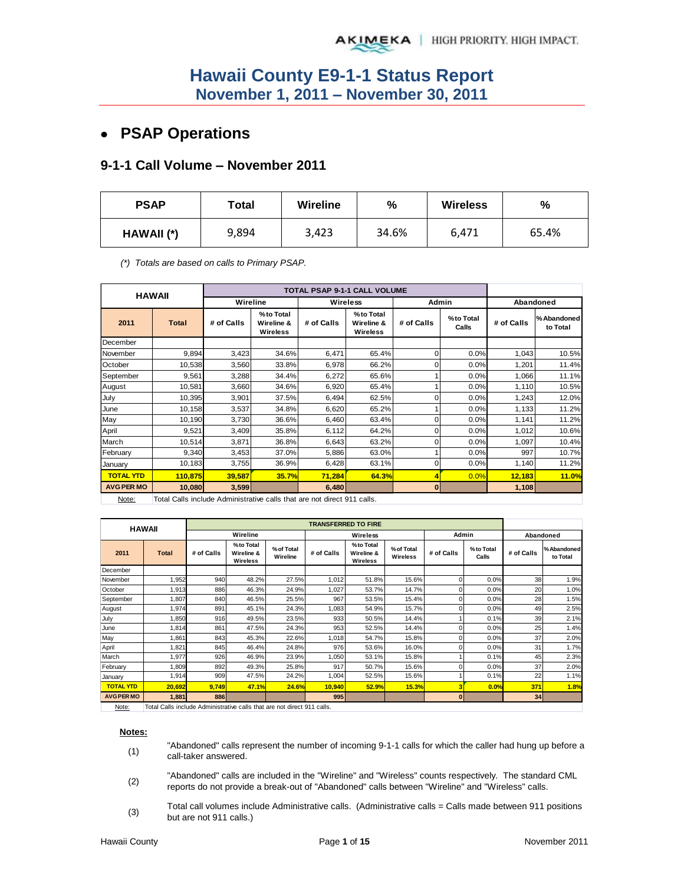# **PSAP Operations**

### **9-1-1 Call Volume – November 2011**

| <b>PSAP</b> | Total | <b>Wireline</b> | $\frac{9}{6}$ | <b>Wireless</b> | %     |
|-------------|-------|-----------------|---------------|-----------------|-------|
| HAWAII (*)  | 9,894 | 3,423           | 34.6%         | 6,471           | 65.4% |

*(\*) Totals are based on calls to Primary PSAP.* 

|                   | <b>HAWAII</b>                                                          |            |                                     |            |                                     |            |                    |            |                         |
|-------------------|------------------------------------------------------------------------|------------|-------------------------------------|------------|-------------------------------------|------------|--------------------|------------|-------------------------|
|                   |                                                                        | Wireline   |                                     |            | Wireless                            | Admin      |                    |            | Abandoned               |
| 2011              | <b>Total</b>                                                           | # of Calls | %to Total<br>Wireline &<br>Wireless | # of Calls | %to Total<br>Wireline &<br>Wireless | # of Calls | %to Total<br>Calls | # of Calls | % Abandoned<br>to Total |
| December          |                                                                        |            |                                     |            |                                     |            |                    |            |                         |
| November          | 9,894                                                                  | 3,423      | 34.6%                               | 6,471      | 65.4%                               | 0          | 0.0%               | 1,043      | 10.5%                   |
| October           | 10,538                                                                 | 3,560      | 33.8%                               | 6,978      | 66.2%                               | 0          | 0.0%               | 1,201      | 11.4%                   |
| September         | 9,561                                                                  | 3,288      | 34.4%                               | 6,272      | 65.6%                               |            | 0.0%               | 1,066      | 11.1%                   |
| August            | 10,581                                                                 | 3,660      | 34.6%                               | 6,920      | 65.4%                               |            | 0.0%               | 1,110      | 10.5%                   |
| July              | 10,395                                                                 | 3,901      | 37.5%                               | 6,494      | 62.5%                               | ი          | 0.0%               | 1,243      | 12.0%                   |
| June              | 10,158                                                                 | 3,537      | 34.8%                               | 6,620      | 65.2%                               |            | 0.0%               | 1,133      | 11.2%                   |
| May               | 10,190                                                                 | 3,730      | 36.6%                               | 6,460      | 63.4%                               | 0          | 0.0%               | 1,141      | 11.2%                   |
| April             | 9,521                                                                  | 3,409      | 35.8%                               | 6,112      | 64.2%                               | 0          | 0.0%               | 1,012      | 10.6%                   |
| March             | 10,514                                                                 | 3,871      | 36.8%                               | 6,643      | 63.2%                               |            | 0.0%               | 1,097      | 10.4%                   |
| February          | 9,340                                                                  | 3,453      | 37.0%                               | 5,886      | 63.0%                               |            | 0.0%               | 997        | 10.7%                   |
| January           | 10,183                                                                 | 3,755      | 36.9%                               | 6,428      | 63.1%                               | 0          | 0.0%               | 1,140      | 11.2%                   |
| <b>TOTAL YTD</b>  | 110.875                                                                | 39,587     | 35.7%                               | 71,284     | 64.3%                               |            | 0.0%               | 12,183     | 11.0%                   |
| <b>AVG PER MO</b> | 10,080                                                                 | 3,599      |                                     | 6,480      |                                     | $\bf{0}$   |                    | 1,108      |                         |
| N <sub>0</sub>    | Total Calle include Administrative calle that are not direct 011 calle |            |                                     |            |                                     |            |                    |            |                         |

Note: Total Calls include Administrative calls that are not direct 911 calls.

| <b>HAWAII</b>     |              |            |                                     |                        | <b>TRANSFERRED TO FIRE</b> |                                            |                        |            |                    |            |                        |
|-------------------|--------------|------------|-------------------------------------|------------------------|----------------------------|--------------------------------------------|------------------------|------------|--------------------|------------|------------------------|
|                   |              |            | Wireline                            |                        |                            | Wireless                                   |                        | Admin      |                    | Abandoned  |                        |
| 2011              | <b>Total</b> | # of Calls | %to Total<br>Wireline &<br>Wireless | % of Total<br>Wireline | # of Calls                 | %to Total<br>Wireline &<br><b>Wireless</b> | % of Total<br>Wireless | # of Calls | %to Total<br>Calls | # of Calls | %Abandoned<br>to Total |
| December          |              |            |                                     |                        |                            |                                            |                        |            |                    |            |                        |
| November          | 1,952        | 940        | 48.2%                               | 27.5%                  | 1,012                      | 51.8%                                      | 15.6%                  | 0          | 0.0%               | 38         | 1.9%                   |
| October           | 1,913        | 886        | 46.3%                               | 24.9%                  | 1,027                      | 53.7%                                      | 14.7%                  |            | 0.0%               | 20         | 1.0%                   |
| September         | 1.807        | 840        | 46.5%                               | 25.5%                  | 967                        | 53.5%                                      | 15.4%                  |            | 0.0%               | 28         | 1.5%                   |
| August            | 1,974        | 891        | 45.1%                               | 24.3%                  | 1,083                      | 54.9%                                      | 15.7%                  |            | 0.0%               | 49         | 2.5%                   |
| July              | 1,850        | 916        | 49.5%                               | 23.5%                  | 933                        | 50.5%                                      | 14.4%                  |            | 0.1%               | 39         | 2.1%                   |
| June              | 1,814        | 861        | 47.5%                               | 24.3%                  | 953                        | 52.5%                                      | 14.4%                  | 0          | 0.0%               | 25         | 1.4%                   |
| May               | 1,861        | 843        | 45.3%                               | 22.6%                  | 1,018                      | 54.7%                                      | 15.8%                  | 0          | 0.0%               | 37         | 2.0%                   |
| April             | 1,821        | 845        | 46.4%                               | 24.8%                  | 976                        | 53.6%                                      | 16.0%                  | 0          | 0.0%               | 31         | 1.7%                   |
| March             | 1,977        | 926        | 46.9%                               | 23.9%                  | 1,050                      | 53.1%                                      | 15.8%                  |            | 0.1%               | 45         | 2.3%                   |
| February          | 1,809        | 892        | 49.3%                               | 25.8%                  | 917                        | 50.7%                                      | 15.6%                  |            | 0.0%               | 37         | 2.0%                   |
| January           | 1,914        | 909        | 47.5%                               | 24.2%                  | 1,004                      | 52.5%                                      | 15.6%                  |            | 0.1%               | 22         | 1.1%                   |
| <b>TOTAL YTD</b>  | 20,692       | 9,749      | 47.1%                               | 24.6%                  | 10,940                     | 52.9%                                      | 15.3%                  | з          | 0.0%               | 371        | 1.8%                   |
| <b>AVG PER MO</b> | 1,881        | 886        |                                     |                        | 995                        |                                            |                        | $\bf{0}$   |                    | 34         |                        |

Note: | Total Calls include Administrative calls that are not direct 911 calls.

**Notes:**

- (1) "Abandoned" calls represent the number of incoming 9-1-1 calls for which the caller had hung up before a call-taker answered.
- (2) "Abandoned" calls are included in the "Wireline" and "Wireless" counts respectively. The standard CML reports do not provide a break-out of "Abandoned" calls between "Wireline" and "Wireless" calls.
- (3) Total call volumes include Administrative calls. (Administrative calls = Calls made between 911 positions but are not 911 calls.)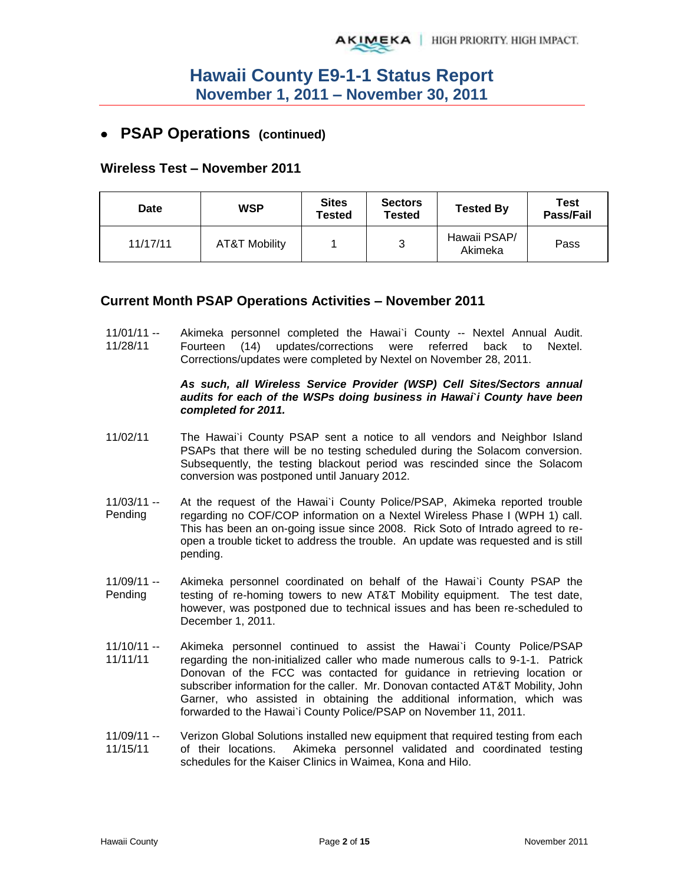## **PSAP Operations (continued)**

### **Wireless Test – November 2011**

| Date     | WSP           | <b>Sites</b><br>Tested | <b>Sectors</b><br><b>Tested</b> | <b>Tested By</b>        | Test<br>Pass/Fail |
|----------|---------------|------------------------|---------------------------------|-------------------------|-------------------|
| 11/17/11 | AT&T Mobility |                        | 3                               | Hawaii PSAP/<br>Akimeka | Pass              |

### **Current Month PSAP Operations Activities – November 2011**

11/01/11 -- 11/28/11 Akimeka personnel completed the Hawai`i County -- Nextel Annual Audit. Fourteen (14) updates/corrections were referred back to Nextel. Corrections/updates were completed by Nextel on November 28, 2011.

#### *As such, all Wireless Service Provider (WSP) Cell Sites/Sectors annual audits for each of the WSPs doing business in Hawai***`***i County have been completed for 2011.*

- 11/02/11 The Hawai`i County PSAP sent a notice to all vendors and Neighbor Island PSAPs that there will be no testing scheduled during the Solacom conversion. Subsequently, the testing blackout period was rescinded since the Solacom conversion was postponed until January 2012.
- 11/03/11 -- Pending At the request of the Hawai`i County Police/PSAP, Akimeka reported trouble regarding no COF/COP information on a Nextel Wireless Phase I (WPH 1) call. This has been an on-going issue since 2008. Rick Soto of Intrado agreed to reopen a trouble ticket to address the trouble. An update was requested and is still pending.
- 11/09/11 -- Pending Akimeka personnel coordinated on behalf of the Hawai`i County PSAP the testing of re-homing towers to new AT&T Mobility equipment. The test date, however, was postponed due to technical issues and has been re-scheduled to December 1, 2011.
- 11/10/11 -- 11/11/11 Akimeka personnel continued to assist the Hawai`i County Police/PSAP regarding the non-initialized caller who made numerous calls to 9-1-1. Patrick Donovan of the FCC was contacted for guidance in retrieving location or subscriber information for the caller. Mr. Donovan contacted AT&T Mobility, John Garner, who assisted in obtaining the additional information, which was forwarded to the Hawai`i County Police/PSAP on November 11, 2011.
- 11/09/11 -- 11/15/11 Verizon Global Solutions installed new equipment that required testing from each of their locations. Akimeka personnel validated and coordinated testing schedules for the Kaiser Clinics in Waimea, Kona and Hilo.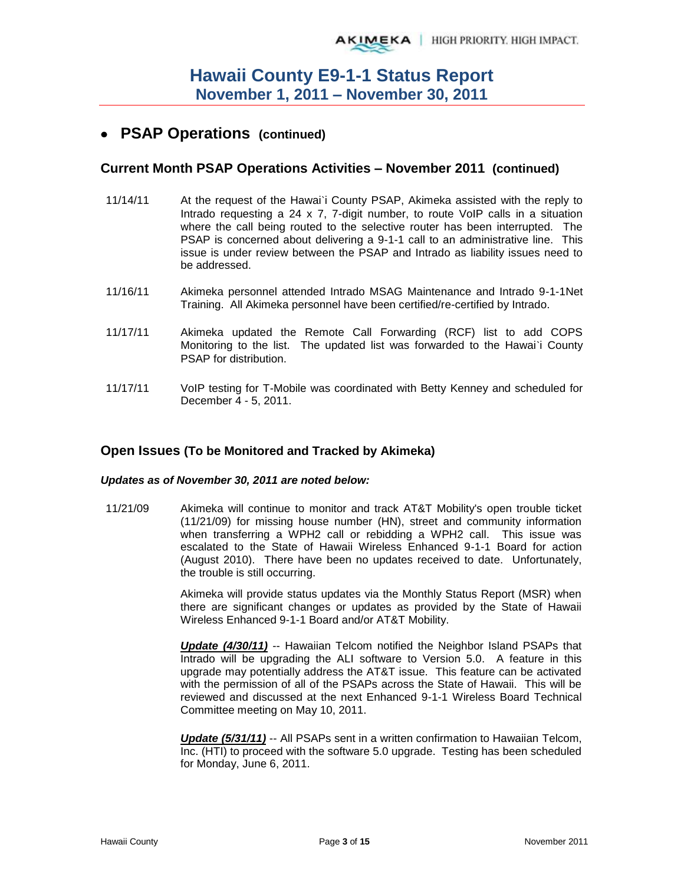## **PSAP Operations (continued)**

### **Current Month PSAP Operations Activities – November 2011 (continued)**

- 11/14/11 At the request of the Hawai`i County PSAP, Akimeka assisted with the reply to Intrado requesting a 24 x 7, 7-digit number, to route VoIP calls in a situation where the call being routed to the selective router has been interrupted. The PSAP is concerned about delivering a 9-1-1 call to an administrative line. This issue is under review between the PSAP and Intrado as liability issues need to be addressed.
- 11/16/11 Akimeka personnel attended Intrado MSAG Maintenance and Intrado 9-1-1Net Training. All Akimeka personnel have been certified/re-certified by Intrado.
- 11/17/11 Akimeka updated the Remote Call Forwarding (RCF) list to add COPS Monitoring to the list. The updated list was forwarded to the Hawai`i County PSAP for distribution.
- 11/17/11 VoIP testing for T-Mobile was coordinated with Betty Kenney and scheduled for December 4 - 5, 2011.

### **Open Issues (To be Monitored and Tracked by Akimeka)**

#### *Updates as of November 30, 2011 are noted below:*

11/21/09 Akimeka will continue to monitor and track AT&T Mobility's open trouble ticket (11/21/09) for missing house number (HN), street and community information when transferring a WPH2 call or rebidding a WPH2 call. This issue was escalated to the State of Hawaii Wireless Enhanced 9-1-1 Board for action (August 2010). There have been no updates received to date. Unfortunately, the trouble is still occurring.

> Akimeka will provide status updates via the Monthly Status Report (MSR) when there are significant changes or updates as provided by the State of Hawaii Wireless Enhanced 9-1-1 Board and/or AT&T Mobility.

> *Update (4/30/11)* -- Hawaiian Telcom notified the Neighbor Island PSAPs that Intrado will be upgrading the ALI software to Version 5.0. A feature in this upgrade may potentially address the AT&T issue. This feature can be activated with the permission of all of the PSAPs across the State of Hawaii. This will be reviewed and discussed at the next Enhanced 9-1-1 Wireless Board Technical Committee meeting on May 10, 2011.

> *Update (5/31/11)* -- All PSAPs sent in a written confirmation to Hawaiian Telcom, Inc. (HTI) to proceed with the software 5.0 upgrade. Testing has been scheduled for Monday, June 6, 2011.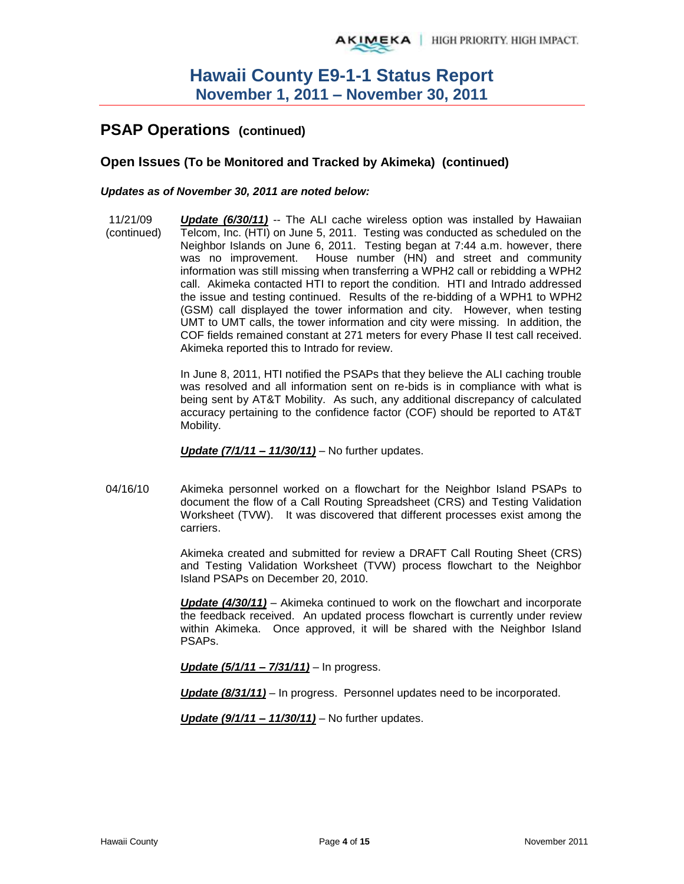# **PSAP Operations (continued)**

### **Open Issues (To be Monitored and Tracked by Akimeka) (continued)**

#### *Updates as of November 30, 2011 are noted below:*

11/21/09 (continued) *Update (6/30/11)* -- The ALI cache wireless option was installed by Hawaiian Telcom, Inc. (HTI) on June 5, 2011. Testing was conducted as scheduled on the Neighbor Islands on June 6, 2011. Testing began at 7:44 a.m. however, there was no improvement. House number (HN) and street and community information was still missing when transferring a WPH2 call or rebidding a WPH2 call. Akimeka contacted HTI to report the condition. HTI and Intrado addressed the issue and testing continued. Results of the re-bidding of a WPH1 to WPH2 (GSM) call displayed the tower information and city. However, when testing UMT to UMT calls, the tower information and city were missing. In addition, the COF fields remained constant at 271 meters for every Phase II test call received. Akimeka reported this to Intrado for review.

> In June 8, 2011, HTI notified the PSAPs that they believe the ALI caching trouble was resolved and all information sent on re-bids is in compliance with what is being sent by AT&T Mobility. As such, any additional discrepancy of calculated accuracy pertaining to the confidence factor (COF) should be reported to AT&T Mobility.

*Update (7/1/11 – 11/30/11)* – No further updates.

04/16/10 Akimeka personnel worked on a flowchart for the Neighbor Island PSAPs to document the flow of a Call Routing Spreadsheet (CRS) and Testing Validation Worksheet (TVW). It was discovered that different processes exist among the carriers.

> Akimeka created and submitted for review a DRAFT Call Routing Sheet (CRS) and Testing Validation Worksheet (TVW) process flowchart to the Neighbor Island PSAPs on December 20, 2010.

> *Update (4/30/11)* – Akimeka continued to work on the flowchart and incorporate the feedback received. An updated process flowchart is currently under review within Akimeka. Once approved, it will be shared with the Neighbor Island PSAPs.

*Update (5/1/11 – 7/31/11)* – In progress.

*Update (8/31/11)* – In progress. Personnel updates need to be incorporated.

*Update (9/1/11 – 11/30/11)* – No further updates.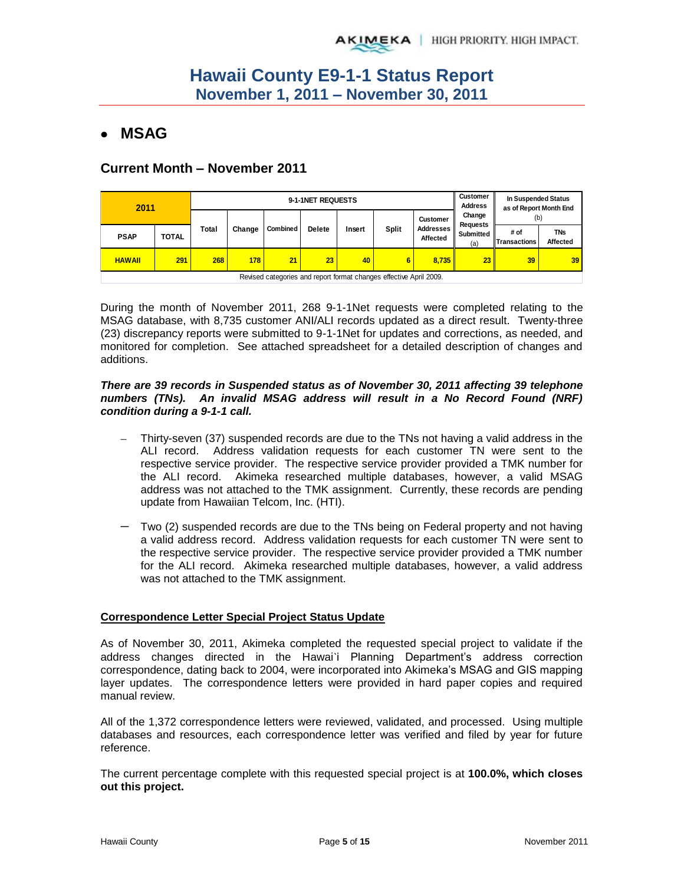## **MSAG**

## **Current Month – November 2011**

| 2011          |              |                                                                    | 9-1-1NET REQUESTS |                 |               |        |              |                              | <b>Customer</b><br><b>Address</b> | In Suspended Status<br>as of Report Month End |                        |
|---------------|--------------|--------------------------------------------------------------------|-------------------|-----------------|---------------|--------|--------------|------------------------------|-----------------------------------|-----------------------------------------------|------------------------|
|               |              |                                                                    |                   |                 |               |        |              | <b>Customer</b>              | Change<br><b>Requests</b>         | (b)                                           |                        |
| <b>PSAP</b>   | <b>TOTAL</b> | Total                                                              | Change            | <b>Combined</b> | <b>Delete</b> | Insert | <b>Split</b> | <b>Addresses</b><br>Affected | Submitted<br>(a)                  | # of<br><b>Transactions</b>                   | <b>TNs</b><br>Affected |
| <b>HAWAII</b> | 291          | 268                                                                | 178               | 21              | 23            | 40     | 6            | 8.735                        | 23 <sup>1</sup>                   | 39                                            | 39                     |
|               |              | Revised categories and report format changes effective April 2009. |                   |                 |               |        |              |                              |                                   |                                               |                        |

During the month of November 2011, 268 9-1-1Net requests were completed relating to the MSAG database, with 8,735 customer ANI/ALI records updated as a direct result. Twenty-three (23) discrepancy reports were submitted to 9-1-1Net for updates and corrections, as needed, and monitored for completion. See attached spreadsheet for a detailed description of changes and additions.

#### *There are 39 records in Suspended status as of November 30, 2011 affecting 39 telephone numbers (TNs). An invalid MSAG address will result in a No Record Found (NRF) condition during a 9-1-1 call.*

- Thirty-seven (37) suspended records are due to the TNs not having a valid address in the ALI record. Address validation requests for each customer TN were sent to the respective service provider. The respective service provider provided a TMK number for the ALI record. Akimeka researched multiple databases, however, a valid MSAG address was not attached to the TMK assignment. Currently, these records are pending update from Hawaiian Telcom, Inc. (HTI).
- Two (2) suspended records are due to the TNs being on Federal property and not having a valid address record. Address validation requests for each customer TN were sent to the respective service provider. The respective service provider provided a TMK number for the ALI record. Akimeka researched multiple databases, however, a valid address was not attached to the TMK assignment.

#### **Correspondence Letter Special Project Status Update**

As of November 30, 2011, Akimeka completed the requested special project to validate if the address changes directed in the Hawai'i Planning Department's address correction correspondence, dating back to 2004, were incorporated into Akimeka's MSAG and GIS mapping layer updates. The correspondence letters were provided in hard paper copies and required manual review.

All of the 1,372 correspondence letters were reviewed, validated, and processed. Using multiple databases and resources, each correspondence letter was verified and filed by year for future reference.

The current percentage complete with this requested special project is at **100.0%, which closes out this project.**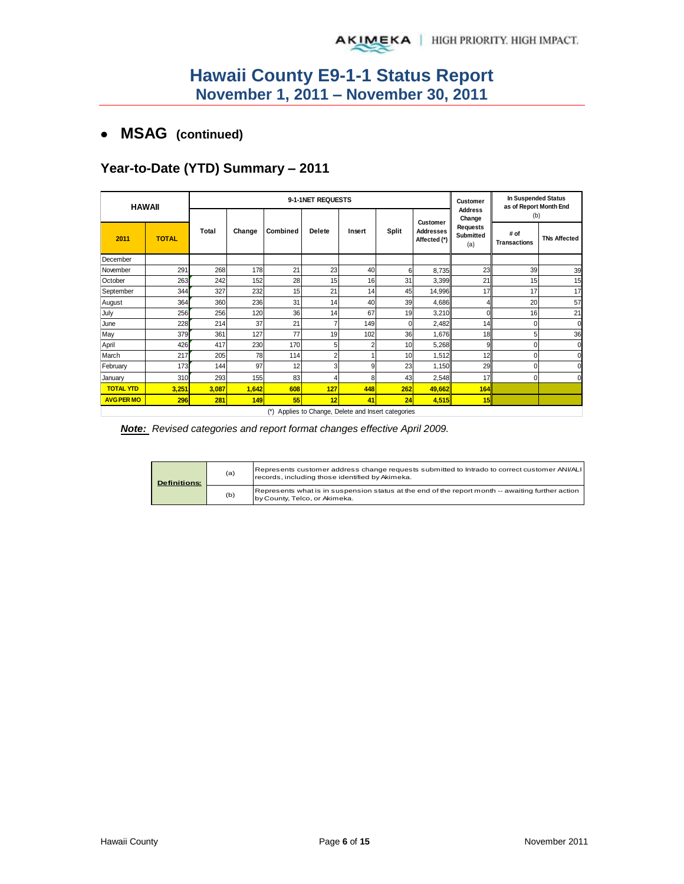## **MSAG (continued)**

## **Year-to-Date (YTD) Summary – 2011**

| <b>HAWAII</b>     |              |       |        |          | 9-1-1NET REQUESTS |                |              |                                  | In Suspended Status<br><b>Customer</b><br>as of Report Month End |                             |                     |
|-------------------|--------------|-------|--------|----------|-------------------|----------------|--------------|----------------------------------|------------------------------------------------------------------|-----------------------------|---------------------|
|                   |              |       |        |          |                   |                |              | <b>Customer</b>                  | <b>Address</b><br>Change                                         | (b)                         |                     |
| 2011              | <b>TOTAL</b> | Total | Change | Combined | <b>Delete</b>     | Insert         | <b>Split</b> | <b>Addresses</b><br>Affected (*) | <b>Requests</b><br><b>Submitted</b><br>(a)                       | # of<br><b>Transactions</b> | <b>TNs Affected</b> |
| December          |              |       |        |          |                   |                |              |                                  |                                                                  |                             |                     |
| November          | 291          | 268   | 178    | 21       | 23                | 40             | 6            | 8,735                            | 23                                                               | 39                          | 39                  |
| October           | 263          | 242   | 152    | 28       | 15                | 16             | 31           | 3,399                            | 21                                                               | 15                          | 15                  |
| September         | 344          | 327   | 232    | 15       | 21                | 14             | 45           | 14,996                           | 17                                                               | 17                          | 17                  |
| August            | 364          | 360   | 236    | 31       | 14                | 40             | 39           | 4,686                            |                                                                  | 20                          | 57                  |
| July              | 256          | 256   | 120    | 36       | 14                | 67             | 19           | 3,210                            | 0                                                                | 16                          | 21                  |
| June              | 228          | 214   | 37     | 21       |                   | 149            | U            | 2,482                            | 14                                                               |                             | $\Omega$            |
| May               | 379          | 361   | 127    | 77       | 19                | 102            | 36           | 1,676                            | 18                                                               | 5                           | 36                  |
| April             | 426          | 417   | 230    | 170      | 5                 | $\overline{2}$ | 10           | 5,268                            | 9                                                                |                             | $\Omega$            |
| March             | 217          | 205   | 78     | 114      | $\overline{2}$    |                | 10           | 1,512                            | 12                                                               | $\Omega$                    | O                   |
| February          | 173          | 144   | 97     | 12       | 3                 | 9              | 23           | 1,150                            | 29                                                               | $\Omega$                    |                     |
| January           | 310          | 293   | 155    | 83       |                   | 8              | 43           | 2,548                            | 17                                                               | $\Omega$                    | C                   |
| <b>TOTAL YTD</b>  | 3,251        | 3,087 | 1,642  | 608      | 127               | 448            | 262          | 49,662                           | 164                                                              |                             |                     |
| <b>AVG PER MO</b> | 296          | 281   | 149    | 55       | 12                | 41             | 24           | 4,515                            | 15                                                               |                             |                     |

(\*) Applies to Change, Delete and Insert categories

*Note: Revised categories and report format changes effective April 2009.*

| <b>Definitions:</b> | (a) | Represents customer address change requests submitted to Intrado to correct customer ANI/ALI<br>records, including those identified by Akimeka. |
|---------------------|-----|-------------------------------------------------------------------------------------------------------------------------------------------------|
|                     | (b) | Represents what is in suspension status at the end of the report month -- awaiting further action<br>by County, Telco, or Akimeka.              |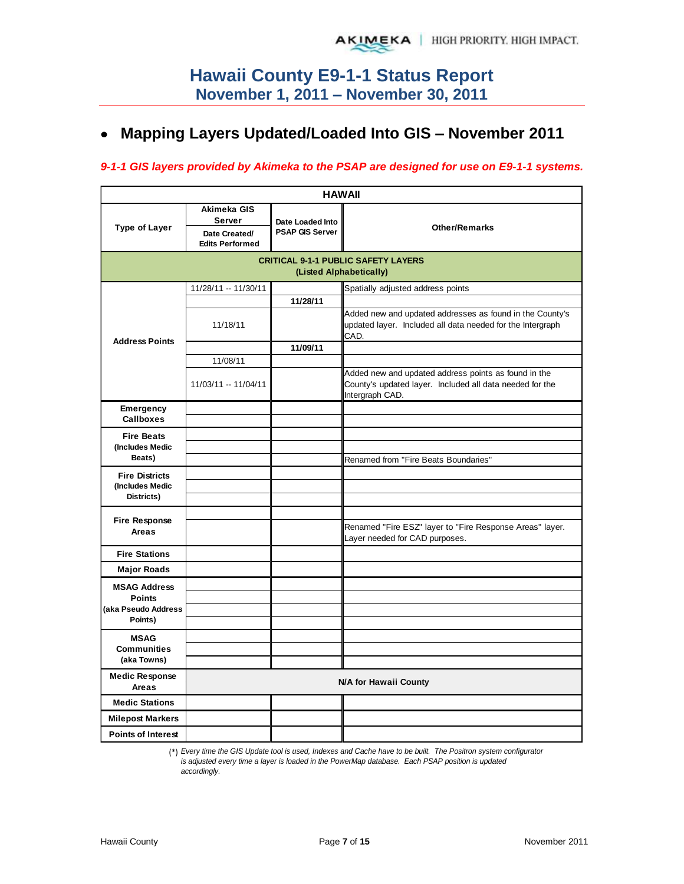# **Mapping Layers Updated/Loaded Into GIS – November 2011**

### *9-1-1 GIS layers provided by Akimeka to the PSAP are designed for use on E9-1-1 systems.*

|                                                        | <b>HAWAII</b>                                                    |                                            |                                                                                                                                     |  |  |  |  |
|--------------------------------------------------------|------------------------------------------------------------------|--------------------------------------------|-------------------------------------------------------------------------------------------------------------------------------------|--|--|--|--|
| <b>Type of Layer</b>                                   | Akimeka GIS<br>Server<br>Date Created/<br><b>Edits Performed</b> | Date Loaded Into<br><b>PSAP GIS Server</b> | <b>Other/Remarks</b>                                                                                                                |  |  |  |  |
|                                                        |                                                                  |                                            | <b>CRITICAL 9-1-1 PUBLIC SAFETY LAYERS</b><br>(Listed Alphabetically)                                                               |  |  |  |  |
|                                                        | 11/28/11 -- 11/30/11                                             |                                            | Spatially adjusted address points                                                                                                   |  |  |  |  |
| <b>Address Points</b>                                  | 11/18/11                                                         | 11/28/11                                   | Added new and updated addresses as found in the County's<br>updated layer. Included all data needed for the Intergraph<br>CAD.      |  |  |  |  |
|                                                        |                                                                  | 11/09/11                                   |                                                                                                                                     |  |  |  |  |
|                                                        | 11/08/11                                                         |                                            |                                                                                                                                     |  |  |  |  |
|                                                        | 11/03/11 -- 11/04/11                                             |                                            | Added new and updated address points as found in the<br>County's updated layer. Included all data needed for the<br>Intergraph CAD. |  |  |  |  |
| Emergency<br>Callboxes                                 |                                                                  |                                            |                                                                                                                                     |  |  |  |  |
| <b>Fire Beats</b>                                      |                                                                  |                                            |                                                                                                                                     |  |  |  |  |
| (Includes Medic                                        |                                                                  |                                            |                                                                                                                                     |  |  |  |  |
| Beats)                                                 |                                                                  |                                            | Renamed from "Fire Beats Boundaries"                                                                                                |  |  |  |  |
| <b>Fire Districts</b><br>(Includes Medic<br>Districts) |                                                                  |                                            |                                                                                                                                     |  |  |  |  |
|                                                        |                                                                  |                                            |                                                                                                                                     |  |  |  |  |
| <b>Fire Response</b><br>Areas                          |                                                                  |                                            | Renamed "Fire ESZ" layer to "Fire Response Areas" layer.<br>Layer needed for CAD purposes.                                          |  |  |  |  |
| <b>Fire Stations</b>                                   |                                                                  |                                            |                                                                                                                                     |  |  |  |  |
| <b>Major Roads</b>                                     |                                                                  |                                            |                                                                                                                                     |  |  |  |  |
| <b>MSAG Address</b>                                    |                                                                  |                                            |                                                                                                                                     |  |  |  |  |
| <b>Points</b><br>(aka Pseudo Address                   |                                                                  |                                            |                                                                                                                                     |  |  |  |  |
| Points)                                                |                                                                  |                                            |                                                                                                                                     |  |  |  |  |
| <b>MSAG</b>                                            |                                                                  |                                            |                                                                                                                                     |  |  |  |  |
| <b>Communities</b>                                     |                                                                  |                                            |                                                                                                                                     |  |  |  |  |
| (aka Towns)                                            |                                                                  |                                            |                                                                                                                                     |  |  |  |  |
| <b>Medic Response</b><br>Areas                         |                                                                  |                                            | <b>N/A for Hawaii County</b>                                                                                                        |  |  |  |  |
| <b>Medic Stations</b>                                  |                                                                  |                                            |                                                                                                                                     |  |  |  |  |
| <b>Milepost Markers</b>                                |                                                                  |                                            |                                                                                                                                     |  |  |  |  |
| <b>Points of Interest</b>                              |                                                                  |                                            |                                                                                                                                     |  |  |  |  |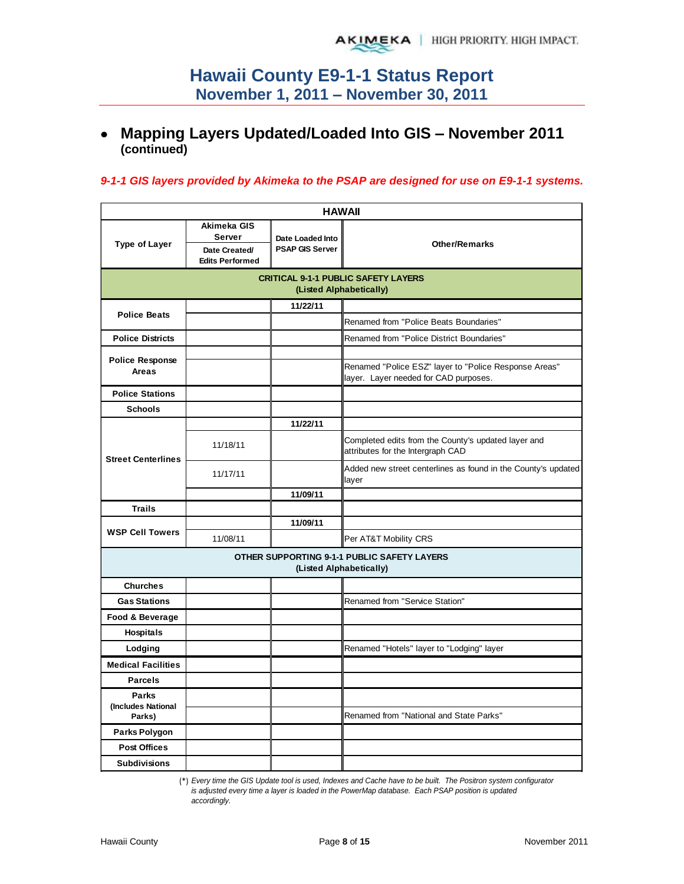# **Mapping Layers Updated/Loaded Into GIS – November 2011 (continued)**

### *9-1-1 GIS layers provided by Akimeka to the PSAP are designed for use on E9-1-1 systems.*

| <b>HAWAII</b>                                |                                                                  |                                            |                                                                                                |  |  |  |
|----------------------------------------------|------------------------------------------------------------------|--------------------------------------------|------------------------------------------------------------------------------------------------|--|--|--|
| <b>Type of Layer</b>                         | Akimeka GIS<br>Server<br>Date Created/<br><b>Edits Performed</b> | Date Loaded Into<br><b>PSAP GIS Server</b> | <b>Other/Remarks</b>                                                                           |  |  |  |
|                                              |                                                                  |                                            | <b>CRITICAL 9-1-1 PUBLIC SAFETY LAYERS</b><br>(Listed Alphabetically)                          |  |  |  |
|                                              |                                                                  | 11/22/11                                   |                                                                                                |  |  |  |
| <b>Police Beats</b>                          |                                                                  |                                            | Renamed from "Police Beats Boundaries"                                                         |  |  |  |
| <b>Police Districts</b>                      |                                                                  |                                            | Renamed from "Police District Boundaries"                                                      |  |  |  |
| <b>Police Response</b><br><b>Areas</b>       |                                                                  |                                            | Renamed "Police ESZ" layer to "Police Response Areas"<br>layer. Layer needed for CAD purposes. |  |  |  |
| <b>Police Stations</b>                       |                                                                  |                                            |                                                                                                |  |  |  |
| <b>Schools</b>                               |                                                                  |                                            |                                                                                                |  |  |  |
|                                              |                                                                  | 11/22/11                                   |                                                                                                |  |  |  |
| <b>Street Centerlines</b>                    | 11/18/11                                                         |                                            | Completed edits from the County's updated layer and<br>attributes for the Intergraph CAD       |  |  |  |
|                                              | 11/17/11                                                         |                                            | Added new street centerlines as found in the County's updated<br>layer                         |  |  |  |
|                                              |                                                                  | 11/09/11                                   |                                                                                                |  |  |  |
| <b>Trails</b>                                |                                                                  |                                            |                                                                                                |  |  |  |
| <b>WSP Cell Towers</b>                       |                                                                  | 11/09/11                                   |                                                                                                |  |  |  |
|                                              | 11/08/11                                                         |                                            | Per AT&T Mobility CRS                                                                          |  |  |  |
|                                              |                                                                  |                                            | OTHER SUPPORTING 9-1-1 PUBLIC SAFETY LAYERS<br>(Listed Alphabetically)                         |  |  |  |
| <b>Churches</b>                              |                                                                  |                                            |                                                                                                |  |  |  |
| <b>Gas Stations</b>                          |                                                                  |                                            | <b>Renamed from "Service Station"</b>                                                          |  |  |  |
| Food & Beverage                              |                                                                  |                                            |                                                                                                |  |  |  |
| Hospitals                                    |                                                                  |                                            |                                                                                                |  |  |  |
| Lodging                                      |                                                                  |                                            | Renamed "Hotels" layer to "Lodging" layer                                                      |  |  |  |
| <b>Medical Facilities</b>                    |                                                                  |                                            |                                                                                                |  |  |  |
| <b>Parcels</b>                               |                                                                  |                                            |                                                                                                |  |  |  |
| <b>Parks</b><br>(Includes National<br>Parks) |                                                                  |                                            | Renamed from "National and State Parks"                                                        |  |  |  |
| Parks Polygon                                |                                                                  |                                            |                                                                                                |  |  |  |
| <b>Post Offices</b>                          |                                                                  |                                            |                                                                                                |  |  |  |
| <b>Subdivisions</b>                          |                                                                  |                                            |                                                                                                |  |  |  |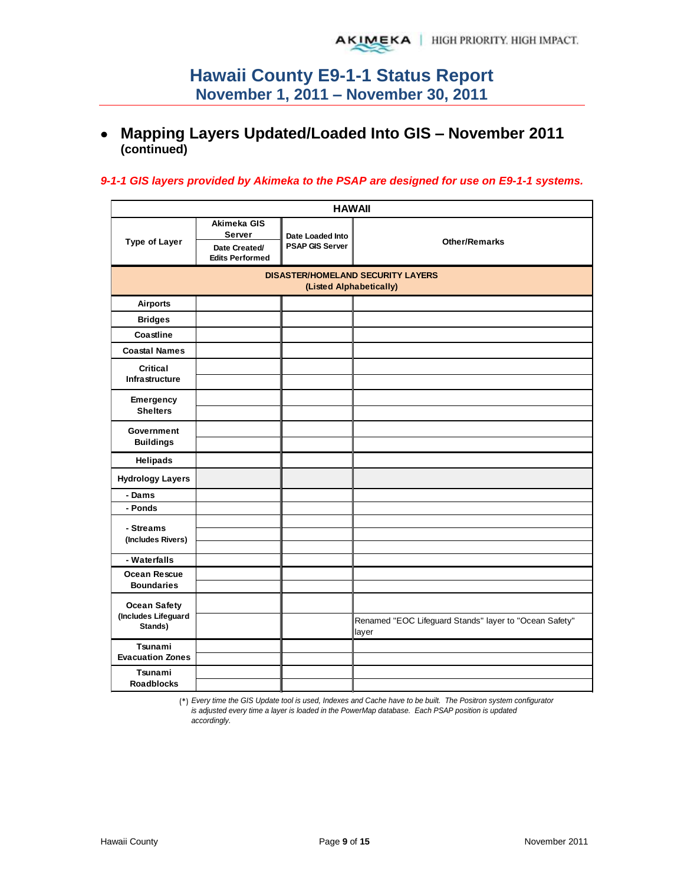## **Mapping Layers Updated/Loaded Into GIS – November 2011 (continued)**

#### *9-1-1 GIS layers provided by Akimeka to the PSAP are designed for use on E9-1-1 systems.*

| <b>HAWAII</b>                            |                                                                         |                                            |                                                                 |  |  |  |  |  |
|------------------------------------------|-------------------------------------------------------------------------|--------------------------------------------|-----------------------------------------------------------------|--|--|--|--|--|
| <b>Type of Layer</b>                     | Akimeka GIS<br><b>Server</b><br>Date Created/<br><b>Edits Performed</b> | Date Loaded Into<br><b>PSAP GIS Server</b> | <b>Other/Remarks</b>                                            |  |  |  |  |  |
|                                          | <b>DISASTER/HOMELAND SECURITY LAYERS</b><br>(Listed Alphabetically)     |                                            |                                                                 |  |  |  |  |  |
| <b>Airports</b>                          |                                                                         |                                            |                                                                 |  |  |  |  |  |
| <b>Bridges</b>                           |                                                                         |                                            |                                                                 |  |  |  |  |  |
| Coastline                                |                                                                         |                                            |                                                                 |  |  |  |  |  |
| <b>Coastal Names</b>                     |                                                                         |                                            |                                                                 |  |  |  |  |  |
| Critical<br>Infrastructure               |                                                                         |                                            |                                                                 |  |  |  |  |  |
| <b>Emergency</b><br><b>Shelters</b>      |                                                                         |                                            |                                                                 |  |  |  |  |  |
| Government<br><b>Buildings</b>           |                                                                         |                                            |                                                                 |  |  |  |  |  |
| <b>Helipads</b>                          |                                                                         |                                            |                                                                 |  |  |  |  |  |
| <b>Hydrology Layers</b>                  |                                                                         |                                            |                                                                 |  |  |  |  |  |
| - Dams                                   |                                                                         |                                            |                                                                 |  |  |  |  |  |
| - Ponds                                  |                                                                         |                                            |                                                                 |  |  |  |  |  |
| - Streams<br>(Includes Rivers)           |                                                                         |                                            |                                                                 |  |  |  |  |  |
| - Waterfalls                             |                                                                         |                                            |                                                                 |  |  |  |  |  |
| <b>Ocean Rescue</b><br><b>Boundaries</b> |                                                                         |                                            |                                                                 |  |  |  |  |  |
| <b>Ocean Safety</b>                      |                                                                         |                                            |                                                                 |  |  |  |  |  |
| (Includes Lifeguard<br>Stands)           |                                                                         |                                            | Renamed "EOC Lifeguard Stands" layer to "Ocean Safety"<br>layer |  |  |  |  |  |
| Tsunami                                  |                                                                         |                                            |                                                                 |  |  |  |  |  |
| <b>Evacuation Zones</b>                  |                                                                         |                                            |                                                                 |  |  |  |  |  |
| Tsunami<br><b>Roadblocks</b>             |                                                                         |                                            |                                                                 |  |  |  |  |  |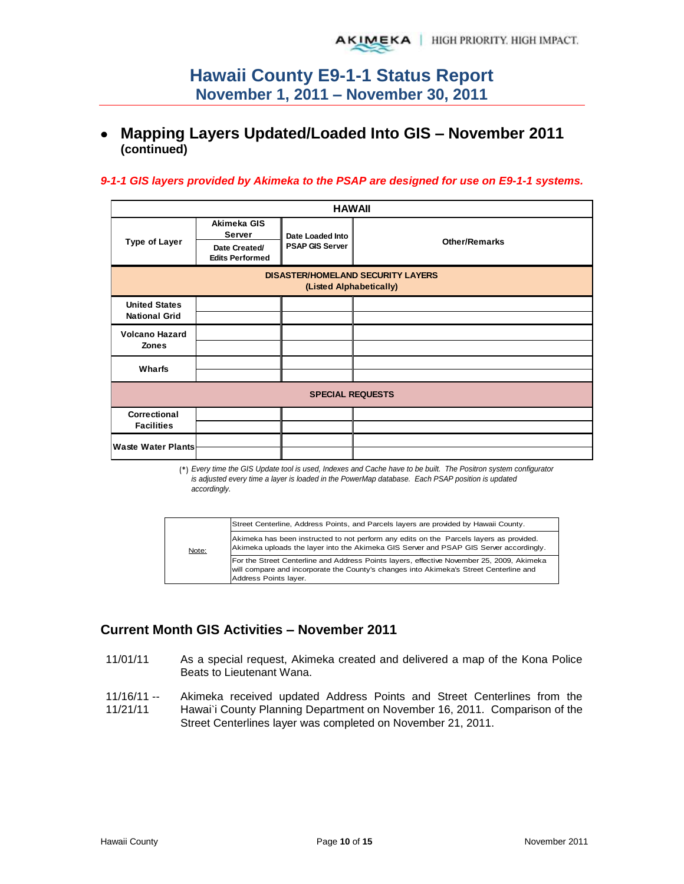## **Mapping Layers Updated/Loaded Into GIS – November 2011 (continued)**

#### *9-1-1 GIS layers provided by Akimeka to the PSAP are designed for use on E9-1-1 systems.*

| <b>HAWAII</b>                                                       |                                         |                        |                      |  |  |  |
|---------------------------------------------------------------------|-----------------------------------------|------------------------|----------------------|--|--|--|
|                                                                     | Akimeka GIS<br>Server                   | Date Loaded Into       |                      |  |  |  |
| <b>Type of Layer</b>                                                | Date Created/<br><b>Edits Performed</b> | <b>PSAP GIS Server</b> | <b>Other/Remarks</b> |  |  |  |
| <b>DISASTER/HOMELAND SECURITY LAYERS</b><br>(Listed Alphabetically) |                                         |                        |                      |  |  |  |
| <b>United States</b><br><b>National Grid</b>                        |                                         |                        |                      |  |  |  |
| <b>Volcano Hazard</b><br><b>Zones</b>                               |                                         |                        |                      |  |  |  |
| Wharfs                                                              |                                         |                        |                      |  |  |  |
| <b>SPECIAL REQUESTS</b>                                             |                                         |                        |                      |  |  |  |
| Correctional<br><b>Facilities</b>                                   |                                         |                        |                      |  |  |  |
| <b>Waste Water Plants</b>                                           |                                         |                        |                      |  |  |  |

(\*) *Every time the GIS Update tool is used, Indexes and Cache have to be built. The Positron system configurator is adjusted every time a layer is loaded in the PowerMap database. Each PSAP position is updated accordingly.*

|       | Street Centerline, Address Points, and Parcels layers are provided by Hawaii County.                                                                                                                         |
|-------|--------------------------------------------------------------------------------------------------------------------------------------------------------------------------------------------------------------|
| Note: | Akimeka has been instructed to not perform any edits on the Parcels layers as provided.<br>Akimeka uploads the layer into the Akimeka GIS Server and PSAP GIS Server accordingly.                            |
|       | For the Street Centerline and Address Points layers, effective November 25, 2009, Akimeka<br>will compare and incorporate the County's changes into Akimeka's Street Centerline and<br>Address Points layer. |

## **Current Month GIS Activities – November 2011**

- 11/01/11 As a special request, Akimeka created and delivered a map of the Kona Police Beats to Lieutenant Wana.
- 11/16/11 -- 11/21/11 Akimeka received updated Address Points and Street Centerlines from the Hawai'i County Planning Department on November 16, 2011. Comparison of the Street Centerlines layer was completed on November 21, 2011.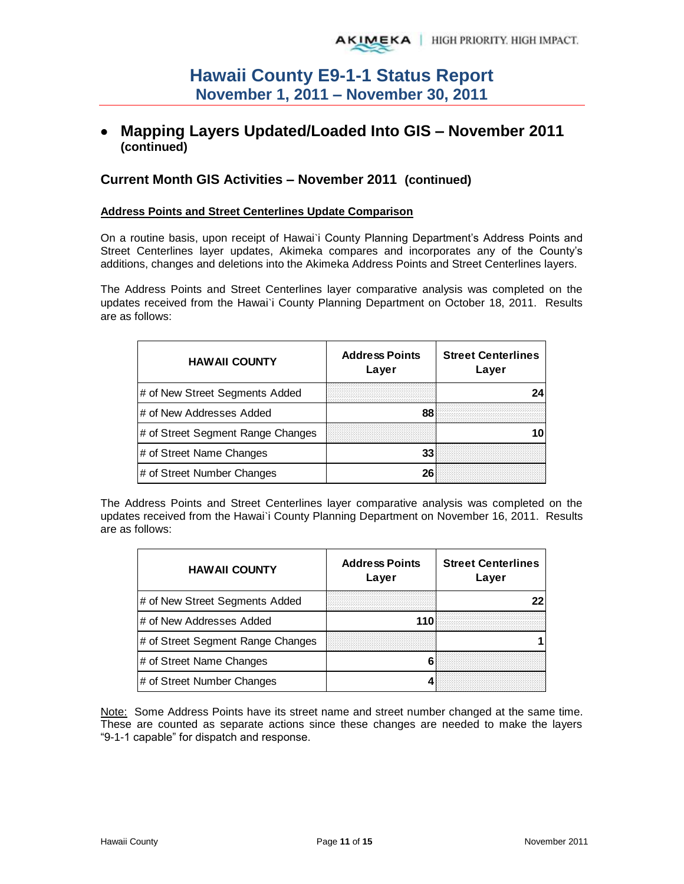## **Mapping Layers Updated/Loaded Into GIS – November 2011 (continued)**

### **Current Month GIS Activities – November 2011 (continued)**

#### **Address Points and Street Centerlines Update Comparison**

On a routine basis, upon receipt of Hawai`i County Planning Department's Address Points and Street Centerlines layer updates, Akimeka compares and incorporates any of the County's additions, changes and deletions into the Akimeka Address Points and Street Centerlines layers.

The Address Points and Street Centerlines layer comparative analysis was completed on the updates received from the Hawai`i County Planning Department on October 18, 2011. Results are as follows:

| <b>HAWAII COUNTY</b>              | <b>Address Points</b><br>Layer | <b>Street Centerlines</b><br>Layer |
|-----------------------------------|--------------------------------|------------------------------------|
| # of New Street Segments Added    |                                |                                    |
| l# of New Addresses Added         | 88                             |                                    |
| # of Street Segment Range Changes |                                |                                    |
| # of Street Name Changes          | 33                             |                                    |
| # of Street Number Changes        |                                |                                    |

The Address Points and Street Centerlines layer comparative analysis was completed on the updates received from the Hawai`i County Planning Department on November 16, 2011. Results are as follows:

| <b>HAWAII COUNTY</b>              | <b>Address Points</b><br>Layer | <b>Street Centerlines</b><br>Layer |
|-----------------------------------|--------------------------------|------------------------------------|
| # of New Street Segments Added    |                                |                                    |
| l# of New Addresses Added         | 110                            |                                    |
| # of Street Segment Range Changes |                                |                                    |
| # of Street Name Changes          |                                |                                    |
| # of Street Number Changes        |                                |                                    |

Note: Some Address Points have its street name and street number changed at the same time. These are counted as separate actions since these changes are needed to make the layers "9-1-1 capable" for dispatch and response.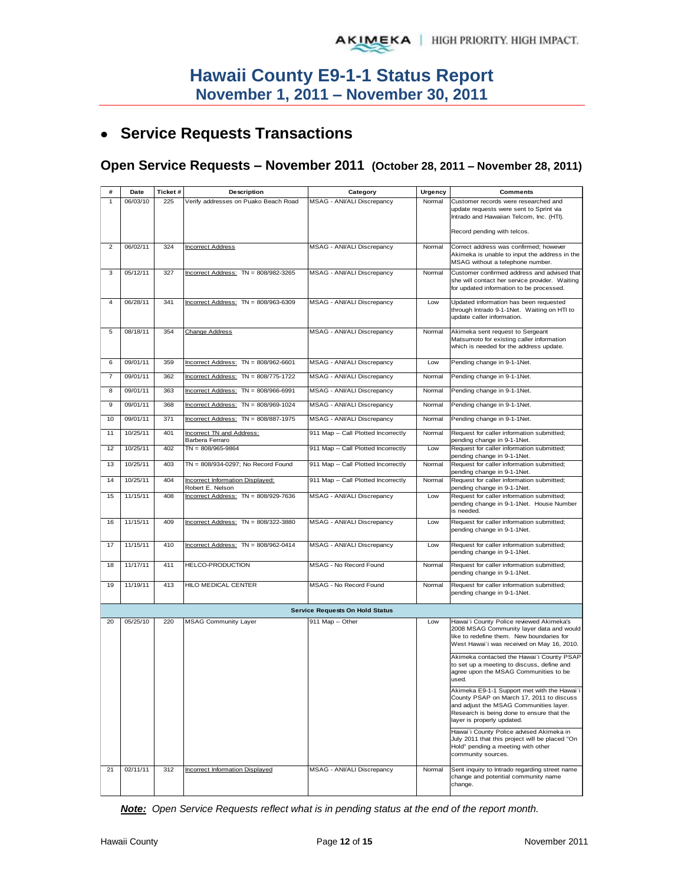# **Service Requests Transactions**

## **Open Service Requests – November 2011 (October 28, 2011 – November 28, 2011)**

| #              | Date     | Ticket# | Description                            | Category                               | Urgency | <b>Comments</b>                                                                       |
|----------------|----------|---------|----------------------------------------|----------------------------------------|---------|---------------------------------------------------------------------------------------|
| 1              | 06/03/10 | 225     | Verify addresses on Puako Beach Road   | MSAG - ANI/ALI Discrepancy             | Normal  | Customer records were researched and                                                  |
|                |          |         |                                        |                                        |         | update requests were sent to Sprint via                                               |
|                |          |         |                                        |                                        |         | Intrado and Hawaiian Telcom, Inc. (HTI).                                              |
|                |          |         |                                        |                                        |         | Record pending with telcos.                                                           |
|                |          |         |                                        |                                        |         |                                                                                       |
| $\overline{2}$ | 06/02/11 | 324     | <b>Incorrect Address</b>               | MSAG - ANI/ALI Discrepancy             | Normal  | Correct address was confirmed; however                                                |
|                |          |         |                                        |                                        |         | Akimeka is unable to input the address in the<br>MSAG without a telephone number.     |
| 3              | 05/12/11 | 327     | Incorrect Address: $TN = 808/982-3265$ | MSAG - ANI/ALI Discrepancy             | Normal  | Customer confirmed address and advised that                                           |
|                |          |         |                                        |                                        |         | she will contact her service provider. Waiting                                        |
|                |          |         |                                        |                                        |         | for updated information to be processed.                                              |
| 4              | 06/28/11 | 341     | Incorrect Address: $TN = 808/963-6309$ | MSAG - ANI/ALI Discrepancy             | Low     | Updated information has been requested                                                |
|                |          |         |                                        |                                        |         | through Intrado 9-1-1Net. Waiting on HTI to                                           |
|                |          |         |                                        |                                        |         | update caller information.                                                            |
| 5              | 08/18/11 | 354     | <b>Change Address</b>                  | MSAG - ANI/ALI Discrepancy             | Normal  | Akimeka sent request to Sergeant                                                      |
|                |          |         |                                        |                                        |         | Matsumoto for existing caller information                                             |
|                |          |         |                                        |                                        |         | which is needed for the address update.                                               |
|                |          |         |                                        |                                        |         |                                                                                       |
| 6              | 09/01/11 | 359     | Incorrect Address: $TN = 808/962-6601$ | MSAG - ANI/ALI Discrepancy             | Low     | Pending change in 9-1-1Net.                                                           |
| $\overline{7}$ | 09/01/11 | 362     | Incorrect Address: TN = 808/775-1722   | MSAG - ANI/ALI Discrepancy             | Normal  | Pending change in 9-1-1Net.                                                           |
|                |          |         |                                        |                                        |         |                                                                                       |
| 8              | 09/01/11 | 363     | Incorrect Address: TN = 808/966-6991   | MSAG - ANI/ALI Discrepancy             | Normal  | Pending change in 9-1-1Net.                                                           |
| 9              | 09/01/11 | 368     | $incorrect Address: TN = 808/969-1024$ | MSAG - ANI/ALI Discrepancy             | Normal  | Pending change in 9-1-1Net.                                                           |
|                |          |         | Incorrect Address: TN = 808/887-1975   |                                        |         |                                                                                       |
| 10             | 09/01/11 | 371     |                                        | MSAG - ANI/ALI Discrepancy             | Normal  | Pending change in 9-1-1Net.                                                           |
| 11             | 10/25/11 | 401     | Incorrect TN and Address:              | 911 Map -- Call Plotted Incorrectly    | Normal  | Request for caller information submitted;                                             |
|                |          |         | Barbera Ferraro                        |                                        |         | pending change in 9-1-1Net.                                                           |
| 12             | 10/25/11 | 402     | $TN = 808/965 - 9864$                  | 911 Map -- Call Plotted Incorrectly    | Low     | Request for caller information submitted;<br>pending change in 9-1-1Net.              |
| 13             | 10/25/11 | 403     | TN = 808/934-0297; No Record Found     | 911 Map -- Call Plotted Incorrectly    | Normal  | Request for caller information submitted;                                             |
|                |          |         |                                        |                                        |         | pending change in 9-1-1Net.                                                           |
| 14             | 10/25/11 | 404     | Incorrect Information Displayed:       | 911 Map -- Call Plotted Incorrectly    | Normal  | Request for caller information submitted;                                             |
|                |          | 408     | Robert E. Nelson                       |                                        |         | pending change in 9-1-1Net.                                                           |
| 15             | 11/15/11 |         | Incorrect Address: TN = 808/929-7636   | MSAG - ANI/ALI Discrepancy             | Low     | Request for caller information submitted;<br>pending change in 9-1-1Net. House Number |
|                |          |         |                                        |                                        |         | is needed.                                                                            |
| 16             | 11/15/11 | 409     | Incorrect Address: $TN = 808/322-3880$ | MSAG - ANI/ALI Discrepancy             | Low     | Request for caller information submitted;                                             |
|                |          |         |                                        |                                        |         | pending change in 9-1-1Net.                                                           |
|                |          |         |                                        |                                        |         |                                                                                       |
| 17             | 11/15/11 | 410     | Incorrect Address: $TN = 808/962-0414$ | MSAG - ANI/ALI Discrepancy             | Low     | Request for caller information submitted;<br>pending change in 9-1-1Net.              |
|                |          |         |                                        |                                        |         |                                                                                       |
| 18             | 11/17/11 | 411     | HELCO-PRODUCTION                       | MSAG - No Record Found                 | Normal  | Request for caller information submitted;                                             |
|                |          |         |                                        |                                        |         | pending change in 9-1-1Net.                                                           |
| 19             | 11/19/11 | 413     | HILO MEDICAL CENTER                    | MSAG - No Record Found                 | Normal  | Request for caller information submitted;                                             |
|                |          |         |                                        |                                        |         | pending change in 9-1-1Net.                                                           |
|                |          |         |                                        | <b>Service Requests On Hold Status</b> |         |                                                                                       |
|                |          |         |                                        |                                        |         |                                                                                       |
| 20             | 05/25/10 | 220     | <b>MSAG Community Layer</b>            | 911 Map -- Other                       | Low     | Hawai'i County Police reviewed Akimeka's<br>2008 MSAG Community layer data and would  |
|                |          |         |                                        |                                        |         | like to redefine them. New boundaries for                                             |
|                |          |         |                                        |                                        |         | West Hawai'i was received on May 16, 2010.                                            |
|                |          |         |                                        |                                        |         | Akimeka contacted the Hawai'i County PSAP                                             |
|                |          |         |                                        |                                        |         | to set up a meeting to discuss, define and                                            |
|                |          |         |                                        |                                        |         | agree upon the MSAG Communities to be                                                 |
|                |          |         |                                        |                                        |         | used.                                                                                 |
|                |          |         |                                        |                                        |         | Akimeka E9-1-1 Support met with the Hawai'i                                           |
|                |          |         |                                        |                                        |         | County PSAP on March 17, 2011 to discuss<br>and adjust the MSAG Communities layer.    |
|                |          |         |                                        |                                        |         | Research is being done to ensure that the                                             |
|                |          |         |                                        |                                        |         | layer is properly updated.                                                            |
|                |          |         |                                        |                                        |         | Hawai'i County Police advised Akimeka in                                              |
|                |          |         |                                        |                                        |         | July 2011 that this project will be placed "On                                        |
|                |          |         |                                        |                                        |         | Hold" pending a meeting with other                                                    |
|                |          |         |                                        |                                        |         | community sources.                                                                    |
| 21             | 02/11/11 | 312     | Incorrect Information Displayed        | MSAG - ANI/ALI Discrepancy             | Normal  | Sent inquiry to Intrado regarding street name                                         |
|                |          |         |                                        |                                        |         | change and potential community name                                                   |
|                |          |         |                                        |                                        |         | change.                                                                               |

New boundary plan will affect this telephone *Note: Open Service Requests reflect what is in pending status at the end of the report month.*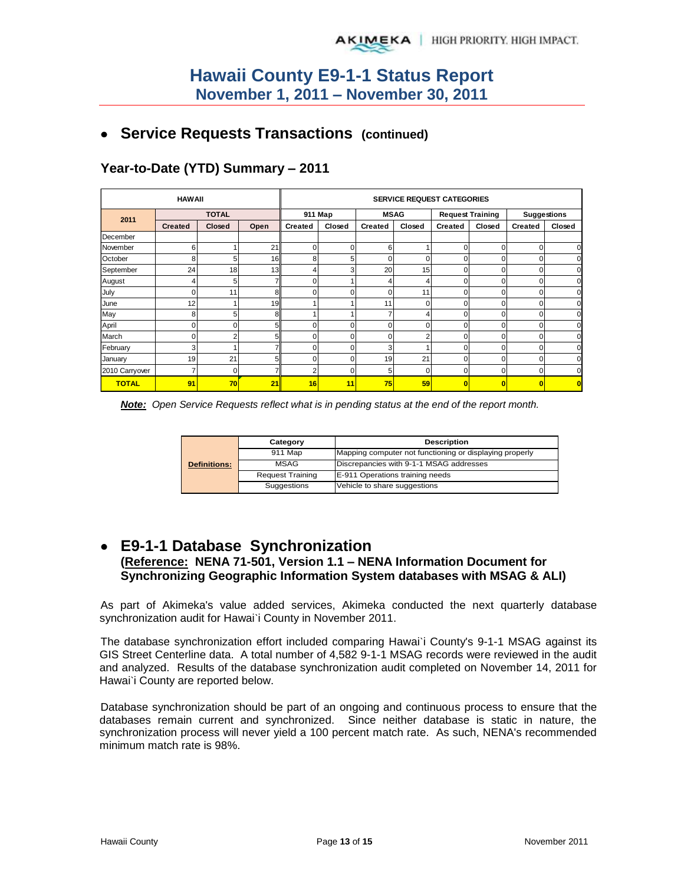## **Service Requests Transactions (continued)**

|                | <b>HAWAII</b>  |          | <b>SERVICE REQUEST CATEGORIES</b> |                |        |             |        |                         |          |                    |        |
|----------------|----------------|----------|-----------------------------------|----------------|--------|-------------|--------|-------------------------|----------|--------------------|--------|
| 2011           | <b>TOTAL</b>   |          |                                   | 911 Map        |        | <b>MSAG</b> |        | <b>Request Training</b> |          | <b>Suggestions</b> |        |
|                | <b>Created</b> | Closed   | Open                              | <b>Created</b> | Closed | Created     | Closed | <b>Created</b>          | Closed   | <b>Created</b>     | Closed |
| December       |                |          |                                   |                |        |             |        |                         |          |                    |        |
| November       | 6              |          | 21                                | $\Omega$       | 0      | 6           |        | 0                       | $\Omega$ | 0                  |        |
| October        | 8              | 5        | 16                                | 8              | 5      | 0           | 0      | 0                       | $\Omega$ | 0                  |        |
| September      | 24             | 18       | 13                                | 4              | 3      | 20          | 15     | 0                       | $\Omega$ | 0                  |        |
| August         | 4              | 5        |                                   | $\Omega$       |        | 4           | 4      | 0                       | 0        | 0                  |        |
| July           | 0              | 11       | 8                                 | $\Omega$       | O      | C           | 11     | 0                       | $\Omega$ | 0                  |        |
| June           | 12             |          | 19                                |                |        | 11          | 0      | U                       | U        | 0                  |        |
| May            | 8              | 5        |                                   |                |        |             | 4      | n                       | ŋ        | 0                  |        |
| April          | 0              | ∩        |                                   | 0              |        | C           | 0      |                         | $\Omega$ | 0                  |        |
| March          | $\Omega$       | r        |                                   | U              |        | C           | 2      |                         | $\Omega$ | 0                  |        |
| February       | 3              |          |                                   | 0              |        | p           |        | 0                       | O        | 0                  |        |
| January        | 19             | 21       |                                   | U              |        | 19          | 21     | U                       |          | 0                  |        |
| 2010 Carryover |                | $\Omega$ |                                   | 2              |        | 5           | 0      | 0                       | $\Omega$ | 0                  |        |
| <b>TOTAL</b>   | 91             | 70       | 21                                | 16             | 11     | 75          | 59     |                         |          | 0                  |        |

## **Year-to-Date (YTD) Summary – 2011**

*Note: Open Service Requests reflect what is in pending status at the end of the report month.* 

|                     | Category                | <b>Description</b>                                      |  |  |  |  |  |
|---------------------|-------------------------|---------------------------------------------------------|--|--|--|--|--|
|                     | 911 Map                 | Mapping computer not functioning or displaying properly |  |  |  |  |  |
| <b>Definitions:</b> | <b>MSAG</b>             | Discrepancies with 9-1-1 MSAG addresses                 |  |  |  |  |  |
|                     | <b>Request Training</b> | E-911 Operations training needs                         |  |  |  |  |  |
|                     | Suggestions             | Vehicle to share suggestions                            |  |  |  |  |  |

## **E9-1-1 Database Synchronization (Reference: NENA 71-501, Version 1.1 – NENA Information Document for Synchronizing Geographic Information System databases with MSAG & ALI)**

As part of Akimeka's value added services, Akimeka conducted the next quarterly database synchronization audit for Hawai'i County in November 2011.

The database synchronization effort included comparing Hawai`i County's 9-1-1 MSAG against its GIS Street Centerline data. A total number of 4,582 9-1-1 MSAG records were reviewed in the audit and analyzed. Results of the database synchronization audit completed on November 14, 2011 for Hawai`i County are reported below.

Database synchronization should be part of an ongoing and continuous process to ensure that the databases remain current and synchronized. Since neither database is static in nature, the synchronization process will never yield a 100 percent match rate. As such, NENA's recommended minimum match rate is 98%.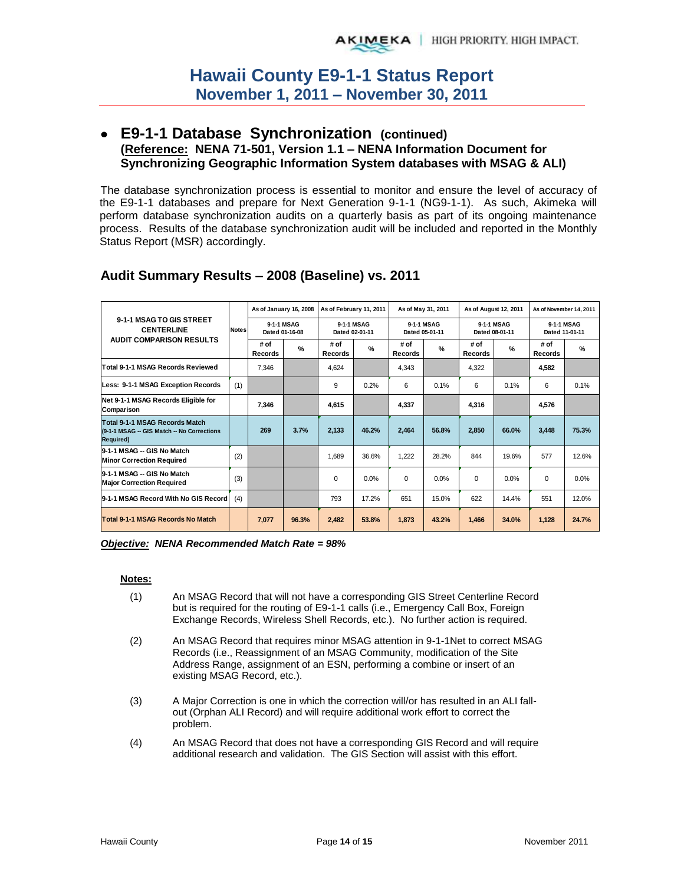## **E9-1-1 Database Synchronization (continued) (Reference: NENA 71-501, Version 1.1 – NENA Information Document for Synchronizing Geographic Information System databases with MSAG & ALI)**

The database synchronization process is essential to monitor and ensure the level of accuracy of the E9-1-1 databases and prepare for Next Generation 9-1-1 (NG9-1-1). As such, Akimeka will perform database synchronization audits on a quarterly basis as part of its ongoing maintenance process. Results of the database synchronization audit will be included and reported in the Monthly Status Report (MSR) accordingly.

|                                                                                                   |              | As of January 16, 2008 |                              | As of February 11, 2011 |                              |                        | As of May 31, 2011           | As of August 12, 2011 |                              | As of November 14, 2011<br>9-1-1 MSAG<br>Dated 11-01-11 |       |
|---------------------------------------------------------------------------------------------------|--------------|------------------------|------------------------------|-------------------------|------------------------------|------------------------|------------------------------|-----------------------|------------------------------|---------------------------------------------------------|-------|
| 9-1-1 MSAG TO GIS STREET<br><b>CENTERLINE</b>                                                     | <b>Notes</b> |                        | 9-1-1 MSAG<br>Dated 01-16-08 |                         | 9-1-1 MSAG<br>Dated 02-01-11 |                        | 9-1-1 MSAG<br>Dated 05-01-11 |                       | 9-1-1 MSAG<br>Dated 08-01-11 |                                                         |       |
| <b>AUDIT COMPARISON RESULTS</b>                                                                   |              | # of<br>Records        | $\frac{9}{6}$                | # of<br>Records         | $\%$                         | # of<br><b>Records</b> | $\frac{9}{6}$                | # of<br>Records       | $\frac{9}{6}$                | # of<br><b>Records</b>                                  | $\%$  |
| <b>Total 9-1-1 MSAG Records Reviewed</b>                                                          |              | 7,346                  |                              | 4,624                   |                              | 4,343                  |                              | 4,322                 |                              | 4,582                                                   |       |
| Less: 9-1-1 MSAG Exception Records                                                                | (1)          |                        |                              | 9                       | 0.2%                         | 6                      | 0.1%                         | 6                     | 0.1%                         | 6                                                       | 0.1%  |
| Net 9-1-1 MSAG Records Eligible for<br>Comparison                                                 |              | 7.346                  |                              | 4.615                   |                              | 4.337                  |                              | 4.316                 |                              | 4.576                                                   |       |
| Total 9-1-1 MSAG Records Match<br>(9-1-1 MSAG -- GIS Match -- No Corrections<br><b>Required</b> ) |              | 269                    | 3.7%                         | 2,133                   | 46.2%                        | 2,464                  | 56.8%                        | 2,850                 | 66.0%                        | 3,448                                                   | 75.3% |
| 9-1-1 MSAG -- GIS No Match<br><b>Minor Correction Required</b>                                    | (2)          |                        |                              | 1.689                   | 36.6%                        | 1.222                  | 28.2%                        | 844                   | 19.6%                        | 577                                                     | 12.6% |
| 9-1-1 MSAG -- GIS No Match<br><b>Major Correction Required</b>                                    | (3)          |                        |                              | $\Omega$                | 0.0%                         | $\Omega$               | 0.0%                         | $\Omega$              | 0.0%                         | $\Omega$                                                | 0.0%  |
| 9-1-1 MSAG Record With No GIS Record                                                              | (4)          |                        |                              | 793                     | 17.2%                        | 651                    | 15.0%                        | 622                   | 14.4%                        | 551                                                     | 12.0% |
| Total 9-1-1 MSAG Records No Match                                                                 |              | 7,077                  | 96.3%                        | 2,482                   | 53.8%                        | 1,873                  | 43.2%                        | 1,466                 | 34.0%                        | 1,128                                                   | 24.7% |

## **Audit Summary Results – 2008 (Baseline) vs. 2011**

*Objective: NENA Recommended Match Rate = 98%* 

#### **Notes:**

- (1) An MSAG Record that will not have a corresponding GIS Street Centerline Record but is required for the routing of E9-1-1 calls (i.e., Emergency Call Box, Foreign Exchange Records, Wireless Shell Records, etc.). No further action is required.
- (2) An MSAG Record that requires minor MSAG attention in 9-1-1Net to correct MSAG Records (i.e., Reassignment of an MSAG Community, modification of the Site Address Range, assignment of an ESN, performing a combine or insert of an existing MSAG Record, etc.).
- (3) A Major Correction is one in which the correction will/or has resulted in an ALI fallout (Orphan ALI Record) and will require additional work effort to correct the problem.
- (4) An MSAG Record that does not have a corresponding GIS Record and will require additional research and validation. The GIS Section will assist with this effort.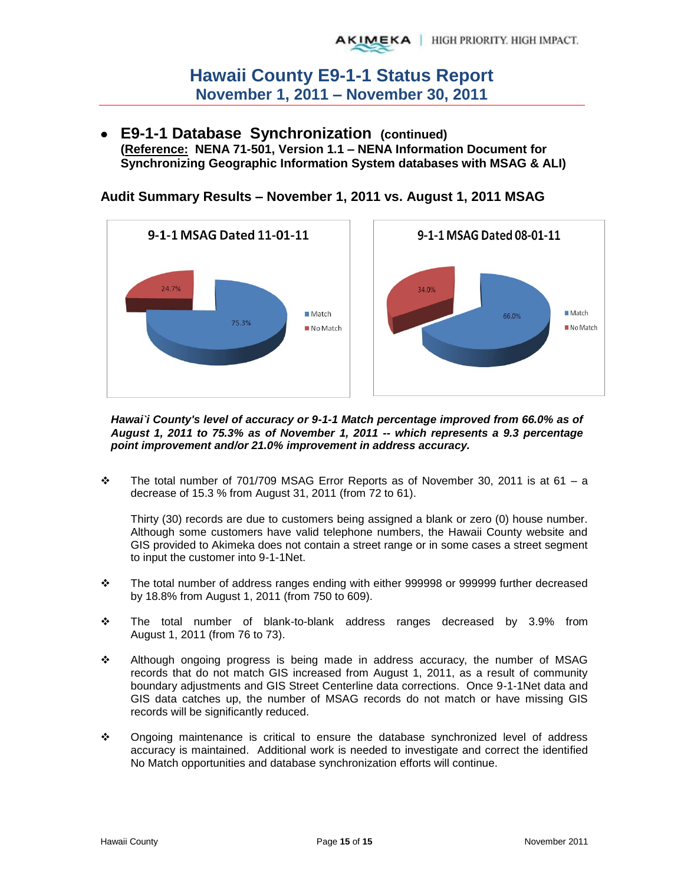**E9-1-1 Database Synchronization (continued) (Reference: NENA 71-501, Version 1.1 – NENA Information Document for Synchronizing Geographic Information System databases with MSAG & ALI)** 



**Audit Summary Results – November 1, 2011 vs. August 1, 2011 MSAG** 

*Hawai`i County's level of accuracy or 9-1-1 Match percentage improved from 66.0% as of August 1, 2011 to 75.3% as of November 1, 2011 -- which represents a 9.3 percentage point improvement and/or 21.0% improvement in address accuracy.* 

 $\div$  The total number of 701/709 MSAG Error Reports as of November 30, 2011 is at 61 – a decrease of 15.3 % from August 31, 2011 (from 72 to 61).

Thirty (30) records are due to customers being assigned a blank or zero (0) house number. Although some customers have valid telephone numbers, the Hawaii County website and GIS provided to Akimeka does not contain a street range or in some cases a street segment to input the customer into 9-1-1Net.

- The total number of address ranges ending with either 999998 or 999999 further decreased by 18.8% from August 1, 2011 (from 750 to 609).
- The total number of blank-to-blank address ranges decreased by 3.9% from August 1, 2011 (from 76 to 73).
- Although ongoing progress is being made in address accuracy, the number of MSAG records that do not match GIS increased from August 1, 2011, as a result of community boundary adjustments and GIS Street Centerline data corrections. Once 9-1-1Net data and GIS data catches up, the number of MSAG records do not match or have missing GIS records will be significantly reduced.
- Ongoing maintenance is critical to ensure the database synchronized level of address accuracy is maintained. Additional work is needed to investigate and correct the identified No Match opportunities and database synchronization efforts will continue.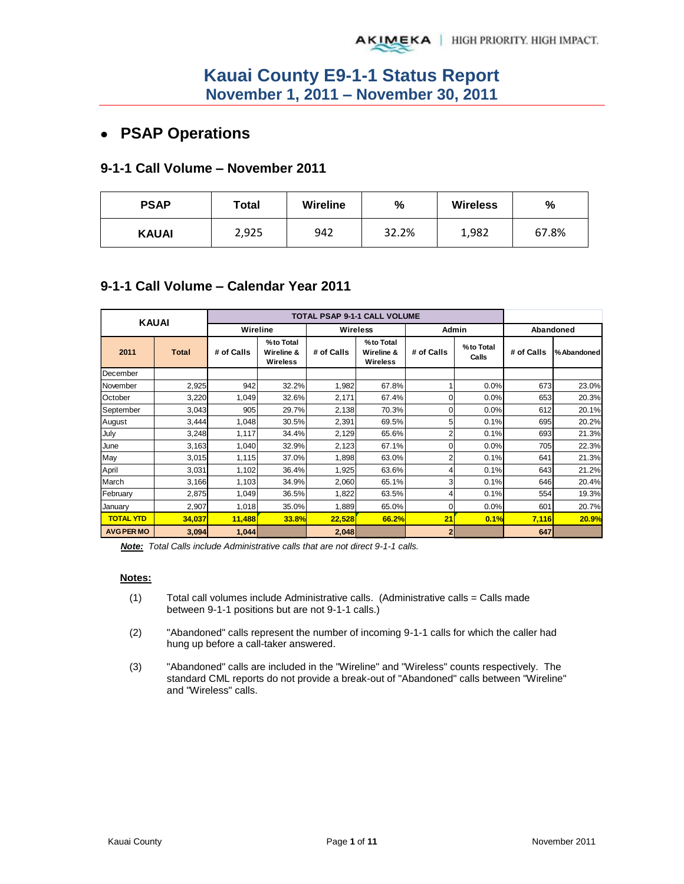## **PSAP Operations**

### **9-1-1 Call Volume – November 2011**

| <b>PSAP</b>  | Total | <b>Wireline</b> | $\frac{9}{6}$ | <b>Wireless</b> | %     |
|--------------|-------|-----------------|---------------|-----------------|-------|
| <b>KAUAI</b> | 2,925 | 942             | 32.2%         | 1,982           | 67.8% |

## **9-1-1 Call Volume – Calendar Year 2011**

| <b>KAUAI</b>      |              |            |                                     | <b>TOTAL PSAP 9-1-1 CALL VOLUME</b> |                                            |                |                    |            |             |
|-------------------|--------------|------------|-------------------------------------|-------------------------------------|--------------------------------------------|----------------|--------------------|------------|-------------|
|                   |              | Wireline   |                                     |                                     | <b>Wireless</b>                            | Admin          |                    |            | Abandoned   |
| 2011              | <b>Total</b> | # of Calls | %to Total<br>Wireline &<br>Wireless | # of Calls                          | %to Total<br>Wireline &<br><b>Wireless</b> | # of Calls     | %to Total<br>Calls | # of Calls | % Abandoned |
| December          |              |            |                                     |                                     |                                            |                |                    |            |             |
| November          | 2,925        | 942        | 32.2%                               | 1,982                               | 67.8%                                      |                | 0.0%               | 673        | 23.0%       |
| October           | 3,220        | 1,049      | 32.6%                               | 2,171                               | 67.4%                                      | 0              | 0.0%               | 653        | 20.3%       |
| September         | 3,043        | 905        | 29.7%                               | 2,138                               | 70.3%                                      | 0              | 0.0%               | 612        | 20.1%       |
| August            | 3,444        | 1,048      | 30.5%                               | 2,391                               | 69.5%                                      | 5              | 0.1%               | 695        | 20.2%       |
| July              | 3,248        | 1,117      | 34.4%                               | 2,129                               | 65.6%                                      | 2              | 0.1%               | 693        | 21.3%       |
| June              | 3,163        | 1,040      | 32.9%                               | 2,123                               | 67.1%                                      | 0              | 0.0%               | 705        | 22.3%       |
| May               | 3,015        | 1,115      | 37.0%                               | 1,898                               | 63.0%                                      | 2              | 0.1%               | 641        | 21.3%       |
| April             | 3,031        | 1,102      | 36.4%                               | 1,925                               | 63.6%                                      | 4              | 0.1%               | 643        | 21.2%       |
| March             | 3,166        | 1,103      | 34.9%                               | 2,060                               | 65.1%                                      | 3              | 0.1%               | 646        | 20.4%       |
| February          | 2,875        | 1,049      | 36.5%                               | 1,822                               | 63.5%                                      | 4              | 0.1%               | 554        | 19.3%       |
| January           | 2,907        | 1,018      | 35.0%                               | 1,889                               | 65.0%                                      | 0              | 0.0%               | 601        | 20.7%       |
| <b>TOTAL YTD</b>  | 34,037       | 11,488     | 33.8%                               | 22,528                              | 66.2%                                      | 21             | 0.1%               | 7,116      | 20.9%       |
| <b>AVG PER MO</b> | 3,094        | 1,044      |                                     | 2,048                               |                                            | $\overline{2}$ |                    | 647        |             |

*Note: Total Calls include Administrative calls that are not direct 9-1-1 calls.* 

#### **Notes:**

- $(1)$  Total call volumes include Administrative calls. (Administrative calls = Calls made between 9-1-1 positions but are not 9-1-1 calls.)
- (2) "Abandoned" calls represent the number of incoming 9-1-1 calls for which the caller had hung up before a call-taker answered.
- (3) "Abandoned" calls are included in the "Wireline" and "Wireless" counts respectively. The standard CML reports do not provide a break-out of "Abandoned" calls between "Wireline" and "Wireless" calls.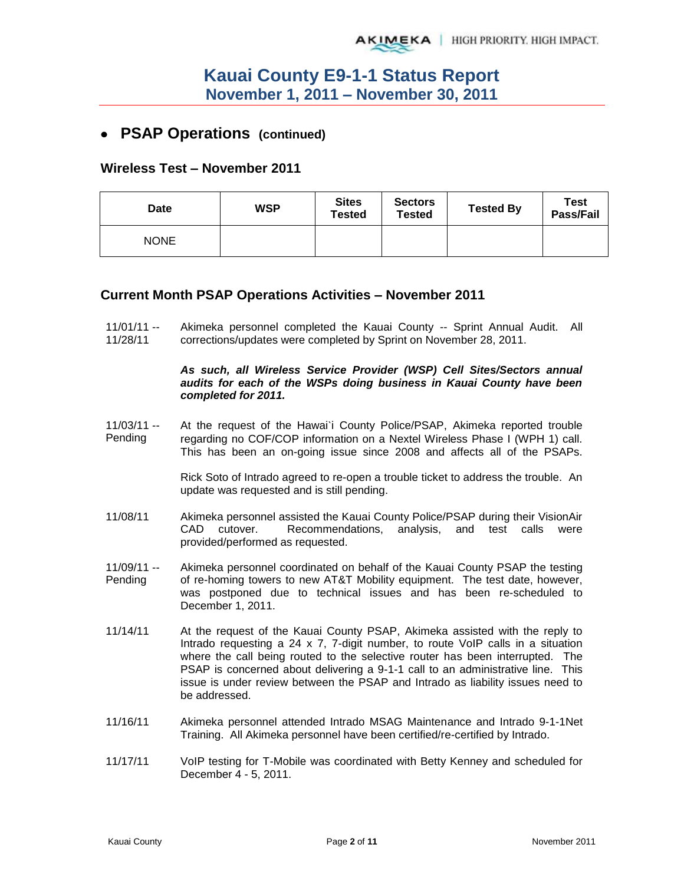## **PSAP Operations (continued)**

### **Wireless Test – November 2011**

| Date        | <b>WSP</b> | <b>Sites</b><br><b>Tested</b> | <b>Sectors</b><br><b>Tested</b> | <b>Tested By</b> | Test<br>Pass/Fail |
|-------------|------------|-------------------------------|---------------------------------|------------------|-------------------|
| <b>NONE</b> |            |                               |                                 |                  |                   |

### **Current Month PSAP Operations Activities – November 2011**

11/01/11 -- 11/28/11 Akimeka personnel completed the Kauai County -- Sprint Annual Audit. All corrections/updates were completed by Sprint on November 28, 2011.

#### *As such, all Wireless Service Provider (WSP) Cell Sites/Sectors annual audits for each of the WSPs doing business in Kauai County have been completed for 2011.*

11/03/11 -- Pending At the request of the Hawai`i County Police/PSAP, Akimeka reported trouble regarding no COF/COP information on a Nextel Wireless Phase I (WPH 1) call. This has been an on-going issue since 2008 and affects all of the PSAPs.

> Rick Soto of Intrado agreed to re-open a trouble ticket to address the trouble. An update was requested and is still pending.

- 11/08/11 Akimeka personnel assisted the Kauai County Police/PSAP during their VisionAir CAD cutover. Recommendations, analysis, and test calls were provided/performed as requested.
- 11/09/11 -- Pending Akimeka personnel coordinated on behalf of the Kauai County PSAP the testing of re-homing towers to new AT&T Mobility equipment. The test date, however, was postponed due to technical issues and has been re-scheduled to December 1, 2011.
- 11/14/11 At the request of the Kauai County PSAP, Akimeka assisted with the reply to Intrado requesting a 24 x 7, 7-digit number, to route VoIP calls in a situation where the call being routed to the selective router has been interrupted. The PSAP is concerned about delivering a 9-1-1 call to an administrative line. This issue is under review between the PSAP and Intrado as liability issues need to be addressed.
- 11/16/11 Akimeka personnel attended Intrado MSAG Maintenance and Intrado 9-1-1Net Training. All Akimeka personnel have been certified/re-certified by Intrado.
- 11/17/11 VoIP testing for T-Mobile was coordinated with Betty Kenney and scheduled for December 4 - 5, 2011.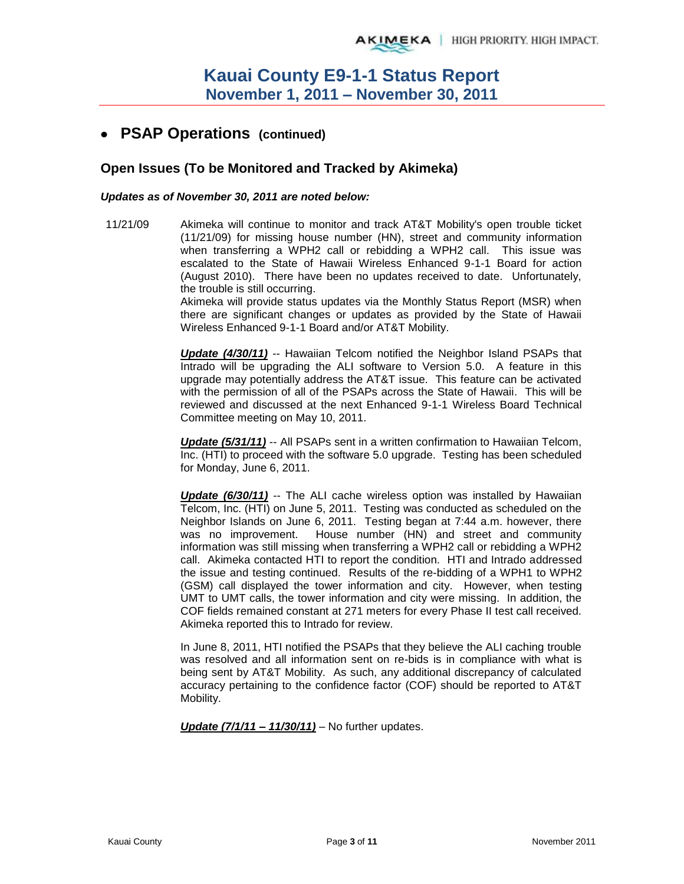## **PSAP Operations (continued)**

## **Open Issues (To be Monitored and Tracked by Akimeka)**

#### *Updates as of November 30, 2011 are noted below:*

11/21/09 Akimeka will continue to monitor and track AT&T Mobility's open trouble ticket (11/21/09) for missing house number (HN), street and community information when transferring a WPH2 call or rebidding a WPH2 call. This issue was escalated to the State of Hawaii Wireless Enhanced 9-1-1 Board for action (August 2010). There have been no updates received to date. Unfortunately, the trouble is still occurring.

Akimeka will provide status updates via the Monthly Status Report (MSR) when there are significant changes or updates as provided by the State of Hawaii Wireless Enhanced 9-1-1 Board and/or AT&T Mobility.

*Update (4/30/11)* -- Hawaiian Telcom notified the Neighbor Island PSAPs that Intrado will be upgrading the ALI software to Version 5.0. A feature in this upgrade may potentially address the AT&T issue. This feature can be activated with the permission of all of the PSAPs across the State of Hawaii. This will be reviewed and discussed at the next Enhanced 9-1-1 Wireless Board Technical Committee meeting on May 10, 2011.

*Update (5/31/11)* -- All PSAPs sent in a written confirmation to Hawaiian Telcom, Inc. (HTI) to proceed with the software 5.0 upgrade. Testing has been scheduled for Monday, June 6, 2011.

*Update (6/30/11)* -- The ALI cache wireless option was installed by Hawaiian Telcom, Inc. (HTI) on June 5, 2011. Testing was conducted as scheduled on the Neighbor Islands on June 6, 2011. Testing began at 7:44 a.m. however, there was no improvement. House number (HN) and street and community information was still missing when transferring a WPH2 call or rebidding a WPH2 call. Akimeka contacted HTI to report the condition. HTI and Intrado addressed the issue and testing continued. Results of the re-bidding of a WPH1 to WPH2 (GSM) call displayed the tower information and city. However, when testing UMT to UMT calls, the tower information and city were missing. In addition, the COF fields remained constant at 271 meters for every Phase II test call received. Akimeka reported this to Intrado for review.

In June 8, 2011, HTI notified the PSAPs that they believe the ALI caching trouble was resolved and all information sent on re-bids is in compliance with what is being sent by AT&T Mobility. As such, any additional discrepancy of calculated accuracy pertaining to the confidence factor (COF) should be reported to AT&T Mobility.

*Update (7/1/11 – 11/30/11)* – No further updates.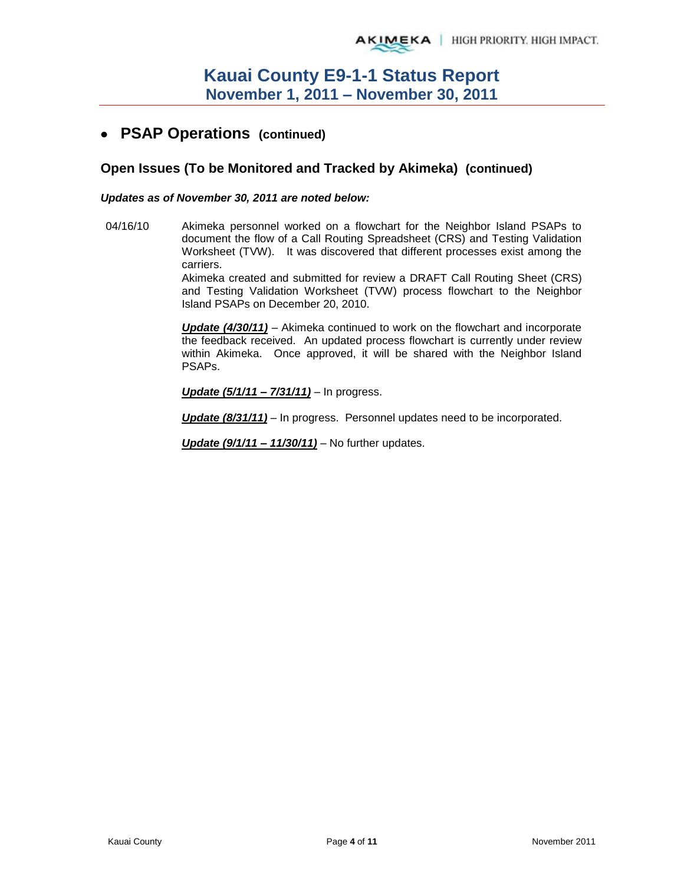## **PSAP Operations (continued)**

## **Open Issues (To be Monitored and Tracked by Akimeka) (continued)**

#### *Updates as of November 30, 2011 are noted below:*

04/16/10 Akimeka personnel worked on a flowchart for the Neighbor Island PSAPs to document the flow of a Call Routing Spreadsheet (CRS) and Testing Validation Worksheet (TVW). It was discovered that different processes exist among the carriers.

> Akimeka created and submitted for review a DRAFT Call Routing Sheet (CRS) and Testing Validation Worksheet (TVW) process flowchart to the Neighbor Island PSAPs on December 20, 2010.

> *Update (4/30/11)* – Akimeka continued to work on the flowchart and incorporate the feedback received. An updated process flowchart is currently under review within Akimeka. Once approved, it will be shared with the Neighbor Island PSAPs.

*Update (5/1/11 – 7/31/11)* – In progress.

*Update (8/31/11)* – In progress. Personnel updates need to be incorporated.

*Update (9/1/11 – 11/30/11)* – No further updates.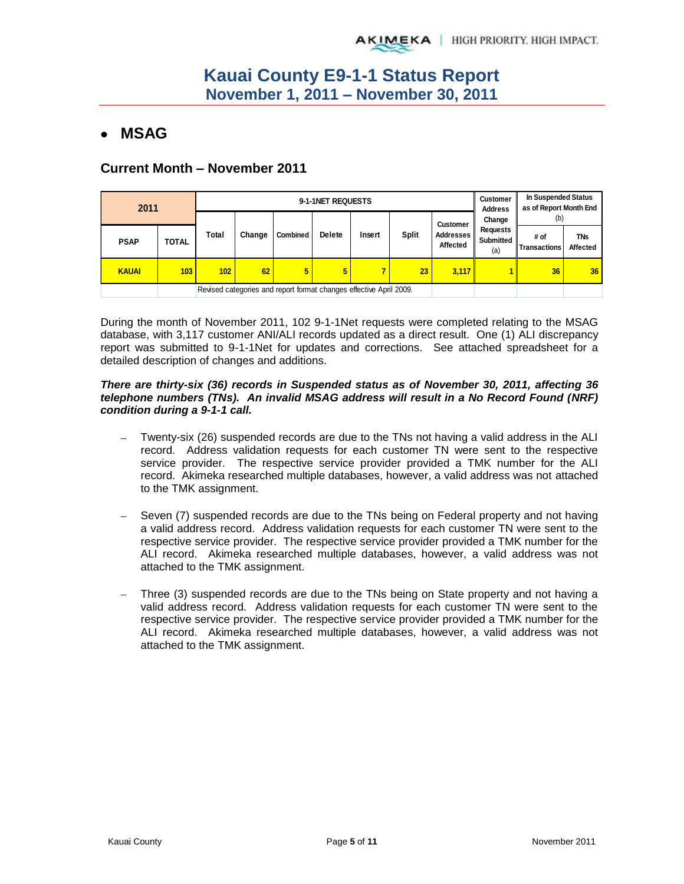# **MSAG**

## **Current Month – November 2011**

| 2011         |              |       |                                                                    | 9-1-1NET REQUESTS |               | <b>Customer</b><br><b>Address</b> | In Suspended Status<br>as of Report Month End |                                                        |                                                      |                             |                        |
|--------------|--------------|-------|--------------------------------------------------------------------|-------------------|---------------|-----------------------------------|-----------------------------------------------|--------------------------------------------------------|------------------------------------------------------|-----------------------------|------------------------|
|              |              |       |                                                                    |                   | <b>Delete</b> | Insert                            | Split                                         | <b>Customer</b><br><b>Addresses</b><br><b>Affected</b> | Change<br><b>Requests</b><br><b>Submitted</b><br>(a) | (b)                         |                        |
| <b>PSAP</b>  | <b>TOTAL</b> | Total | Change                                                             | <b>Combined</b>   |               |                                   |                                               |                                                        |                                                      | # of<br><b>Transactions</b> | <b>TNs</b><br>Affected |
| <b>KAUAI</b> | 103          | 102   | 62                                                                 | 5                 | 5             | 7                                 | 23                                            | 3,117                                                  |                                                      | 36                          | 36                     |
|              |              |       | Revised categories and report format changes effective April 2009. |                   |               |                                   |                                               |                                                        |                                                      |                             |                        |

During the month of November 2011, 102 9-1-1Net requests were completed relating to the MSAG database, with 3,117 customer ANI/ALI records updated as a direct result. One (1) ALI discrepancy report was submitted to 9-1-1Net for updates and corrections. See attached spreadsheet for a detailed description of changes and additions.

#### *There are thirty-six (36) records in Suspended status as of November 30, 2011, affecting 36 telephone numbers (TNs). An invalid MSAG address will result in a No Record Found (NRF) condition during a 9-1-1 call.*

- Twenty-six (26) suspended records are due to the TNs not having a valid address in the ALI record. Address validation requests for each customer TN were sent to the respective service provider. The respective service provider provided a TMK number for the ALI record. Akimeka researched multiple databases, however, a valid address was not attached to the TMK assignment.
- Seven (7) suspended records are due to the TNs being on Federal property and not having a valid address record. Address validation requests for each customer TN were sent to the respective service provider. The respective service provider provided a TMK number for the ALI record. Akimeka researched multiple databases, however, a valid address was not attached to the TMK assignment.
- Three (3) suspended records are due to the TNs being on State property and not having a valid address record. Address validation requests for each customer TN were sent to the respective service provider. The respective service provider provided a TMK number for the ALI record. Akimeka researched multiple databases, however, a valid address was not attached to the TMK assignment.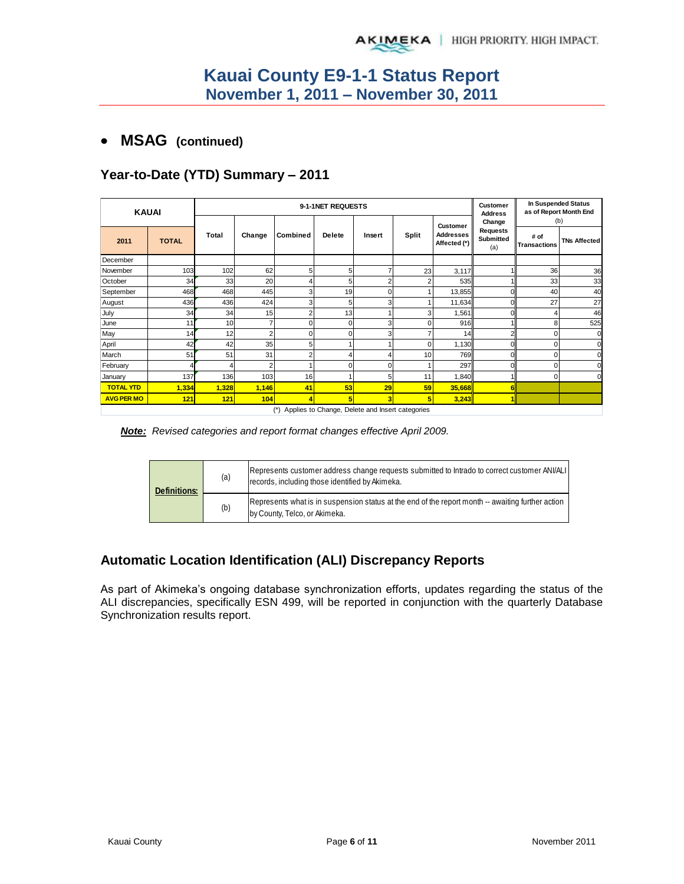## **MSAG (continued)**

## **Year-to-Date (YTD) Summary – 2011**

| <b>KAUAI</b>      |              |       |       |    | 9-1-1NET REQUESTS |        |          |                 | Customer<br><b>Address</b> | <b>In Suspended Status</b><br>as of Report Month End |                                  |                                     |                             |                     |
|-------------------|--------------|-------|-------|----|-------------------|--------|----------|-----------------|----------------------------|------------------------------------------------------|----------------------------------|-------------------------------------|-----------------------------|---------------------|
|                   |              |       |       |    |                   |        |          | <b>Customer</b> | Change                     | (b)                                                  |                                  |                                     |                             |                     |
| 2011              | <b>TOTAL</b> | Total |       |    |                   | Change | Combined | <b>Delete</b>   | Insert                     | <b>Split</b>                                         | <b>Addresses</b><br>Affected (*) | <b>Requests</b><br>Submitted<br>(a) | # of<br><b>Transactions</b> | <b>TNs Affected</b> |
| December          |              |       |       |    |                   |        |          |                 |                            |                                                      |                                  |                                     |                             |                     |
| November          | 103          | 102   | 62    | 5  | 5                 | 7      | 23       | 3,117           |                            | 36                                                   | 36                               |                                     |                             |                     |
| October           | 34           | 33    | 20    |    | 5                 | 2      |          | 535             |                            | 33                                                   | 33                               |                                     |                             |                     |
| September         | 468          | 468   | 445   |    | 19                | 0      |          | 13,855          |                            | 40                                                   | 40                               |                                     |                             |                     |
| August            | 436          | 436   | 424   |    | 5                 | 3      |          | 11,634          |                            | 27                                                   | 27                               |                                     |                             |                     |
| July              | 34           | 34    | 15    |    | 13                |        |          | 1,561           |                            |                                                      | 46                               |                                     |                             |                     |
| June              | 11           | 10    |       |    | O                 | 3      |          | 916             |                            | 8                                                    | 525                              |                                     |                             |                     |
| May               | 14           | 12    |       |    | $\Omega$          | 3      |          | 14              |                            | n                                                    | $\mathbf{0}$                     |                                     |                             |                     |
| April             | 42           | 42    | 35    | 5  |                   |        |          | 1,130           |                            | $\Omega$                                             | $\mathbf 0$                      |                                     |                             |                     |
| March             | 51           | 51    | 31    |    |                   | 4      | 10       | 769             |                            |                                                      | $\mathbf 0$                      |                                     |                             |                     |
| February          |              |       |       |    | $\Omega$          | 0      |          | 297             |                            | O                                                    | $\mathbf 0$                      |                                     |                             |                     |
| January           | 137          | 136   | 103   | 16 |                   | 5      | 11       | 1,840           |                            | <sup>0</sup>                                         | $\mathbf 0$                      |                                     |                             |                     |
| <b>TOTAL YTD</b>  | 1,334        | 1,328 | 1,146 | 41 | 53                | 29     | 59       | 35,668          |                            |                                                      |                                  |                                     |                             |                     |
| <b>AVG PER MO</b> | 121          | 121   | 104   |    |                   | 3      |          | 3,243           |                            |                                                      |                                  |                                     |                             |                     |

(\*) Applies to Change, Delete and Insert categories

*Note: Revised categories and report format changes effective April 2009.* 

| <b>Definitions:</b> | (a) | Represents customer address change requests submitted to Intrado to correct customer ANI/ALI<br>records, including those identified by Akimeka. |
|---------------------|-----|-------------------------------------------------------------------------------------------------------------------------------------------------|
|                     | (b) | Represents what is in suspension status at the end of the report month -- awaiting further action<br>by County, Telco, or Akimeka.              |

## **Automatic Location Identification (ALI) Discrepancy Reports**

As part of Akimeka's ongoing database synchronization efforts, updates regarding the status of the ALI discrepancies, specifically ESN 499, will be reported in conjunction with the quarterly Database Synchronization results report.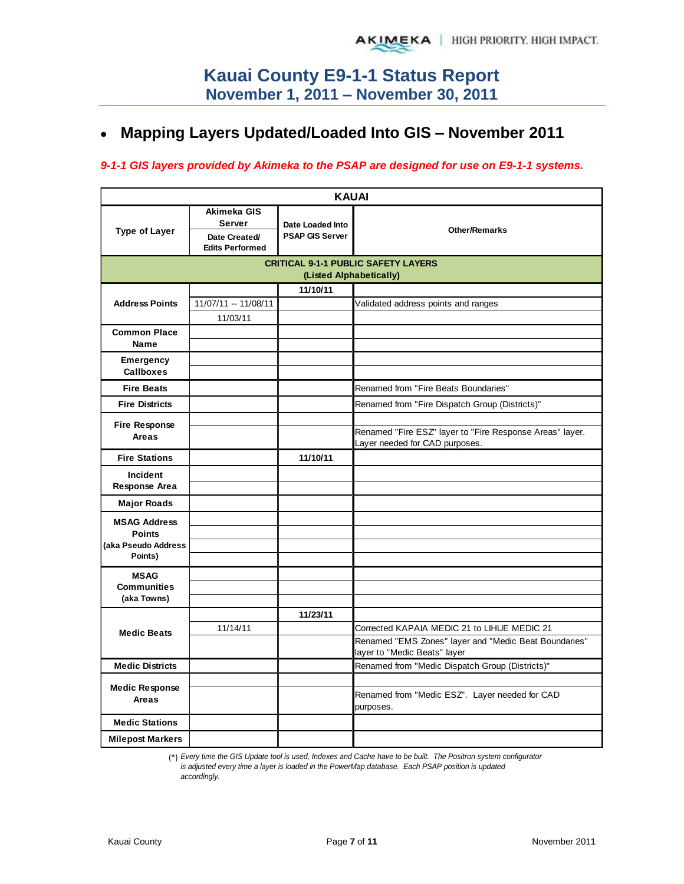#### **Mapping Layers Updated/Loaded Into GIS – November 2011**  $\bullet$

### *9-1-1 GIS layers provided by Akimeka to the PSAP are designed for use on E9-1-1 systems.*

|                                      |                                                                         | <b>KAUAI</b>                               |                                                             |
|--------------------------------------|-------------------------------------------------------------------------|--------------------------------------------|-------------------------------------------------------------|
| <b>Type of Layer</b>                 | Akimeka GIS<br><b>Server</b><br>Date Created/<br><b>Edits Performed</b> | Date Loaded Into<br><b>PSAP GIS Server</b> | <b>Other/Remarks</b>                                        |
|                                      |                                                                         |                                            | <b>CRITICAL 9-1-1 PUBLIC SAFETY LAYERS</b>                  |
|                                      |                                                                         | (Listed Alphabetically)                    |                                                             |
|                                      |                                                                         | 11/10/11                                   |                                                             |
| <b>Address Points</b>                | 11/07/11 -- 11/08/11<br>11/03/11                                        |                                            | Validated address points and ranges                         |
| <b>Common Place</b>                  |                                                                         |                                            |                                                             |
| Name                                 |                                                                         |                                            |                                                             |
| <b>Emergency</b><br><b>Callboxes</b> |                                                                         |                                            |                                                             |
| <b>Fire Beats</b>                    |                                                                         |                                            | Renamed from "Fire Beats Boundaries"                        |
| <b>Fire Districts</b>                |                                                                         |                                            | Renamed from "Fire Dispatch Group (Districts)"              |
|                                      |                                                                         |                                            |                                                             |
| <b>Fire Response</b><br>Areas        |                                                                         |                                            | Renamed "Fire ESZ" layer to "Fire Response Areas" layer.    |
|                                      |                                                                         |                                            | Layer needed for CAD purposes.                              |
| <b>Fire Stations</b>                 |                                                                         | 11/10/11                                   |                                                             |
| Incident                             |                                                                         |                                            |                                                             |
| Response Area                        |                                                                         |                                            |                                                             |
| <b>Major Roads</b>                   |                                                                         |                                            |                                                             |
| <b>MSAG Address</b>                  |                                                                         |                                            |                                                             |
| <b>Points</b>                        |                                                                         |                                            |                                                             |
| (aka Pseudo Address<br>Points)       |                                                                         |                                            |                                                             |
|                                      |                                                                         |                                            |                                                             |
| <b>MSAG</b><br><b>Communities</b>    |                                                                         |                                            |                                                             |
| (aka Towns)                          |                                                                         |                                            |                                                             |
|                                      |                                                                         | 11/23/11                                   |                                                             |
| <b>Medic Beats</b>                   | 11/14/11                                                                |                                            | Corrected KAPAIA MEDIC 21 to LIHUE MEDIC 21                 |
|                                      |                                                                         |                                            | Renamed "EMS Zones" layer and "Medic Beat Boundaries"       |
|                                      |                                                                         |                                            | layer to "Medic Beats" layer                                |
| <b>Medic Districts</b>               |                                                                         |                                            | Renamed from "Medic Dispatch Group (Districts)"             |
| <b>Medic Response</b>                |                                                                         |                                            |                                                             |
| Areas                                |                                                                         |                                            | Renamed from "Medic ESZ". Layer needed for CAD<br>purposes. |
| <b>Medic Stations</b>                |                                                                         |                                            |                                                             |
| <b>Milepost Markers</b>              |                                                                         |                                            |                                                             |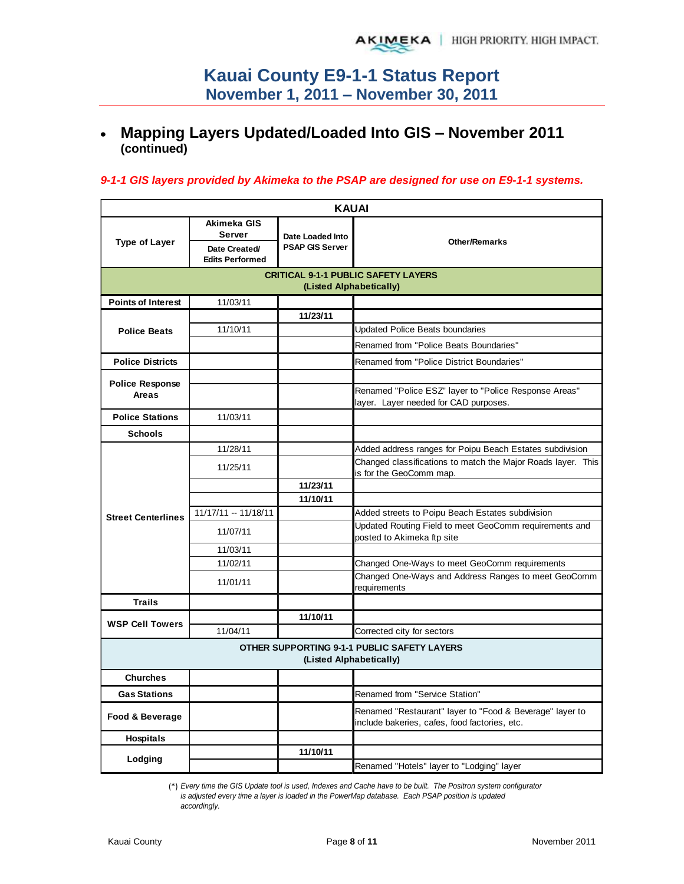#### **Mapping Layers Updated/Loaded Into GIS – November 2011**   $\bullet$ **(continued)**

### *9-1-1 GIS layers provided by Akimeka to the PSAP are designed for use on E9-1-1 systems.*

| <b>KAUAI</b>              |                                                                  |                                            |                                                                                                           |  |  |  |  |  |  |
|---------------------------|------------------------------------------------------------------|--------------------------------------------|-----------------------------------------------------------------------------------------------------------|--|--|--|--|--|--|
| <b>Type of Layer</b>      | Akimeka GIS<br>Server<br>Date Created/<br><b>Edits Performed</b> | Date Loaded Into<br><b>PSAP GIS Server</b> | <b>Other/Remarks</b>                                                                                      |  |  |  |  |  |  |
|                           |                                                                  |                                            | <b>CRITICAL 9-1-1 PUBLIC SAFETY LAYERS</b>                                                                |  |  |  |  |  |  |
|                           |                                                                  |                                            | (Listed Alphabetically)                                                                                   |  |  |  |  |  |  |
| <b>Points of Interest</b> | 11/03/11                                                         |                                            |                                                                                                           |  |  |  |  |  |  |
|                           |                                                                  | 11/23/11                                   |                                                                                                           |  |  |  |  |  |  |
| <b>Police Beats</b>       | 11/10/11                                                         |                                            | <b>Updated Police Beats boundaries</b>                                                                    |  |  |  |  |  |  |
|                           |                                                                  |                                            | Renamed from "Police Beats Boundaries"                                                                    |  |  |  |  |  |  |
| <b>Police Districts</b>   |                                                                  |                                            | Renamed from "Police District Boundaries"                                                                 |  |  |  |  |  |  |
| <b>Police Response</b>    |                                                                  |                                            |                                                                                                           |  |  |  |  |  |  |
| Areas                     |                                                                  |                                            | Renamed "Police ESZ" layer to "Police Response Areas"<br>layer. Layer needed for CAD purposes.            |  |  |  |  |  |  |
| <b>Police Stations</b>    | 11/03/11                                                         |                                            |                                                                                                           |  |  |  |  |  |  |
| <b>Schools</b>            |                                                                  |                                            |                                                                                                           |  |  |  |  |  |  |
|                           | 11/28/11                                                         |                                            | Added address ranges for Poipu Beach Estates subdivision                                                  |  |  |  |  |  |  |
|                           | 11/25/11                                                         |                                            | Changed classifications to match the Major Roads layer. This<br>is for the GeoComm map.                   |  |  |  |  |  |  |
|                           |                                                                  | 11/23/11                                   |                                                                                                           |  |  |  |  |  |  |
|                           |                                                                  | 11/10/11                                   |                                                                                                           |  |  |  |  |  |  |
| <b>Street Centerlines</b> | 11/17/11 -- 11/18/11                                             |                                            | Added streets to Poipu Beach Estates subdivision                                                          |  |  |  |  |  |  |
|                           | 11/07/11                                                         |                                            | Updated Routing Field to meet GeoComm requirements and<br>posted to Akimeka ftp site                      |  |  |  |  |  |  |
|                           | 11/03/11                                                         |                                            |                                                                                                           |  |  |  |  |  |  |
|                           | 11/02/11                                                         |                                            | Changed One-Ways to meet GeoComm requirements                                                             |  |  |  |  |  |  |
|                           | 11/01/11                                                         |                                            | Changed One-Ways and Address Ranges to meet GeoComm<br>requirements                                       |  |  |  |  |  |  |
| <b>Trails</b>             |                                                                  |                                            |                                                                                                           |  |  |  |  |  |  |
| <b>WSP Cell Towers</b>    |                                                                  | 11/10/11                                   |                                                                                                           |  |  |  |  |  |  |
|                           | 11/04/11                                                         |                                            | Corrected city for sectors                                                                                |  |  |  |  |  |  |
|                           |                                                                  |                                            | <b>OTHER SUPPORTING 9-1-1 PUBLIC SAFETY LAYERS</b><br>(Listed Alphabetically)                             |  |  |  |  |  |  |
| <b>Churches</b>           |                                                                  |                                            |                                                                                                           |  |  |  |  |  |  |
| <b>Gas Stations</b>       |                                                                  |                                            | Renamed from "Service Station"                                                                            |  |  |  |  |  |  |
| Food & Beverage           |                                                                  |                                            | Renamed "Restaurant" layer to "Food & Beverage" layer to<br>include bakeries, cafes, food factories, etc. |  |  |  |  |  |  |
| <b>Hospitals</b>          |                                                                  |                                            |                                                                                                           |  |  |  |  |  |  |
| Lodging                   |                                                                  | 11/10/11                                   |                                                                                                           |  |  |  |  |  |  |
|                           |                                                                  |                                            | Renamed "Hotels" layer to "Lodging" layer                                                                 |  |  |  |  |  |  |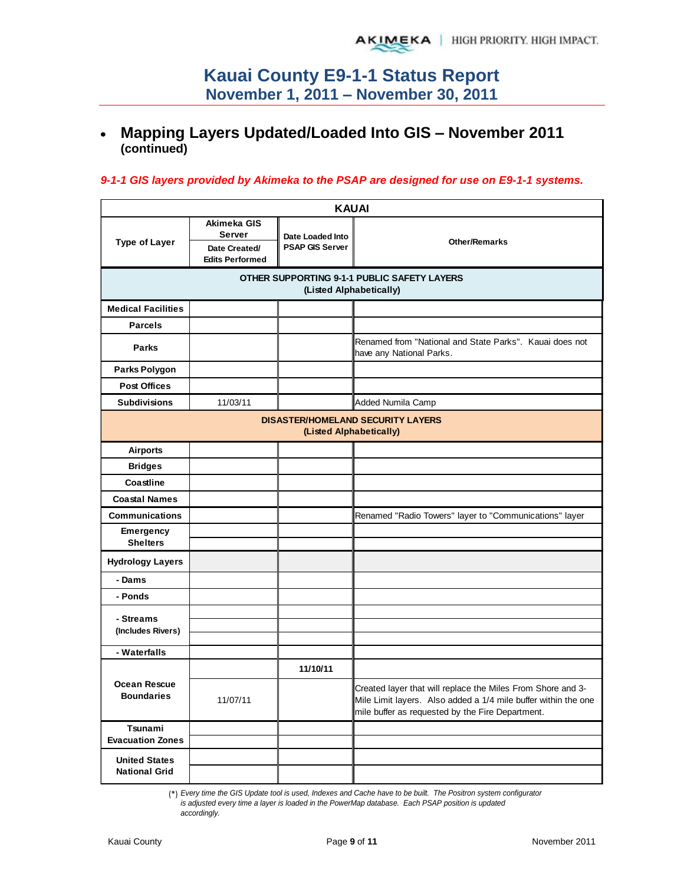#### **Mapping Layers Updated/Loaded Into GIS – November 2011**   $\bullet$ **(continued)**

### *9-1-1 GIS layers provided by Akimeka to the PSAP are designed for use on E9-1-1 systems.*

| <b>KAUAI</b>                                 |                                               |                                            |                                                                                                                                                                                   |  |  |  |  |  |  |
|----------------------------------------------|-----------------------------------------------|--------------------------------------------|-----------------------------------------------------------------------------------------------------------------------------------------------------------------------------------|--|--|--|--|--|--|
| <b>Type of Layer</b>                         | Akimeka GIS<br><b>Server</b><br>Date Created/ | Date Loaded Into<br><b>PSAP GIS Server</b> | <b>Other/Remarks</b>                                                                                                                                                              |  |  |  |  |  |  |
|                                              | <b>Edits Performed</b>                        |                                            |                                                                                                                                                                                   |  |  |  |  |  |  |
|                                              |                                               |                                            | OTHER SUPPORTING 9-1-1 PUBLIC SAFETY LAYERS<br>(Listed Alphabetically)                                                                                                            |  |  |  |  |  |  |
| <b>Medical Facilities</b>                    |                                               |                                            |                                                                                                                                                                                   |  |  |  |  |  |  |
| <b>Parcels</b>                               |                                               |                                            |                                                                                                                                                                                   |  |  |  |  |  |  |
|                                              |                                               |                                            |                                                                                                                                                                                   |  |  |  |  |  |  |
| <b>Parks</b>                                 |                                               |                                            | Renamed from "National and State Parks". Kauai does not<br>have any National Parks.                                                                                               |  |  |  |  |  |  |
| Parks Polygon                                |                                               |                                            |                                                                                                                                                                                   |  |  |  |  |  |  |
| <b>Post Offices</b>                          |                                               |                                            |                                                                                                                                                                                   |  |  |  |  |  |  |
| <b>Subdivisions</b>                          | 11/03/11                                      |                                            | Added Numila Camp                                                                                                                                                                 |  |  |  |  |  |  |
|                                              |                                               |                                            | <b>DISASTER/HOMELAND SECURITY LAYERS</b><br>(Listed Alphabetically)                                                                                                               |  |  |  |  |  |  |
| <b>Airports</b>                              |                                               |                                            |                                                                                                                                                                                   |  |  |  |  |  |  |
| <b>Bridges</b>                               |                                               |                                            |                                                                                                                                                                                   |  |  |  |  |  |  |
| Coastline                                    |                                               |                                            |                                                                                                                                                                                   |  |  |  |  |  |  |
| <b>Coastal Names</b>                         |                                               |                                            |                                                                                                                                                                                   |  |  |  |  |  |  |
| <b>Communications</b>                        |                                               |                                            | Renamed "Radio Towers" layer to "Communications" layer                                                                                                                            |  |  |  |  |  |  |
| <b>Emergency</b><br><b>Shelters</b>          |                                               |                                            |                                                                                                                                                                                   |  |  |  |  |  |  |
| <b>Hydrology Layers</b>                      |                                               |                                            |                                                                                                                                                                                   |  |  |  |  |  |  |
| - Dams                                       |                                               |                                            |                                                                                                                                                                                   |  |  |  |  |  |  |
| - Ponds                                      |                                               |                                            |                                                                                                                                                                                   |  |  |  |  |  |  |
| - Streams                                    |                                               |                                            |                                                                                                                                                                                   |  |  |  |  |  |  |
| (Includes Rivers)                            |                                               |                                            |                                                                                                                                                                                   |  |  |  |  |  |  |
| - Waterfalls                                 |                                               |                                            |                                                                                                                                                                                   |  |  |  |  |  |  |
|                                              |                                               | 11/10/11                                   |                                                                                                                                                                                   |  |  |  |  |  |  |
| <b>Ocean Rescue</b><br><b>Boundaries</b>     | 11/07/11                                      |                                            | Created layer that will replace the Miles From Shore and 3-<br>Mile Limit layers. Also added a 1/4 mile buffer within the one<br>mile buffer as requested by the Fire Department. |  |  |  |  |  |  |
| Tsunami                                      |                                               |                                            |                                                                                                                                                                                   |  |  |  |  |  |  |
| <b>Evacuation Zones</b>                      |                                               |                                            |                                                                                                                                                                                   |  |  |  |  |  |  |
| <b>United States</b><br><b>National Grid</b> |                                               |                                            |                                                                                                                                                                                   |  |  |  |  |  |  |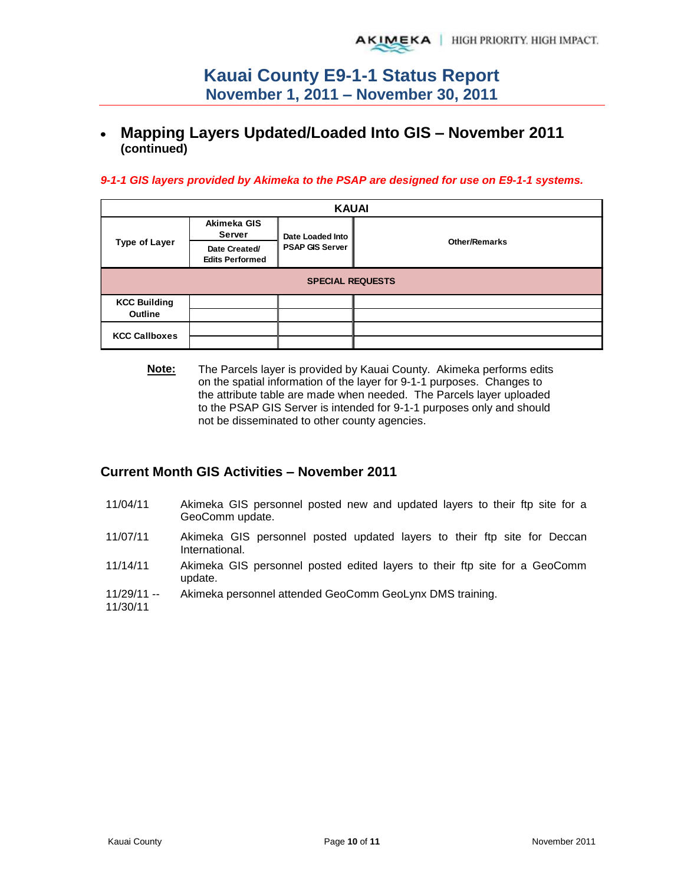## **Mapping Layers Updated/Loaded Into GIS – November 2011 (continued)**

### *9-1-1 GIS layers provided by Akimeka to the PSAP are designed for use on E9-1-1 systems.*

| <b>KAUAI</b>         |                                         |                         |                      |  |  |  |  |  |  |
|----------------------|-----------------------------------------|-------------------------|----------------------|--|--|--|--|--|--|
| <b>Type of Layer</b> | Akimeka GIS<br><b>Server</b>            | Date Loaded Into        |                      |  |  |  |  |  |  |
|                      | Date Created/<br><b>Edits Performed</b> | <b>PSAP GIS Server</b>  | <b>Other/Remarks</b> |  |  |  |  |  |  |
|                      |                                         | <b>SPECIAL REQUESTS</b> |                      |  |  |  |  |  |  |
| <b>KCC Building</b>  |                                         |                         |                      |  |  |  |  |  |  |
| Outline              |                                         |                         |                      |  |  |  |  |  |  |
| <b>KCC Callboxes</b> |                                         |                         |                      |  |  |  |  |  |  |
|                      |                                         |                         |                      |  |  |  |  |  |  |

**Note:** The Parcels layer is provided by Kauai County. Akimeka performs edits on the spatial information of the layer for 9-1-1 purposes. Changes to the attribute table are made when needed. The Parcels layer uploaded to the PSAP GIS Server is intended for 9-1-1 purposes only and should not be disseminated to other county agencies.

### **Current Month GIS Activities – November 2011**

- 11/04/11 Akimeka GIS personnel posted new and updated layers to their ftp site for a GeoComm update.
- 11/07/11 Akimeka GIS personnel posted updated layers to their ftp site for Deccan International.
- 11/14/11 Akimeka GIS personnel posted edited layers to their ftp site for a GeoComm update.
- 11/29/11 -- Akimeka personnel attended GeoComm GeoLynx DMS training.
- 11/30/11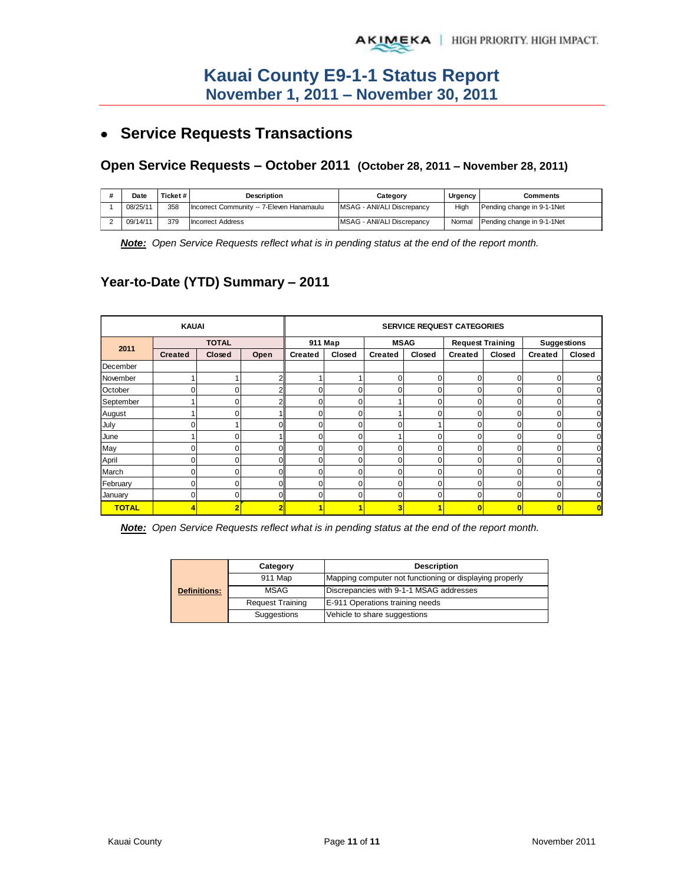# **Service Requests Transactions**

## **Open Service Requests – October 2011 (October 28, 2011 – November 28, 2011)**

| Date     | Ticket#I | Description                               | Category                   | Urgency | Comments                   |
|----------|----------|-------------------------------------------|----------------------------|---------|----------------------------|
| 08/25/11 | 358      | Incorrect Community -- 7-Eleven Hanamaulu | MSAG - ANI/ALI Discrepancy | High    | Pending change in 9-1-1Net |
| 09/14/11 | 379      | <b>Incorrect Address</b>                  | MSAG - ANI/ALI Discrepancy | Normal  | Pending change in 9-1-1Net |

*Note: Open Service Requests reflect what is in pending status at the end of the report month.* 

## **Year-to-Date (YTD) Summary – 2011**

|              | <b>KAUAI</b>   |               | <b>SERVICE REQUEST CATEGORIES</b> |                |              |                |        |                         |              |                |        |
|--------------|----------------|---------------|-----------------------------------|----------------|--------------|----------------|--------|-------------------------|--------------|----------------|--------|
| 2011         |                | <b>TOTAL</b>  |                                   |                | 911 Map      | <b>MSAG</b>    |        | <b>Request Training</b> |              | Suggestions    |        |
|              | <b>Created</b> | <b>Closed</b> | Open                              | <b>Created</b> | Closed       | <b>Created</b> | Closed | <b>Created</b>          | Closed       | <b>Created</b> | Closed |
| December     |                |               |                                   |                |              |                |        |                         |              |                |        |
| November     |                |               |                                   |                |              | 0              | 0      | 0                       | 0            | $\mathbf 0$    |        |
| October      |                |               |                                   |                | <sup>0</sup> | 0              | 0      | 0                       | O            |                |        |
| September    |                |               |                                   |                | n            |                | 0      | O                       | <sup>n</sup> | O              |        |
| August       |                |               |                                   |                |              |                | 0      | O                       |              |                |        |
| July         |                |               |                                   | 0              | $\Omega$     | $\Omega$       |        | $\Omega$                | 0            |                |        |
| June         |                |               |                                   | 0              | $\Omega$     |                | 0      | 0                       | 0            | $\Omega$       |        |
| May          |                | n             | nı                                | $\Omega$       | $\Omega$     | $\Omega$       | 0      | $\Omega$                | $\Omega$     | $\Omega$       |        |
| April        |                |               |                                   | U              | U            | O              | 0      | U                       | 0            | $\Omega$       |        |
| March        |                |               |                                   |                | ŋ            | O              | 0      | 0                       |              |                |        |
| February     |                |               |                                   |                | ŋ            | 0              | 0      | O                       | <sup>0</sup> | ſ              |        |
| January      |                |               |                                   |                | n            | O              | 0      | n                       | r            |                |        |
| <b>TOTAL</b> |                |               |                                   |                |              | 3              |        |                         |              |                |        |

*Note: Open Service Requests reflect what is in pending status at the end of the report month.* 

|                     | Category                | <b>Description</b>                                      |
|---------------------|-------------------------|---------------------------------------------------------|
|                     | 911 Map                 | Mapping computer not functioning or displaying properly |
| <b>Definitions:</b> | MSAG                    | Discrepancies with 9-1-1 MSAG addresses                 |
|                     | <b>Request Training</b> | E-911 Operations training needs                         |
|                     | Suggestions             | Vehicle to share suggestions                            |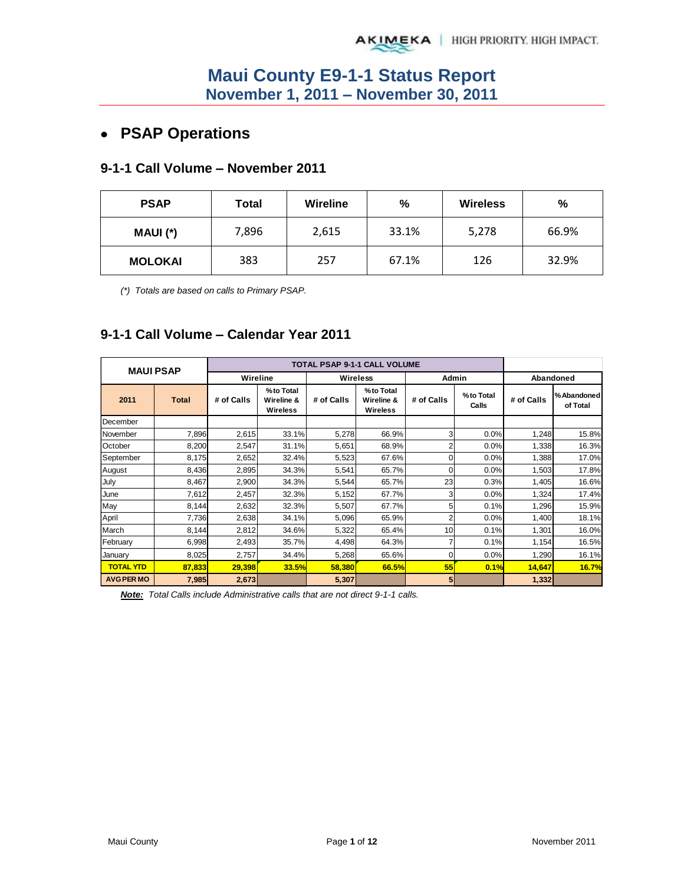# **PSAP Operations**

### **9-1-1 Call Volume – November 2011**

| <b>PSAP</b>    | Total | <b>Wireline</b> | %     | <b>Wireless</b> | %     |
|----------------|-------|-----------------|-------|-----------------|-------|
| MAUI (*)       | 7,896 | 2,615           | 33.1% | 5,278           | 66.9% |
| <b>MOLOKAI</b> | 383   | 257             | 67.1% | 126             | 32.9% |

*(\*) Totals are based on calls to Primary PSAP.* 

## **9-1-1 Call Volume – Calendar Year 2011**

| <b>MAUI PSAP</b>  |              |            |                                     | <b>TOTAL PSAP 9-1-1 CALL VOLUME</b> |                                     |                |                    |            |                         |
|-------------------|--------------|------------|-------------------------------------|-------------------------------------|-------------------------------------|----------------|--------------------|------------|-------------------------|
|                   |              | Wireline   |                                     |                                     | <b>Wireless</b>                     | Admin          |                    |            | Abandoned               |
| 2011              | <b>Total</b> | # of Calls | %to Total<br>Wireline &<br>Wireless | # of Calls                          | %to Total<br>Wireline &<br>Wireless | # of Calls     | %to Total<br>Calls | # of Calls | % Abandoned<br>of Total |
| December          |              |            |                                     |                                     |                                     |                |                    |            |                         |
| November          | 7,896        | 2,615      | 33.1%                               | 5,278                               | 66.9%                               | 3 <sub>l</sub> | 0.0%               | 1,248      | 15.8%                   |
| October           | 8,200        | 2,547      | 31.1%                               | 5,651                               | 68.9%                               | 2              | 0.0%               | 1,338      | 16.3%                   |
| September         | 8,175        | 2,652      | 32.4%                               | 5,523                               | 67.6%                               | 0              | 0.0%               | 1,388      | 17.0%                   |
| August            | 8,436        | 2,895      | 34.3%                               | 5,541                               | 65.7%                               | $\Omega$       | 0.0%               | 1,503      | 17.8%                   |
| July              | 8,467        | 2,900      | 34.3%                               | 5,544                               | 65.7%                               | 23             | 0.3%               | 1,405      | 16.6%                   |
| June              | 7,612        | 2,457      | 32.3%                               | 5,152                               | 67.7%                               | 3              | 0.0%               | 1,324      | 17.4%                   |
| May               | 8,144        | 2,632      | 32.3%                               | 5,507                               | 67.7%                               | 5              | 0.1%               | 1,296      | 15.9%                   |
| April             | 7,736        | 2,638      | 34.1%                               | 5,096                               | 65.9%                               | 2              | 0.0%               | 1,400      | 18.1%                   |
| March             | 8,144        | 2,812      | 34.6%                               | 5,322                               | 65.4%                               | 10             | 0.1%               | 1,301      | 16.0%                   |
| February          | 6,998        | 2,493      | 35.7%                               | 4,498                               | 64.3%                               | 7              | 0.1%               | 1,154      | 16.5%                   |
| January           | 8,025        | 2,757      | 34.4%                               | 5,268                               | 65.6%                               | $\Omega$       | 0.0%               | 1,290      | 16.1%                   |
| <b>TOTAL YTD</b>  | 87,833       | 29,398     | <b>33.5%</b>                        | 58,380                              | 66.5%                               | 55             | 0.1%               | 14,647     | 16.7%                   |
| <b>AVG PER MO</b> | 7,985        | 2,673      |                                     | 5,307                               |                                     | 5 <sub>l</sub> |                    | 1,332      |                         |

*Note: Total Calls include Administrative calls that are not direct 9-1-1 calls.*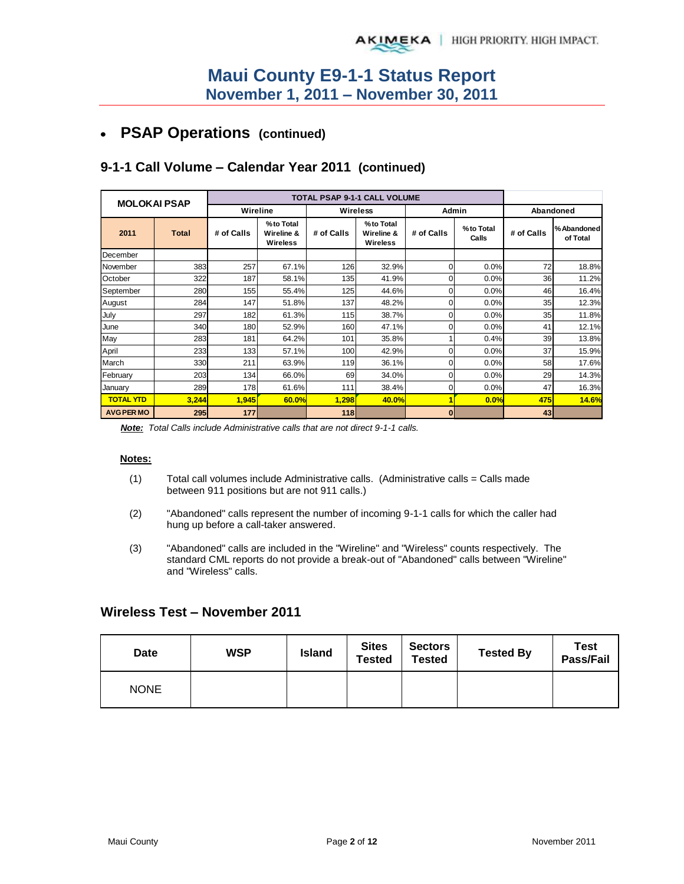## **PSAP Operations (continued)**

| <b>MOLOKAI PSAP</b> |              |            |                                     | TOTAL PSAP 9-1-1 CALL VOLUME |                                     |            |                    |            |                         |
|---------------------|--------------|------------|-------------------------------------|------------------------------|-------------------------------------|------------|--------------------|------------|-------------------------|
|                     |              | Wireline   |                                     | Wireless                     |                                     | Admin      |                    |            | Abandoned               |
| 2011                | <b>Total</b> | # of Calls | %to Total<br>Wireline &<br>Wireless | # of Calls                   | %to Total<br>Wireline &<br>Wireless | # of Calls | %to Total<br>Calls | # of Calls | % Abandoned<br>of Total |
| December            |              |            |                                     |                              |                                     |            |                    |            |                         |
| November            | 383          | 257        | 67.1%                               | 126                          | 32.9%                               | 0          | 0.0%               | 72         | 18.8%                   |
| October             | 322          | 187        | 58.1%                               | 135                          | 41.9%                               |            | 0.0%               | 36         | 11.2%                   |
| September           | 280          | 155        | 55.4%                               | 125                          | 44.6%                               |            | 0.0%               | 46         | 16.4%                   |
| August              | 284          | 147        | 51.8%                               | 137                          | 48.2%                               | 0          | 0.0%               | 35         | 12.3%                   |
| July                | 297          | 182        | 61.3%                               | 115                          | 38.7%                               |            | 0.0%               | 35         | 11.8%                   |
| June                | 340          | 180        | 52.9%                               | 160                          | 47.1%                               |            | 0.0%               | 41         | 12.1%                   |
| May                 | 283          | 181        | 64.2%                               | 101                          | 35.8%                               |            | 0.4%               | 39         | 13.8%                   |
| April               | 233          | 133        | 57.1%                               | 100                          | 42.9%                               | 0          | 0.0%               | 37         | 15.9%                   |
| March               | 330          | 211        | 63.9%                               | 119                          | 36.1%                               | $\Omega$   | 0.0%               | 58         | 17.6%                   |
| February            | 203          | 134        | 66.0%                               | 69                           | 34.0%                               | 0          | 0.0%               | 29         | 14.3%                   |
| January             | 289          | 178        | 61.6%                               | 111                          | 38.4%                               | 0          | 0.0%               | 47         | 16.3%                   |
| <b>TOTAL YTD</b>    | 3,244        | 1,945      | 60.0%                               | 1,298                        | 40.0%                               |            | 0.0%               | 475        | 14.6%                   |
| <b>AVG PER MO</b>   | 295          | 177        |                                     | 118                          |                                     | $\bf{0}$   |                    | 43         |                         |

## **9-1-1 Call Volume – Calendar Year 2011 (continued)**

*Note: Total Calls include Administrative calls that are not direct 9-1-1 calls.* 

#### **Notes:**

- (1) Total call volumes include Administrative calls. (Administrative calls = Calls made between 911 positions but are not 911 calls.)
- (2) "Abandoned" calls represent the number of incoming 9-1-1 calls for which the caller had hung up before a call-taker answered.
- (3) "Abandoned" calls are included in the "Wireline" and "Wireless" counts respectively. The standard CML reports do not provide a break-out of "Abandoned" calls between "Wireline" and "Wireless" calls.

### **Wireless Test – November 2011**

| <b>Date</b> | <b>WSP</b> | <b>Island</b> | <b>Sites</b><br><b>Tested</b> | <b>Sectors</b><br><b>Tested</b> | <b>Tested By</b> | <b>Test</b><br>Pass/Fail |
|-------------|------------|---------------|-------------------------------|---------------------------------|------------------|--------------------------|
| <b>NONE</b> |            |               |                               |                                 |                  |                          |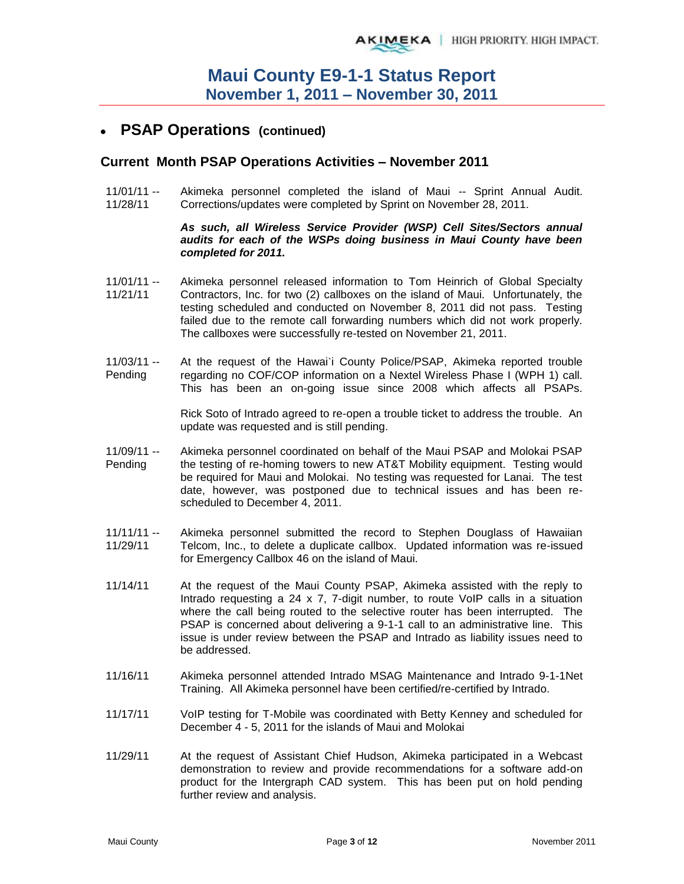## **PSAP Operations (continued)**

### **Current Month PSAP Operations Activities – November 2011**

11/01/11 -- 11/28/11 Akimeka personnel completed the island of Maui -- Sprint Annual Audit. Corrections/updates were completed by Sprint on November 28, 2011.

#### *As such, all Wireless Service Provider (WSP) Cell Sites/Sectors annual audits for each of the WSPs doing business in Maui County have been completed for 2011.*

- $11/01/11 -$ 11/21/11 Akimeka personnel released information to Tom Heinrich of Global Specialty Contractors, Inc. for two (2) callboxes on the island of Maui. Unfortunately, the testing scheduled and conducted on November 8, 2011 did not pass. Testing failed due to the remote call forwarding numbers which did not work properly. The callboxes were successfully re-tested on November 21, 2011.
- 11/03/11 -- Pending At the request of the Hawai`i County Police/PSAP, Akimeka reported trouble regarding no COF/COP information on a Nextel Wireless Phase I (WPH 1) call. This has been an on-going issue since 2008 which affects all PSAPs.

Rick Soto of Intrado agreed to re-open a trouble ticket to address the trouble. An update was requested and is still pending.

- 11/09/11 -- Pending Akimeka personnel coordinated on behalf of the Maui PSAP and Molokai PSAP the testing of re-homing towers to new AT&T Mobility equipment. Testing would be required for Maui and Molokai. No testing was requested for Lanai. The test date, however, was postponed due to technical issues and has been rescheduled to December 4, 2011.
- $11/11/11 -$ 11/29/11 Akimeka personnel submitted the record to Stephen Douglass of Hawaiian Telcom, Inc., to delete a duplicate callbox. Updated information was re-issued for Emergency Callbox 46 on the island of Maui.
- 11/14/11 At the request of the Maui County PSAP, Akimeka assisted with the reply to Intrado requesting a 24 x 7, 7-digit number, to route VoIP calls in a situation where the call being routed to the selective router has been interrupted. The PSAP is concerned about delivering a 9-1-1 call to an administrative line. This issue is under review between the PSAP and Intrado as liability issues need to be addressed.
- 11/16/11 Akimeka personnel attended Intrado MSAG Maintenance and Intrado 9-1-1Net Training. All Akimeka personnel have been certified/re-certified by Intrado.
- 11/17/11 VoIP testing for T-Mobile was coordinated with Betty Kenney and scheduled for December 4 - 5, 2011 for the islands of Maui and Molokai
- 11/29/11 At the request of Assistant Chief Hudson, Akimeka participated in a Webcast demonstration to review and provide recommendations for a software add-on product for the Intergraph CAD system. This has been put on hold pending further review and analysis.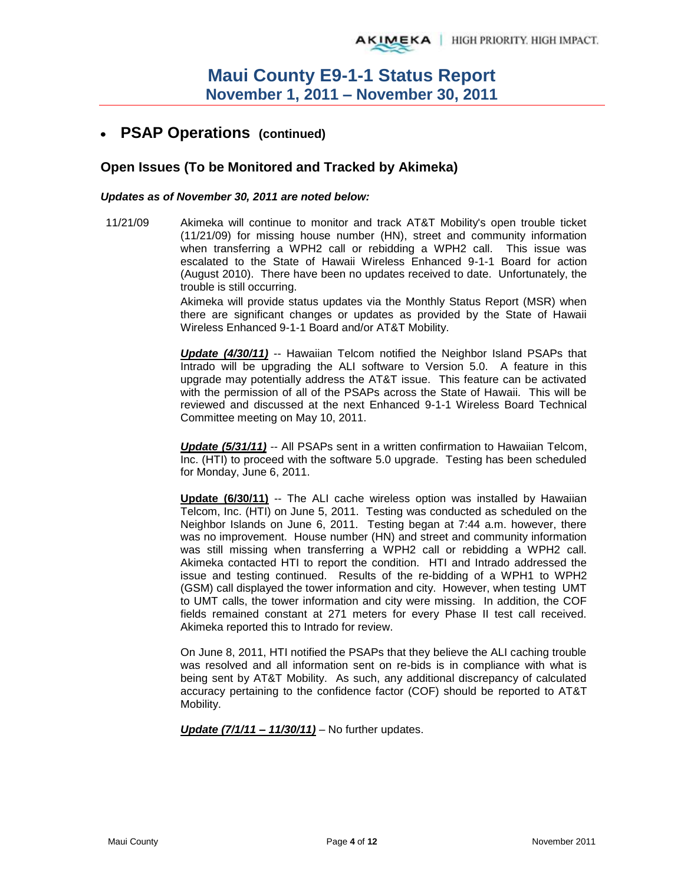## **PSAP Operations (continued)**

### **Open Issues (To be Monitored and Tracked by Akimeka)**

#### *Updates as of November 30, 2011 are noted below:*

11/21/09 Akimeka will continue to monitor and track AT&T Mobility's open trouble ticket (11/21/09) for missing house number (HN), street and community information when transferring a WPH2 call or rebidding a WPH2 call. This issue was escalated to the State of Hawaii Wireless Enhanced 9-1-1 Board for action (August 2010). There have been no updates received to date. Unfortunately, the trouble is still occurring.

> Akimeka will provide status updates via the Monthly Status Report (MSR) when there are significant changes or updates as provided by the State of Hawaii Wireless Enhanced 9-1-1 Board and/or AT&T Mobility.

> *Update (4/30/11)* -- Hawaiian Telcom notified the Neighbor Island PSAPs that Intrado will be upgrading the ALI software to Version 5.0. A feature in this upgrade may potentially address the AT&T issue. This feature can be activated with the permission of all of the PSAPs across the State of Hawaii. This will be reviewed and discussed at the next Enhanced 9-1-1 Wireless Board Technical Committee meeting on May 10, 2011.

> *Update (5/31/11)* -- All PSAPs sent in a written confirmation to Hawaiian Telcom, Inc. (HTI) to proceed with the software 5.0 upgrade. Testing has been scheduled for Monday, June 6, 2011.

> **Update (6/30/11)** -- The ALI cache wireless option was installed by Hawaiian Telcom, Inc. (HTI) on June 5, 2011. Testing was conducted as scheduled on the Neighbor Islands on June 6, 2011. Testing began at 7:44 a.m. however, there was no improvement. House number (HN) and street and community information was still missing when transferring a WPH2 call or rebidding a WPH2 call. Akimeka contacted HTI to report the condition. HTI and Intrado addressed the issue and testing continued. Results of the re-bidding of a WPH1 to WPH2 (GSM) call displayed the tower information and city. However, when testing UMT to UMT calls, the tower information and city were missing. In addition, the COF fields remained constant at 271 meters for every Phase II test call received. Akimeka reported this to Intrado for review.

> On June 8, 2011, HTI notified the PSAPs that they believe the ALI caching trouble was resolved and all information sent on re-bids is in compliance with what is being sent by AT&T Mobility. As such, any additional discrepancy of calculated accuracy pertaining to the confidence factor (COF) should be reported to AT&T Mobility.

*Update (7/1/11 – 11/30/11)* – No further updates.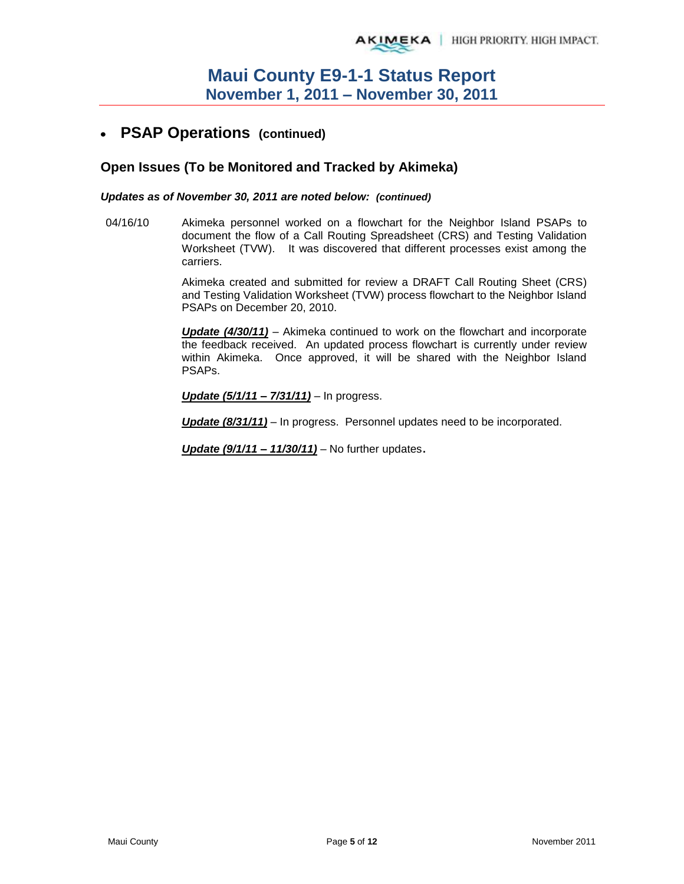#### **PSAP Operations (continued)**   $\bullet$

### **Open Issues (To be Monitored and Tracked by Akimeka)**

#### *Updates as of November 30, 2011 are noted below: (continued)*

04/16/10 Akimeka personnel worked on a flowchart for the Neighbor Island PSAPs to document the flow of a Call Routing Spreadsheet (CRS) and Testing Validation Worksheet (TVW). It was discovered that different processes exist among the carriers.

> Akimeka created and submitted for review a DRAFT Call Routing Sheet (CRS) and Testing Validation Worksheet (TVW) process flowchart to the Neighbor Island PSAPs on December 20, 2010.

> *Update (4/30/11)* – Akimeka continued to work on the flowchart and incorporate the feedback received. An updated process flowchart is currently under review within Akimeka. Once approved, it will be shared with the Neighbor Island PSAPs.

*Update (5/1/11 – 7/31/11)* – In progress.

*Update (8/31/11)* – In progress. Personnel updates need to be incorporated.

*Update (9/1/11 – 11/30/11)* – No further updates.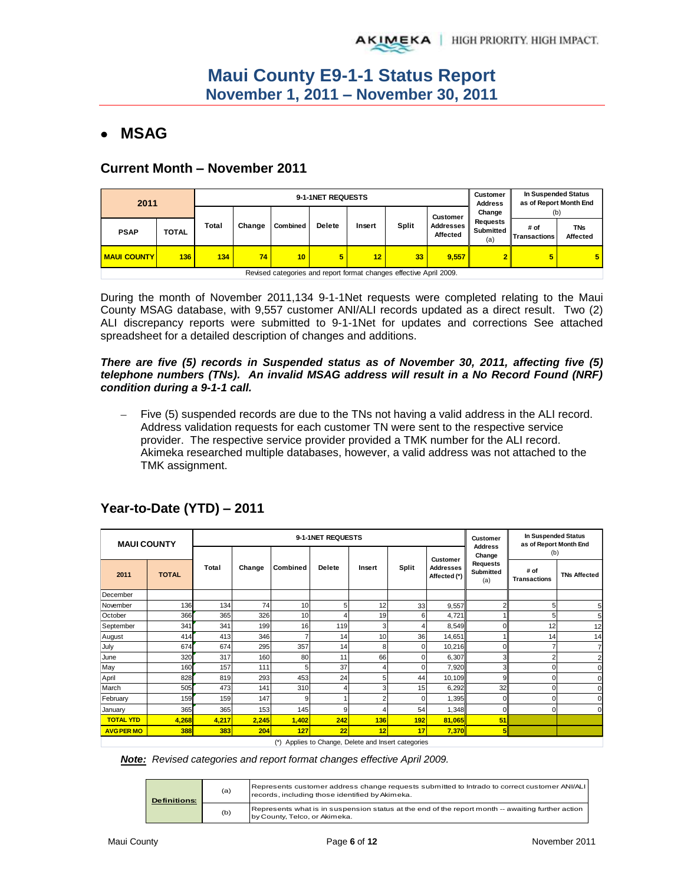## **MSAG**

### **Current Month – November 2011**

| 2011               |              |       |        | 9-1-1NET REQUESTS | <b>Customer</b><br><b>Address</b> | In Suspended Status<br>as of Report Month End |                                                                    |                       |                              |                             |                        |
|--------------------|--------------|-------|--------|-------------------|-----------------------------------|-----------------------------------------------|--------------------------------------------------------------------|-----------------------|------------------------------|-----------------------------|------------------------|
|                    |              |       |        |                   |                                   |                                               |                                                                    | <b>Customer</b>       | Change                       | (b)                         |                        |
| <b>PSAP</b>        | <b>TOTAL</b> | Total | Change | Combined          | <b>Delete</b>                     | Insert                                        | Split                                                              | Addresses<br>Affected | Requests<br>Submitted<br>(a) | # of<br><b>Transactions</b> | <b>TNs</b><br>Affected |
| <b>MAUI COUNTY</b> | 136          | 134   | 74     | 10                | 5                                 | 12                                            | 33                                                                 | 9.557                 | $\overline{2}$               |                             | $5\phantom{.0}$        |
|                    |              |       |        |                   |                                   |                                               | Revised categories and report format changes effective April 2009. |                       |                              |                             |                        |

During the month of November 2011,134 9-1-1Net requests were completed relating to the Maui County MSAG database, with 9,557 customer ANI/ALI records updated as a direct result. Two (2) ALI discrepancy reports were submitted to 9-1-1Net for updates and corrections See attached spreadsheet for a detailed description of changes and additions.

#### *There are five (5) records in Suspended status as of November 30, 2011, affecting five (5) telephone numbers (TNs). An invalid MSAG address will result in a No Record Found (NRF) condition during a 9-1-1 call.*

 Five (5) suspended records are due to the TNs not having a valid address in the ALI record. Address validation requests for each customer TN were sent to the respective service provider. The respective service provider provided a TMK number for the ALI record. Akimeka researched multiple databases, however, a valid address was not attached to the TMK assignment.

| <b>MAUI COUNTY</b> |              |       |        |          | 9-1-1NET REQUESTS |        |                                                 |                                  | In Suspended Status<br><b>Customer</b><br>as of Report Month End |                             |                     |
|--------------------|--------------|-------|--------|----------|-------------------|--------|-------------------------------------------------|----------------------------------|------------------------------------------------------------------|-----------------------------|---------------------|
|                    |              |       |        |          |                   |        |                                                 | <b>Customer</b>                  | <b>Address</b><br>Change                                         | (b)                         |                     |
| 2011               | <b>TOTAL</b> | Total | Change | Combined | <b>Delete</b>     | Insert | <b>Split</b>                                    | <b>Addresses</b><br>Affected (*) | <b>Requests</b><br><b>Submitted</b><br>(a)                       | # of<br><b>Transactions</b> | <b>TNs Affected</b> |
| December           |              |       |        |          |                   |        |                                                 |                                  |                                                                  |                             |                     |
| November           | 136          | 134   | 74     | 10       | 5                 | 12     | 33                                              | 9,557                            | 2                                                                | 5                           | 5                   |
| October            | 366          | 365   | 326    | 10       | 4                 | 19     | 6                                               | 4,721                            |                                                                  | 5                           | 5                   |
| September          | 341          | 341   | 199    | 16       | 119               | 3      |                                                 | 8,549                            | $\Omega$                                                         | 12                          | 12                  |
| August             | 414          | 413   | 346    |          | 14                | 10     | 36                                              | 14,651                           |                                                                  | 14                          | 14                  |
| July               | 674          | 674   | 295    | 357      | 14                | 8      | n                                               | 10,216                           | $\Omega$                                                         |                             |                     |
| June               | 320          | 317   | 160    | 80       | 11                | 66     | 0                                               | 6,307                            | 3                                                                | $\overline{2}$              | 2                   |
| May                | 160          | 157   | 111    | 5        | 37                | Λ      | 0                                               | 7,920                            | 3                                                                | 0                           | C                   |
| April              | 828          | 819   | 293    | 453      | 24                | 5      | 44                                              | 10,109                           | 9                                                                | 0                           | ſ                   |
| March              | 505          | 473   | 141    | 310      | 4                 | 3      | 15                                              | 6,292                            | 32                                                               | U                           |                     |
| February           | 159          | 159   | 147    | 9        | ۸                 | c      |                                                 | 1,395                            | $\Omega$                                                         |                             |                     |
| January            | 365          | 365   | 153    | 145      | 9                 |        | 54                                              | 1,348                            | $\Omega$                                                         |                             | $\epsilon$          |
| <b>TOTAL YTD</b>   | 4,268        | 4,217 | 2,245  | 1,402    | 242               | 136    | 192                                             | 81,065                           | 51                                                               |                             |                     |
| <b>AVG PER MO</b>  | <b>388</b>   | 383   | 204    | 127      | 22                | 12     | 17                                              | 7,370                            | <b>5I</b>                                                        |                             |                     |
|                    |              |       |        | (*)      |                   |        | Applies to Change, Delete and Insert categories |                                  |                                                                  |                             |                     |

## **Year-to-Date (YTD) – 2011**

*Note: Revised categories and report format changes effective April 2009.* 

| <b>Definitions:</b> | (a) | Represents customer address change requests submitted to Intrado to correct customer ANI/ALI<br>records, including those identified by Akimeka. |
|---------------------|-----|-------------------------------------------------------------------------------------------------------------------------------------------------|
|                     | (b) | Represents what is in suspension status at the end of the report month -- awaiting further action<br>by County, Telco, or Akimeka.              |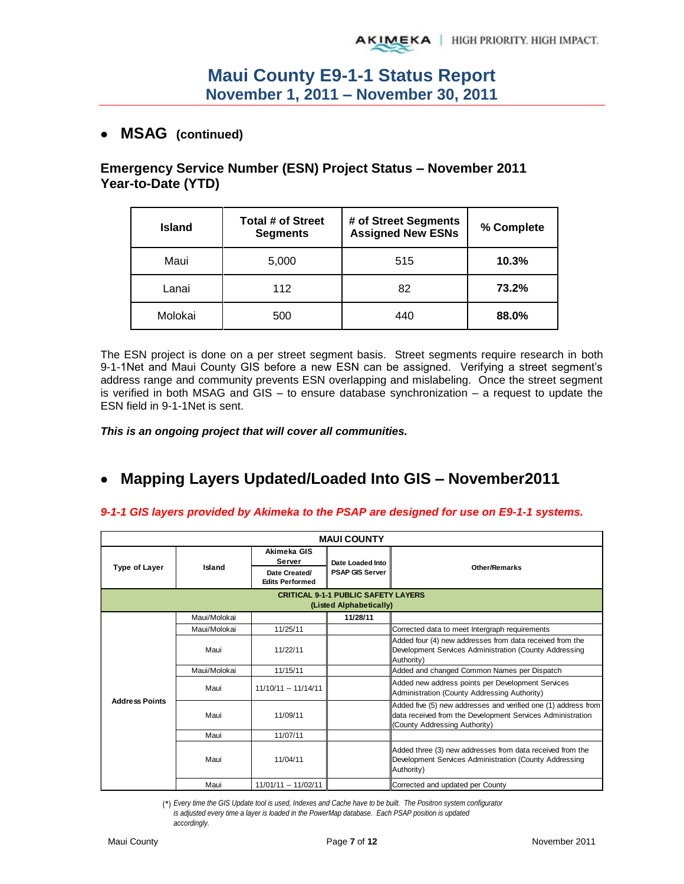## **MSAG (continued)**

## **Emergency Service Number (ESN) Project Status – November 2011 Year-to-Date (YTD)**

| <b>Island</b> | Total # of Street<br><b>Segments</b> | # of Street Segments<br><b>Assigned New ESNs</b> | % Complete |
|---------------|--------------------------------------|--------------------------------------------------|------------|
| Maui          | 5,000                                | 515                                              | 10.3%      |
| Lanai         | 112                                  | 82                                               | 73.2%      |
| Molokai       | 500                                  | 440                                              | 88.0%      |

The ESN project is done on a per street segment basis. Street segments require research in both 9-1-1Net and Maui County GIS before a new ESN can be assigned. Verifying a street segment's address range and community prevents ESN overlapping and mislabeling. Once the street segment is verified in both MSAG and GIS – to ensure database synchronization – a request to update the ESN field in 9-1-1Net is sent.

*This is an ongoing project that will cover all communities.* 

#### **Mapping Layers Updated/Loaded Into GIS – November2011**  $\bullet$

### *9-1-1 GIS layers provided by Akimeka to the PSAP are designed for use on E9-1-1 systems.*

| <b>MAUI COUNTY</b>                                                    |              |                                         |                        |                                                                                                                                                               |  |  |  |  |
|-----------------------------------------------------------------------|--------------|-----------------------------------------|------------------------|---------------------------------------------------------------------------------------------------------------------------------------------------------------|--|--|--|--|
|                                                                       |              | Akimeka GIS<br>Server                   | Date Loaded Into       |                                                                                                                                                               |  |  |  |  |
| Type of Layer                                                         | Island       | Date Created/<br><b>Edits Performed</b> | <b>PSAP GIS Server</b> | <b>Other/Remarks</b>                                                                                                                                          |  |  |  |  |
| <b>CRITICAL 9-1-1 PUBLIC SAFETY LAYERS</b><br>(Listed Alphabetically) |              |                                         |                        |                                                                                                                                                               |  |  |  |  |
|                                                                       | Maui/Molokai |                                         | 11/28/11               |                                                                                                                                                               |  |  |  |  |
|                                                                       | Maui/Molokai | 11/25/11                                |                        | Corrected data to meet Intergraph requirements                                                                                                                |  |  |  |  |
|                                                                       | Maui         | 11/22/11                                |                        | Added four (4) new addresses from data received from the<br>Development Services Administration (County Addressing<br>Authority)                              |  |  |  |  |
|                                                                       | Maui/Molokai | 11/15/11                                |                        | Added and changed Common Names per Dispatch                                                                                                                   |  |  |  |  |
|                                                                       | Maui         | $11/10/11 - 11/14/11$                   |                        | Added new address points per Development Services<br>Administration (County Addressing Authority)                                                             |  |  |  |  |
| <b>Address Points</b>                                                 | Maui         | 11/09/11                                |                        | Added five (5) new addresses and verified one (1) address from<br>data received from the Development Services Administration<br>(County Addressing Authority) |  |  |  |  |
|                                                                       | Maui         | 11/07/11                                |                        |                                                                                                                                                               |  |  |  |  |
|                                                                       | Maui         | 11/04/11                                |                        | Added three (3) new addresses from data received from the<br>Development Services Administration (County Addressing<br>Authority)                             |  |  |  |  |
|                                                                       | Maui         | 11/01/11 -- 11/02/11                    |                        | Corrected and updated per County                                                                                                                              |  |  |  |  |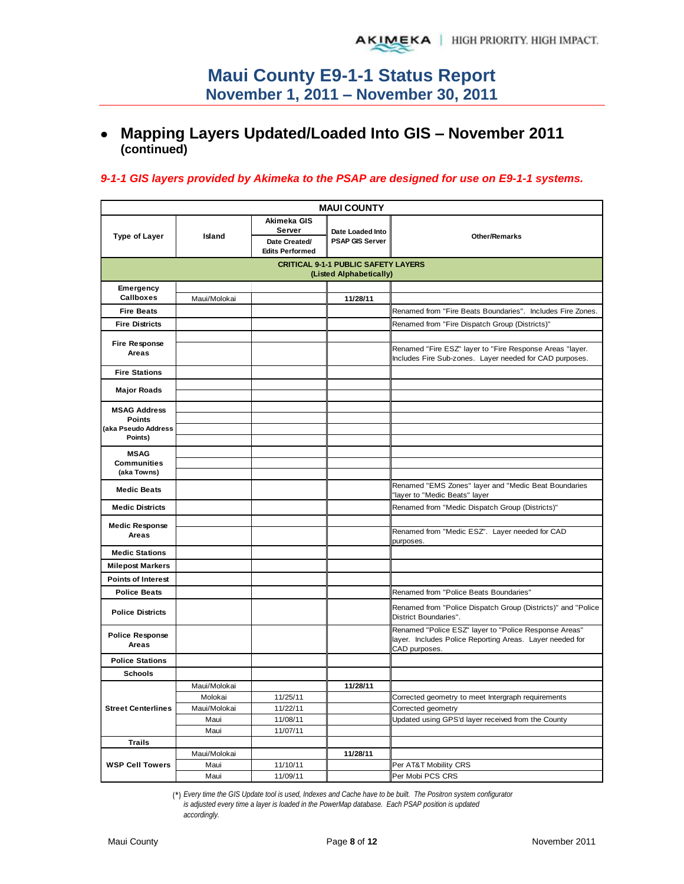## **Mapping Layers Updated/Loaded Into GIS – November 2011 (continued)**

### *9-1-1 GIS layers provided by Akimeka to the PSAP are designed for use on E9-1-1 systems.*

| <b>MAUI COUNTY</b>                   |              |                                                                  |                                                                       |                                                                                                                                    |  |  |  |
|--------------------------------------|--------------|------------------------------------------------------------------|-----------------------------------------------------------------------|------------------------------------------------------------------------------------------------------------------------------------|--|--|--|
| <b>Type of Layer</b>                 | Island       | Akimeka GIS<br>Server<br>Date Created/<br><b>Edits Performed</b> |                                                                       | <b>Other/Remarks</b>                                                                                                               |  |  |  |
|                                      |              |                                                                  | <b>CRITICAL 9-1-1 PUBLIC SAFETY LAYERS</b><br>(Listed Alphabetically) |                                                                                                                                    |  |  |  |
| Emergency                            |              |                                                                  |                                                                       |                                                                                                                                    |  |  |  |
| <b>Callboxes</b>                     | Maui/Molokai |                                                                  | 11/28/11                                                              |                                                                                                                                    |  |  |  |
| <b>Fire Beats</b>                    |              |                                                                  |                                                                       | Renamed from "Fire Beats Boundaries". Includes Fire Zones.                                                                         |  |  |  |
| <b>Fire Districts</b>                |              |                                                                  |                                                                       | Renamed from "Fire Dispatch Group (Districts)"                                                                                     |  |  |  |
|                                      |              |                                                                  |                                                                       |                                                                                                                                    |  |  |  |
| <b>Fire Response</b><br>Areas        |              |                                                                  |                                                                       | Renamed "Fire ESZ" layer to "Fire Response Areas "layer.<br>Includes Fire Sub-zones. Layer needed for CAD purposes.                |  |  |  |
| <b>Fire Stations</b>                 |              |                                                                  |                                                                       |                                                                                                                                    |  |  |  |
| <b>Major Roads</b>                   |              |                                                                  |                                                                       |                                                                                                                                    |  |  |  |
|                                      |              |                                                                  |                                                                       |                                                                                                                                    |  |  |  |
| <b>MSAG Address</b>                  |              |                                                                  |                                                                       |                                                                                                                                    |  |  |  |
| <b>Points</b><br>(aka Pseudo Address |              |                                                                  |                                                                       |                                                                                                                                    |  |  |  |
| Points)                              |              |                                                                  |                                                                       |                                                                                                                                    |  |  |  |
| <b>MSAG</b>                          |              |                                                                  |                                                                       |                                                                                                                                    |  |  |  |
| <b>Communities</b><br>(aka Towns)    |              |                                                                  |                                                                       |                                                                                                                                    |  |  |  |
|                                      |              |                                                                  |                                                                       |                                                                                                                                    |  |  |  |
| <b>Medic Beats</b>                   |              |                                                                  |                                                                       | Renamed "EMS Zones" layer and "Medic Beat Boundaries<br>'layer to "Medic Beats" layer                                              |  |  |  |
| <b>Medic Districts</b>               |              |                                                                  |                                                                       | Renamed from "Medic Dispatch Group (Districts)"                                                                                    |  |  |  |
| <b>Medic Response</b>                |              |                                                                  |                                                                       |                                                                                                                                    |  |  |  |
| Areas                                |              |                                                                  |                                                                       | Renamed from "Medic ESZ". Layer needed for CAD<br>purposes.                                                                        |  |  |  |
| <b>Medic Stations</b>                |              |                                                                  |                                                                       |                                                                                                                                    |  |  |  |
| <b>Milepost Markers</b>              |              |                                                                  |                                                                       |                                                                                                                                    |  |  |  |
| <b>Points of Interest</b>            |              |                                                                  |                                                                       |                                                                                                                                    |  |  |  |
| <b>Police Beats</b>                  |              |                                                                  |                                                                       | Renamed from "Police Beats Boundaries"                                                                                             |  |  |  |
| <b>Police Districts</b>              |              |                                                                  |                                                                       | Renamed from "Police Dispatch Group (Districts)" and "Police<br>District Boundaries".                                              |  |  |  |
| <b>Police Response</b><br>Areas      |              |                                                                  |                                                                       | Renamed "Police ESZ" layer to "Police Response Areas"<br>layer. Includes Police Reporting Areas. Layer needed for<br>CAD purposes. |  |  |  |
| <b>Police Stations</b>               |              |                                                                  |                                                                       |                                                                                                                                    |  |  |  |
| <b>Schools</b>                       |              |                                                                  |                                                                       |                                                                                                                                    |  |  |  |
|                                      | Maui/Molokai |                                                                  | 11/28/11                                                              |                                                                                                                                    |  |  |  |
|                                      | Molokai      | 11/25/11                                                         |                                                                       | Corrected geometry to meet Intergraph requirements                                                                                 |  |  |  |
| <b>Street Centerlines</b>            | Maui/Molokai | 11/22/11                                                         |                                                                       | Corrected geometry                                                                                                                 |  |  |  |
|                                      | Maui         | 11/08/11                                                         |                                                                       | Updated using GPS'd layer received from the County                                                                                 |  |  |  |
|                                      | Maui         | 11/07/11                                                         |                                                                       |                                                                                                                                    |  |  |  |
| <b>Trails</b>                        | Maui/Molokai |                                                                  | 11/28/11                                                              |                                                                                                                                    |  |  |  |
| <b>WSP Cell Towers</b>               | Maui         | 11/10/11                                                         |                                                                       | Per AT&T Mobility CRS                                                                                                              |  |  |  |
|                                      | Maui         | 11/09/11                                                         |                                                                       | Per Mobi PCS CRS                                                                                                                   |  |  |  |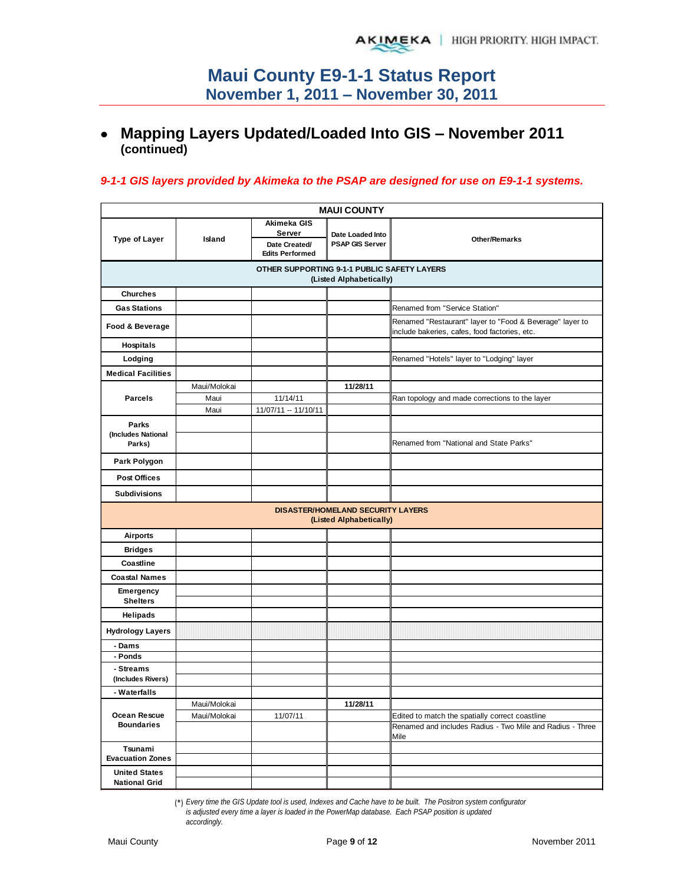# **Mapping Layers Updated/Loaded Into GIS – November 2011 (continued)**

### *9-1-1 GIS layers provided by Akimeka to the PSAP are designed for use on E9-1-1 systems.*

|                                              |              |                                                                  | <b>MAUI COUNTY</b>                                           |                                                                                                           |  |  |
|----------------------------------------------|--------------|------------------------------------------------------------------|--------------------------------------------------------------|-----------------------------------------------------------------------------------------------------------|--|--|
| <b>Type of Layer</b>                         | Island       | Akimeka GIS<br>Server<br>Date Created/<br><b>Edits Performed</b> | Date Loaded Into<br><b>PSAP GIS Server</b>                   | <b>Other/Remarks</b>                                                                                      |  |  |
|                                              |              | OTHER SUPPORTING 9-1-1 PUBLIC SAFETY LAYERS                      | (Listed Alphabetically)                                      |                                                                                                           |  |  |
| <b>Churches</b>                              |              |                                                                  |                                                              |                                                                                                           |  |  |
| <b>Gas Stations</b>                          |              |                                                                  |                                                              | Renamed from "Service Station"                                                                            |  |  |
| Food & Beverage                              |              |                                                                  |                                                              | Renamed "Restaurant" layer to "Food & Beverage" layer to<br>include bakeries, cafes, food factories, etc. |  |  |
| <b>Hospitals</b>                             |              |                                                                  |                                                              |                                                                                                           |  |  |
| Lodging                                      |              |                                                                  |                                                              | Renamed "Hotels" layer to "Lodging" layer                                                                 |  |  |
| <b>Medical Facilities</b>                    |              |                                                                  |                                                              |                                                                                                           |  |  |
|                                              | Maui/Molokai |                                                                  | 11/28/11                                                     |                                                                                                           |  |  |
| <b>Parcels</b>                               | Maui         | 11/14/11                                                         |                                                              | Ran topology and made corrections to the layer                                                            |  |  |
|                                              | Maui         | 11/07/11 -- 11/10/11                                             |                                                              |                                                                                                           |  |  |
| <b>Parks</b><br>(Includes National           |              |                                                                  |                                                              |                                                                                                           |  |  |
| Parks)                                       |              |                                                                  |                                                              | Renamed from "National and State Parks"                                                                   |  |  |
| Park Polygon                                 |              |                                                                  |                                                              |                                                                                                           |  |  |
| <b>Post Offices</b>                          |              |                                                                  |                                                              |                                                                                                           |  |  |
| <b>Subdivisions</b>                          |              |                                                                  |                                                              |                                                                                                           |  |  |
|                                              |              |                                                                  | DISASTER/HOMELAND SECURITY LAYERS<br>(Listed Alphabetically) |                                                                                                           |  |  |
| <b>Airports</b>                              |              |                                                                  |                                                              |                                                                                                           |  |  |
| <b>Bridges</b>                               |              |                                                                  |                                                              |                                                                                                           |  |  |
| Coastline                                    |              |                                                                  |                                                              |                                                                                                           |  |  |
| <b>Coastal Names</b>                         |              |                                                                  |                                                              |                                                                                                           |  |  |
| Emergency<br><b>Shelters</b>                 |              |                                                                  |                                                              |                                                                                                           |  |  |
| <b>Helipads</b>                              |              |                                                                  |                                                              |                                                                                                           |  |  |
| <b>Hydrology Layers</b>                      |              |                                                                  |                                                              |                                                                                                           |  |  |
| - Dams                                       |              |                                                                  |                                                              |                                                                                                           |  |  |
| - Ponds                                      |              |                                                                  |                                                              |                                                                                                           |  |  |
| - Streams<br>(Includes Rivers)               |              |                                                                  |                                                              |                                                                                                           |  |  |
| - Waterfalls                                 |              |                                                                  |                                                              |                                                                                                           |  |  |
|                                              | Maui/Molokai |                                                                  | 11/28/11                                                     |                                                                                                           |  |  |
| Ocean Rescue                                 | Maui/Molokai | 11/07/11                                                         |                                                              | Edited to match the spatially correct coastline                                                           |  |  |
| <b>Boundaries</b>                            |              |                                                                  |                                                              | Renamed and includes Radius - Two Mile and Radius - Three<br>Mile                                         |  |  |
| Tsunami                                      |              |                                                                  |                                                              |                                                                                                           |  |  |
| <b>Evacuation Zones</b>                      |              |                                                                  |                                                              |                                                                                                           |  |  |
| <b>United States</b><br><b>National Grid</b> |              |                                                                  |                                                              |                                                                                                           |  |  |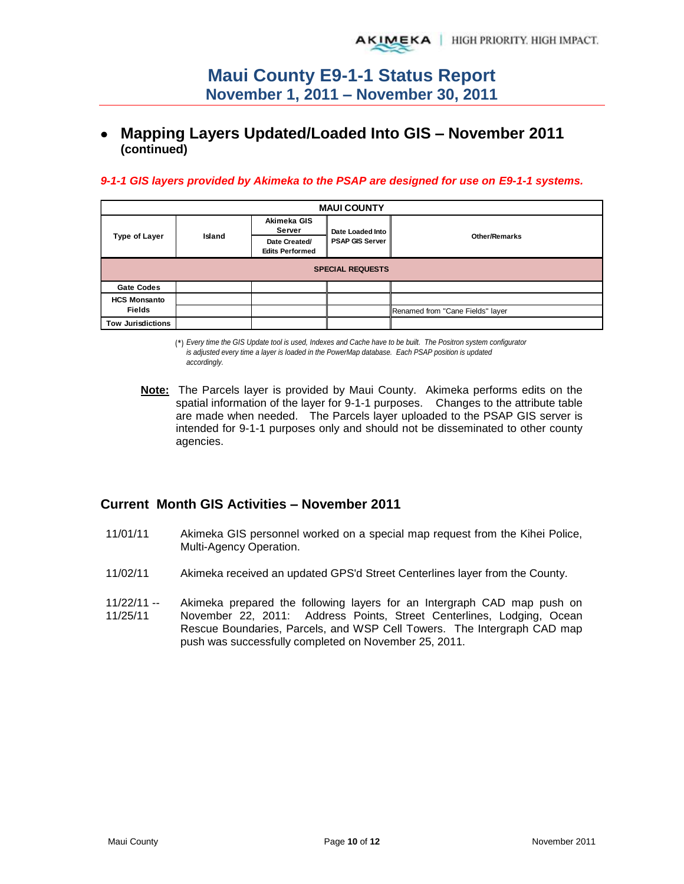## **Mapping Layers Updated/Loaded Into GIS – November 2011 (continued)**

#### *9-1-1 GIS layers provided by Akimeka to the PSAP are designed for use on E9-1-1 systems.*

| <b>MAUI COUNTY</b>       |        |                                         |                        |                                  |  |  |  |
|--------------------------|--------|-----------------------------------------|------------------------|----------------------------------|--|--|--|
| Type of Layer            | Island | Akimeka GIS<br>Server                   | Date Loaded Into       |                                  |  |  |  |
|                          |        | Date Created/<br><b>Edits Performed</b> | <b>PSAP GIS Server</b> | <b>Other/Remarks</b>             |  |  |  |
| <b>SPECIAL REQUESTS</b>  |        |                                         |                        |                                  |  |  |  |
| <b>Gate Codes</b>        |        |                                         |                        |                                  |  |  |  |
| <b>HCS Monsanto</b>      |        |                                         |                        |                                  |  |  |  |
| <b>Fields</b>            |        |                                         |                        | Renamed from "Cane Fields" layer |  |  |  |
| <b>Tow Jurisdictions</b> |        |                                         |                        |                                  |  |  |  |

(\*) *Every time the GIS Update tool is used, Indexes and Cache have to be built. The Positron system configurator is adjusted every time a layer is loaded in the PowerMap database. Each PSAP position is updated accordingly.*

**Note:** The Parcels layer is provided by Maui County. Akimeka performs edits on the spatial information of the layer for 9-1-1 purposes. Changes to the attribute table are made when needed. The Parcels layer uploaded to the PSAP GIS server is intended for 9-1-1 purposes only and should not be disseminated to other county agencies.

### **Current Month GIS Activities – November 2011**

- 11/01/11 Akimeka GIS personnel worked on a special map request from the Kihei Police, Multi-Agency Operation.
- 11/02/11 Akimeka received an updated GPS'd Street Centerlines layer from the County.
- 11/22/11 -- 11/25/11 Akimeka prepared the following layers for an Intergraph CAD map push on November 22, 2011: Address Points, Street Centerlines, Lodging, Ocean Rescue Boundaries, Parcels, and WSP Cell Towers. The Intergraph CAD map push was successfully completed on November 25, 2011.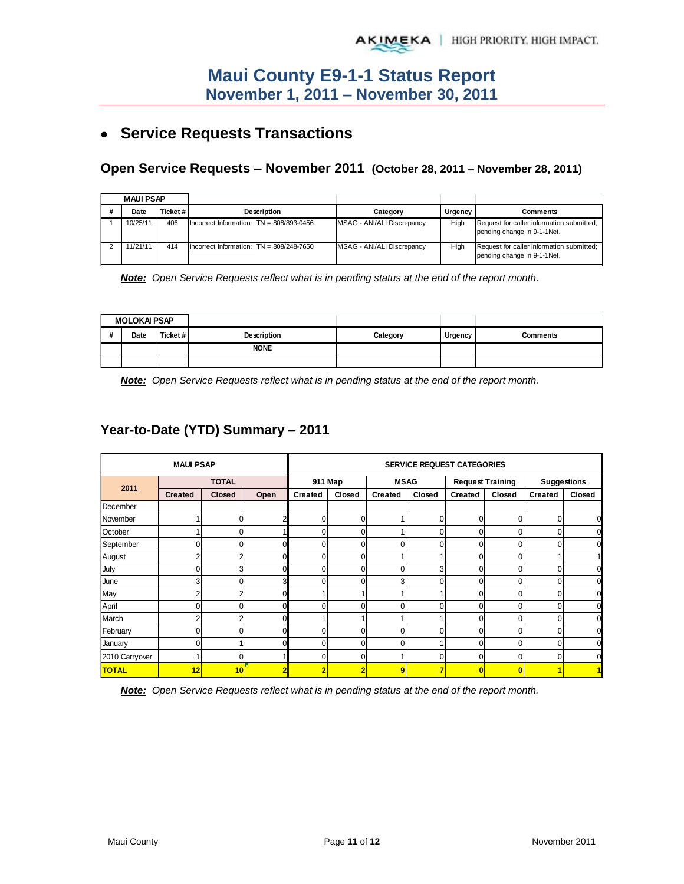# **Service Requests Transactions**

### **Open Service Requests – November 2011 (October 28, 2011 – November 28, 2011)**

| <b>MAUI PSAP</b> |          |                                              |                            |      |                                                                          |
|------------------|----------|----------------------------------------------|----------------------------|------|--------------------------------------------------------------------------|
| Date             | Ticket # | <b>Description</b>                           | Urgency<br>Category        |      | Comments                                                                 |
| 10/25/11         | 406      | Incorrect Information: $TN = 808/893 - 0456$ | MSAG - ANI/ALI Discrepancy | High | Request for caller information submitted;<br>pending change in 9-1-1Net. |
| 11/21/11         | 414      | Incorrect Information: $TN = 808/248 - 7650$ | MSAG - ANI/ALI Discrepancy | High | Request for caller information submitted;<br>pending change in 9-1-1Net. |

*Note: Open Service Requests reflect what is in pending status at the end of the report month.* 

|    | <b>MOLOKAI PSAP</b> |          |             |          |         |          |
|----|---------------------|----------|-------------|----------|---------|----------|
| 11 | Date                | Ticket # | Description | Category | Urgency | Comments |
|    |                     |          | <b>NONE</b> |          |         |          |
|    |                     |          |             |          |         |          |

*Note: Open Service Requests reflect what is in pending status at the end of the report month.* 

## **Year-to-Date (YTD) Summary – 2011**

|                | <b>MAUI PSAP</b> |        |      | <b>SERVICE REQUEST CATEGORIES</b> |                |                |          |                         |                |                    |                |
|----------------|------------------|--------|------|-----------------------------------|----------------|----------------|----------|-------------------------|----------------|--------------------|----------------|
|                | <b>TOTAL</b>     |        |      | 911 Map                           |                | <b>MSAG</b>    |          | <b>Request Training</b> |                | <b>Suggestions</b> |                |
| 2011           | <b>Created</b>   | Closed | Open | <b>Created</b>                    | Closed         | <b>Created</b> | Closed   | Created                 | Closed         | <b>Created</b>     | Closed         |
| December       |                  |        |      |                                   |                |                |          |                         |                |                    |                |
| November       |                  | 0      |      | $\Omega$                          | 0              |                | $\Omega$ | 0                       | 0              | $\overline{0}$     | $\overline{0}$ |
| October        |                  | 0      |      | O                                 | 0              |                |          | 0                       | 0              | $\mathbf 0$        | $\mathbf 0$    |
| September      | 0                | 0      |      |                                   | 0              |                |          | 0                       | 0              | $\Omega$           | $\mathbf 0$    |
| August         | $\overline{2}$   | ົ      |      | O                                 | 0              |                |          | $\Omega$                | 0              |                    | $\mathbf{1}$   |
| July           | 0                | 3      |      |                                   | 0              |                | ٠        | 0                       | 0              | 0                  | $\overline{0}$ |
| June           | 3                |        |      |                                   | N              | 3              |          | 0                       | ი              | 0                  | $\overline{0}$ |
| May            | 2                |        |      |                                   |                |                |          | 0                       |                | 0                  | $\overline{0}$ |
| April          | 0                |        |      |                                   | U              |                |          | 0                       |                | 0                  | $\overline{0}$ |
| March          | 2                |        |      |                                   |                |                |          | 0                       | 0              | 0                  | $\overline{0}$ |
| February       | 0                |        |      |                                   |                |                |          | 0                       |                |                    | $\mathbf{0}$   |
| January        | 0                |        |      |                                   |                |                |          | 0                       |                | 0                  | 0              |
| 2010 Carryover |                  |        |      |                                   | 0              |                |          | 0                       | 0              | 0                  | $\overline{0}$ |
| <b>TOTAL</b>   | 12               | 10     |      | 2                                 | $\overline{2}$ | 9              | 7        | $\mathbf{0}$            | $\overline{0}$ |                    |                |

*Note: Open Service Requests reflect what is in pending status at the end of the report month.*